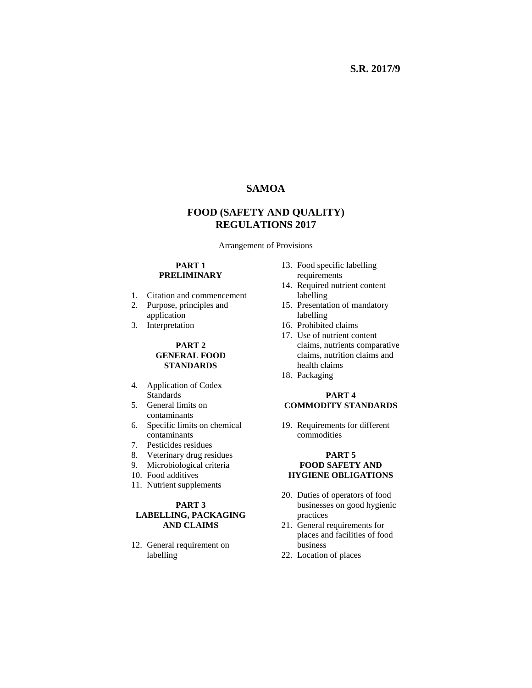# **SAMOA**

# **FOOD (SAFETY AND QUALITY) REGULATIONS 2017**

Arrangement of Provisions

#### **PART 1 PRELIMINARY**

- 1. Citation and commencement
- 2. Purpose, principles and application
- 3. Interpretation

#### **PART 2 GENERAL FOOD STANDARDS**

- 4. Application of Codex **Standards**
- 5. General limits on contaminants
- 6. Specific limits on chemical contaminants
- 7. Pesticides residues
- 8. Veterinary drug residues
- 9. Microbiological criteria
- 10. Food additives
- 11. Nutrient supplements

#### **PART 3 LABELLING, PACKAGING AND CLAIMS**

12. General requirement on labelling

- 13. Food specific labelling requirements
- 14. Required nutrient content labelling
- 15. Presentation of mandatory labelling
- 16. Prohibited claims
- 17. Use of nutrient content claims, nutrients comparative claims, nutrition claims and health claims
- 18. Packaging

### **PART 4 COMMODITY STANDARDS**

19. Requirements for different commodities

#### **PART 5 FOOD SAFETY AND HYGIENE OBLIGATIONS**

- 20. Duties of operators of food businesses on good hygienic practices
- 21. General requirements for places and facilities of food business
- 22. Location of places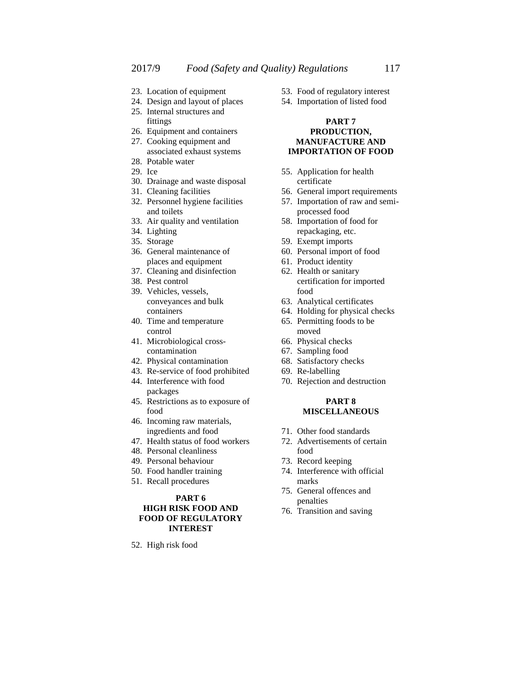- 23. Location of equipment
- 24. Design and layout of places
- 25. Internal structures and fittings
- 26. Equipment and containers
- 27. Cooking equipment and associated exhaust systems
- 28. Potable water
- 29. Ice
- 30. Drainage and waste disposal
- 31. Cleaning facilities
- 32. Personnel hygiene facilities and toilets
- 33. Air quality and ventilation
- 34. Lighting
- 35. Storage
- 36. General maintenance of places and equipment
- 37. Cleaning and disinfection
- 38. Pest control
- 39. Vehicles, vessels, conveyances and bulk containers
- 40. Time and temperature control
- 41. Microbiological crosscontamination
- 42. Physical contamination
- 43. Re-service of food prohibited 44. Interference with food
- packages 45. Restrictions as to exposure of
- food
- 46. Incoming raw materials, ingredients and food
- 47. Health status of food workers
- 48. Personal cleanliness
- 49. Personal behaviour
- 50. Food handler training
- 51. Recall procedures

## **PART 6 HIGH RISK FOOD AND**

#### **FOOD OF REGULATORY INTEREST**

52. High risk food

- 53. Food of regulatory interest
- 54. Importation of listed food

#### **PART 7 PRODUCTION, MANUFACTURE AND IMPORTATION OF FOOD**

- 55. Application for health certificate
- 56. General import requirements
- 57. Importation of raw and semiprocessed food
- 58. Importation of food for repackaging, etc.
- 59. Exempt imports
- 60. Personal import of food
- 61. Product identity
- 62. Health or sanitary certification for imported food
- 63. Analytical certificates
- 64. Holding for physical checks
- 65. Permitting foods to be moved
- 66. Physical checks
- 67. Sampling food
- 68. Satisfactory checks
- 69. Re-labelling
- 70. Rejection and destruction

#### **PART 8 MISCELLANEOUS**

- 71. Other food standards
- 72. Advertisements of certain food
- 73. Record keeping
- 74. Interference with official marks
- 75. General offences and penalties
- 76. Transition and saving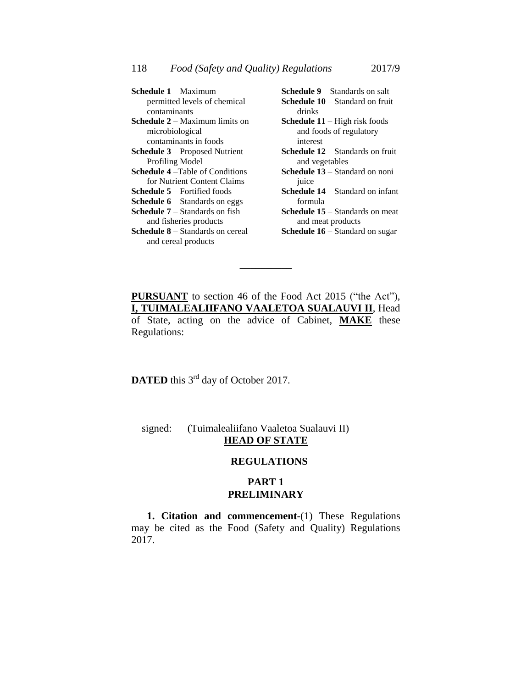| <b>Schedule 1 – Maximum</b>                        | Schedule 9 - Standards on salt           |
|----------------------------------------------------|------------------------------------------|
| permitted levels of chemical                       | <b>Schedule 10 – Standard on fruit</b>   |
| contaminants                                       | drinks                                   |
| <b>Schedule <math>2 -</math></b> Maximum limits on | <b>Schedule 11</b> – High risk foods     |
| microbiological                                    | and foods of regulatory                  |
| contaminants in foods                              | interest                                 |
| <b>Schedule 3</b> – Proposed Nutrient              | <b>Schedule 12</b> – Standards on fruit  |
| <b>Profiling Model</b>                             | and vegetables                           |
| <b>Schedule 4</b> – Table of Conditions            | <b>Schedule 13</b> – Standard on noni    |
| for Nutrient Content Claims                        | juice                                    |
| <b>Schedule <math>5</math></b> – Fortified foods   | <b>Schedule 14</b> – Standard on infant  |
| <b>Schedule 6</b> – Standards on eggs              | formula                                  |
| <b>Schedule <math>7 -</math></b> Standards on fish | <b>Schedule 15</b> $-$ Standards on meat |
| and fisheries products                             | and meat products                        |
| <b>Schedule 8</b> – Standards on cereal            | <b>Schedule 16</b> – Standard on sugar   |
| and cereal products                                |                                          |

**PURSUANT** to section 46 of the Food Act 2015 ("the Act"), **I, TUIMALEALIIFANO VAALETOA SUALAUVI II**, Head of State, acting on the advice of Cabinet, **MAKE** these Regulations:

\_\_\_\_\_\_\_\_\_\_

**DATED** this 3<sup>rd</sup> day of October 2017.

# signed: (Tuimalealiifano Vaaletoa Sualauvi II) **HEAD OF STATE**

## **REGULATIONS**

## **PART 1 PRELIMINARY**

**1. Citation and commencement**-(1) These Regulations may be cited as the Food (Safety and Quality) Regulations 2017.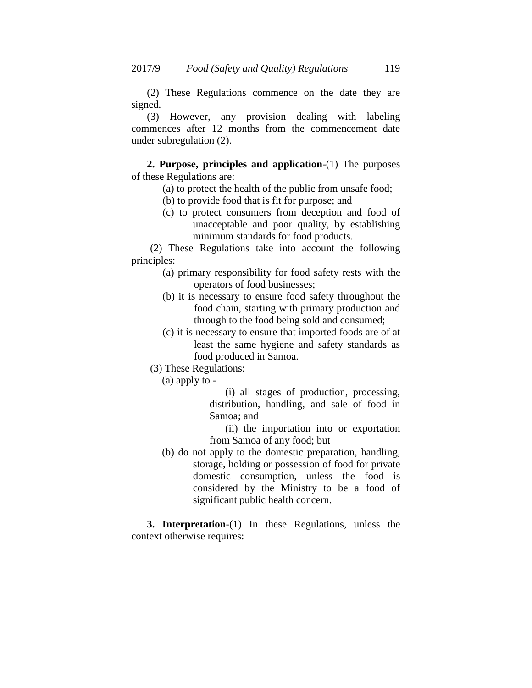(2) These Regulations commence on the date they are signed.

(3) However, any provision dealing with labeling commences after 12 months from the commencement date under subregulation (2).

**2. Purpose, principles and application**-(1) The purposes of these Regulations are:

- (a) to protect the health of the public from unsafe food;
- (b) to provide food that is fit for purpose; and
- (c) to protect consumers from deception and food of unacceptable and poor quality, by establishing minimum standards for food products.

(2) These Regulations take into account the following principles:

- (a) primary responsibility for food safety rests with the operators of food businesses;
- (b) it is necessary to ensure food safety throughout the food chain, starting with primary production and through to the food being sold and consumed;
- (c) it is necessary to ensure that imported foods are of at least the same hygiene and safety standards as food produced in Samoa.
- (3) These Regulations:
	- (a) apply to -

(i) all stages of production, processing, distribution, handling, and sale of food in Samoa; and

(ii) the importation into or exportation from Samoa of any food; but

(b) do not apply to the domestic preparation, handling, storage, holding or possession of food for private domestic consumption, unless the food is considered by the Ministry to be a food of significant public health concern.

**3. Interpretation**-(1) In these Regulations, unless the context otherwise requires: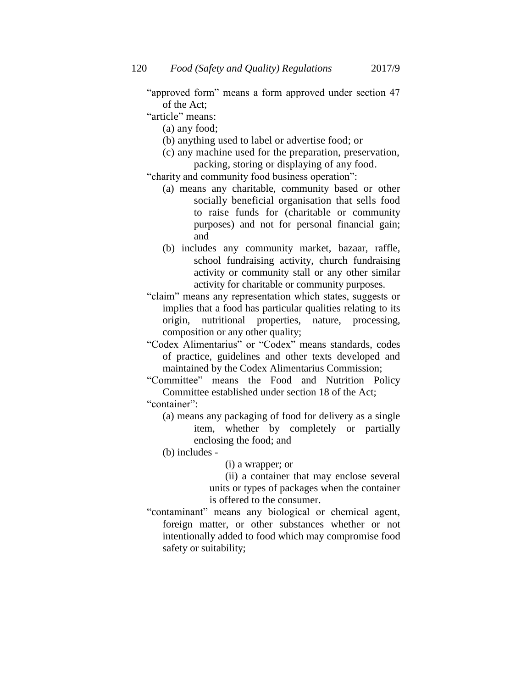"approved form" means a form approved under section 47 of the Act;

- "article" means:
	- (a) any food;
	- (b) anything used to label or advertise food; or
	- (c) any machine used for the preparation, preservation, packing, storing or displaying of any food.

"charity and community food business operation":

- (a) means any charitable, community based or other socially beneficial organisation that sells food to raise funds for (charitable or community purposes) and not for personal financial gain; and
- (b) includes any community market, bazaar, raffle, school fundraising activity, church fundraising activity or community stall or any other similar activity for charitable or community purposes.
- "claim" means any representation which states, suggests or implies that a food has particular qualities relating to its origin, nutritional properties, nature, processing, composition or any other quality;
- "Codex Alimentarius" or "Codex" means standards, codes of practice, guidelines and other texts developed and maintained by the Codex Alimentarius Commission;
- "Committee" means the Food and Nutrition Policy Committee established under section 18 of the Act;

"container":

(a) means any packaging of food for delivery as a single item, whether by completely or partially enclosing the food; and

(b) includes -

- (i) a wrapper; or
- (ii) a container that may enclose several units or types of packages when the container is offered to the consumer.
- "contaminant" means any biological or chemical agent, foreign matter, or other substances whether or not intentionally added to food which may compromise food safety or suitability;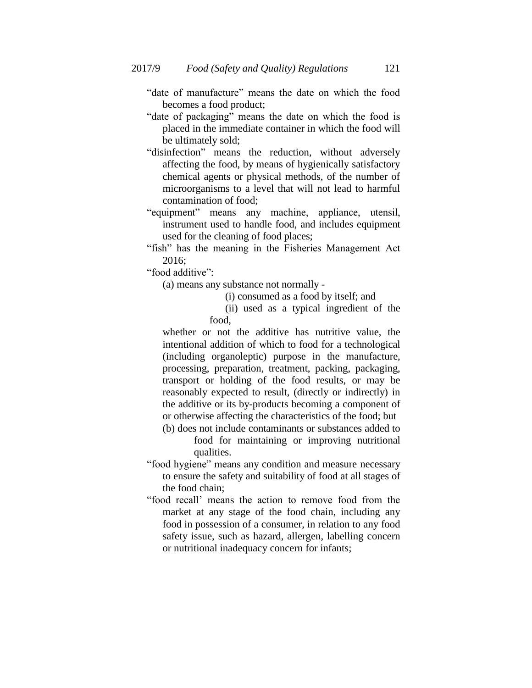- "date of manufacture" means the date on which the food becomes a food product;
- "date of packaging" means the date on which the food is placed in the immediate container in which the food will be ultimately sold;
- "disinfection" means the reduction, without adversely affecting the food, by means of hygienically satisfactory chemical agents or physical methods, of the number of microorganisms to a level that will not lead to harmful contamination of food;
- "equipment" means any machine, appliance, utensil, instrument used to handle food, and includes equipment used for the cleaning of food places;
- "fish" has the meaning in the Fisheries Management Act 2016;

"food additive":

(a) means any substance not normally -

- (i) consumed as a food by itself; and
- (ii) used as a typical ingredient of the food,

whether or not the additive has nutritive value, the intentional addition of which to food for a technological (including organoleptic) purpose in the manufacture, processing, preparation, treatment, packing, packaging, transport or holding of the food results, or may be reasonably expected to result, (directly or indirectly) in the additive or its by-products becoming a component of or otherwise affecting the characteristics of the food; but (b) does not include contaminants or substances added to

- food for maintaining or improving nutritional qualities.
- "food hygiene" means any condition and measure necessary to ensure the safety and suitability of food at all stages of the food chain;
- "food recall" means the action to remove food from the market at any stage of the food chain, including any food in possession of a consumer, in relation to any food safety issue, such as hazard, allergen, labelling concern or nutritional inadequacy concern for infants;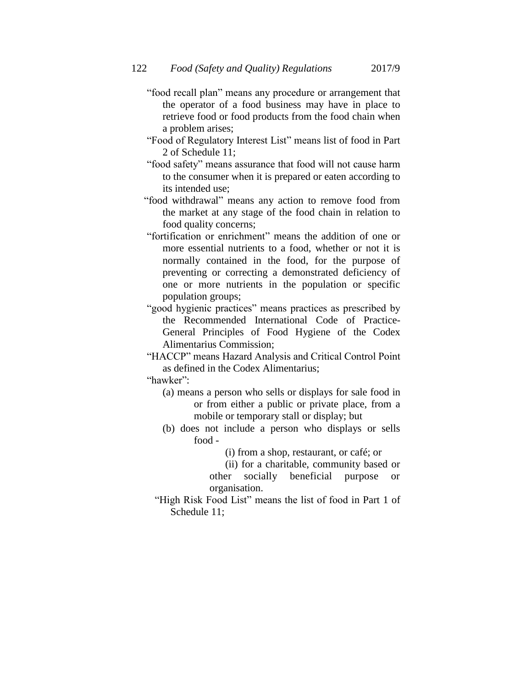- "food recall plan" means any procedure or arrangement that the operator of a food business may have in place to retrieve food or food products from the food chain when a problem arises;
- "Food of Regulatory Interest List" means list of food in Part 2 of Schedule 11;
- "food safety" means assurance that food will not cause harm to the consumer when it is prepared or eaten according to its intended use;
- "food withdrawal" means any action to remove food from the market at any stage of the food chain in relation to food quality concerns;
- "fortification or enrichment" means the addition of one or more essential nutrients to a food, whether or not it is normally contained in the food, for the purpose of preventing or correcting a demonstrated deficiency of one or more nutrients in the population or specific population groups;
- "good hygienic practices" means practices as prescribed by the Recommended International Code of Practice-General Principles of Food Hygiene of the Codex Alimentarius Commission;
- "HACCP" means Hazard Analysis and Critical Control Point as defined in the Codex Alimentarius;

"hawker":

- (a) means a person who sells or displays for sale food in or from either a public or private place, from a mobile or temporary stall or display; but
- (b) does not include a person who displays or sells food -
	- (i) from a shop, restaurant, or café; or
	- (ii) for a charitable, community based or other socially beneficial purpose or organisation.
- "High Risk Food List" means the list of food in Part 1 of Schedule 11;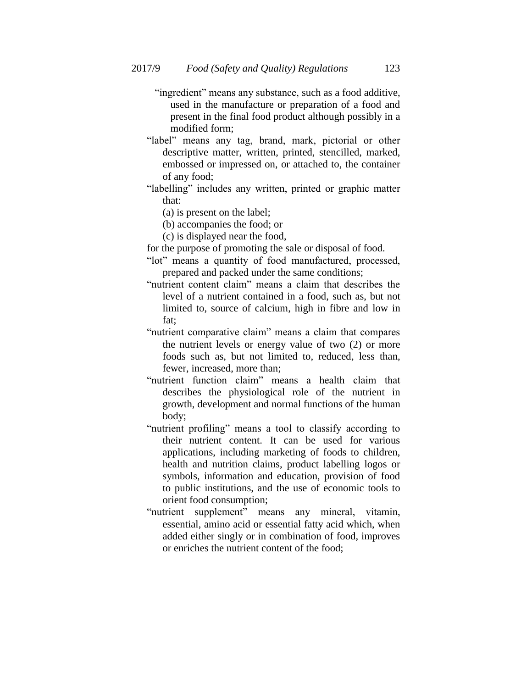- "ingredient" means any substance, such as a food additive, used in the manufacture or preparation of a food and present in the final food product although possibly in a modified form;
- "label" means any tag, brand, mark, pictorial or other descriptive matter, written, printed, stencilled, marked, embossed or impressed on, or attached to, the container of any food;
- "labelling" includes any written, printed or graphic matter that:
	- (a) is present on the label;
	- (b) accompanies the food; or
	- (c) is displayed near the food,
- for the purpose of promoting the sale or disposal of food.
- "lot" means a quantity of food manufactured, processed, prepared and packed under the same conditions;
- "nutrient content claim" means a claim that describes the level of a nutrient contained in a food, such as, but not limited to, source of calcium, high in fibre and low in fat;
- "nutrient comparative claim" means a claim that compares the nutrient levels or energy value of two (2) or more foods such as, but not limited to, reduced, less than, fewer, increased, more than;
- "nutrient function claim" means a health claim that describes the physiological role of the nutrient in growth, development and normal functions of the human body;
- "nutrient profiling" means a tool to classify according to their nutrient content. It can be used for various applications, including marketing of foods to children, health and nutrition claims, product labelling logos or symbols, information and education, provision of food to public institutions, and the use of economic tools to orient food consumption;
- "nutrient supplement" means any mineral, vitamin, essential, amino acid or essential fatty acid which, when added either singly or in combination of food, improves or enriches the nutrient content of the food;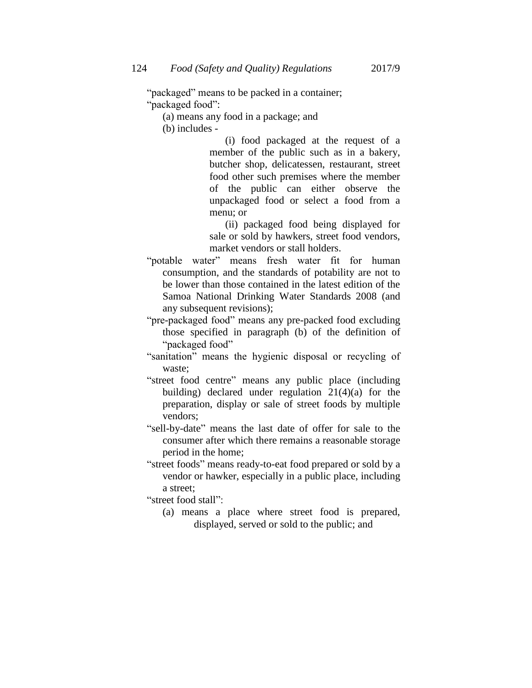"packaged" means to be packed in a container; "packaged food":

(a) means any food in a package; and

(b) includes -

(i) food packaged at the request of a member of the public such as in a bakery, butcher shop, delicatessen, restaurant, street food other such premises where the member of the public can either observe the unpackaged food or select a food from a menu; or

(ii) packaged food being displayed for sale or sold by hawkers, street food vendors, market vendors or stall holders.

- "potable water" means fresh water fit for human consumption, and the standards of potability are not to be lower than those contained in the latest edition of the Samoa National Drinking Water Standards 2008 (and any subsequent revisions);
- "pre-packaged food" means any pre-packed food excluding those specified in paragraph (b) of the definition of "packaged food"
- "sanitation" means the hygienic disposal or recycling of waste;
- "street food centre" means any public place (including building) declared under regulation  $21(4)(a)$  for the preparation, display or sale of street foods by multiple vendors;
- "sell-by-date" means the last date of offer for sale to the consumer after which there remains a reasonable storage period in the home;
- "street foods" means ready-to-eat food prepared or sold by a vendor or hawker, especially in a public place, including a street;

"street food stall":

(a) means a place where street food is prepared, displayed, served or sold to the public; and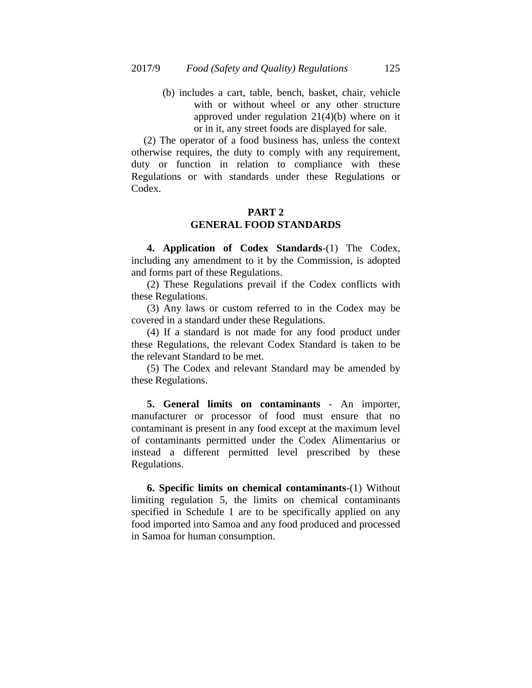(b) includes a cart, table, bench, basket, chair, vehicle with or without wheel or any other structure approved under regulation 21(4)(b) where on it or in it, any street foods are displayed for sale.

(2) The operator of a food business has, unless the context otherwise requires, the duty to comply with any requirement, duty or function in relation to compliance with these Regulations or with standards under these Regulations or Codex.

## **PART 2 GENERAL FOOD STANDARDS**

**4. Application of Codex Standards**-(1) The Codex, including any amendment to it by the Commission, is adopted and forms part of these Regulations.

(2) These Regulations prevail if the Codex conflicts with these Regulations.

(3) Any laws or custom referred to in the Codex may be covered in a standard under these Regulations.

(4) If a standard is not made for any food product under these Regulations, the relevant Codex Standard is taken to be the relevant Standard to be met.

(5) The Codex and relevant Standard may be amended by these Regulations.

**5. General limits on contaminants** - An importer, manufacturer or processor of food must ensure that no contaminant is present in any food except at the maximum level of contaminants permitted under the Codex Alimentarius or instead a different permitted level prescribed by these Regulations.

**6. Specific limits on chemical contaminants**-(1) Without limiting regulation 5, the limits on chemical contaminants specified in Schedule 1 are to be specifically applied on any food imported into Samoa and any food produced and processed in Samoa for human consumption.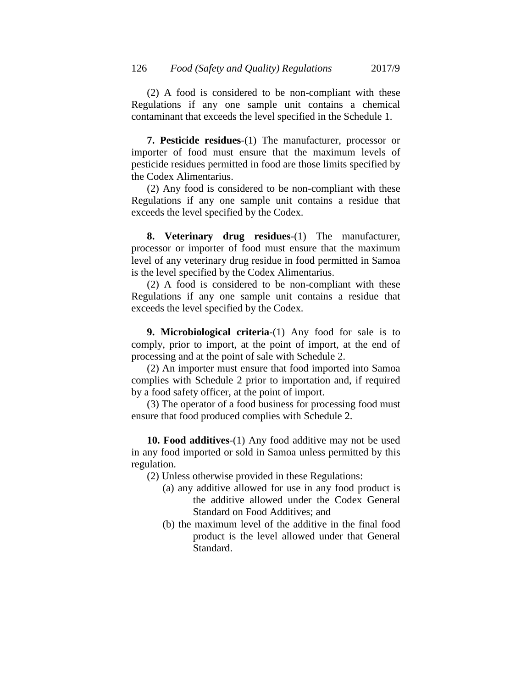(2) A food is considered to be non-compliant with these Regulations if any one sample unit contains a chemical contaminant that exceeds the level specified in the Schedule 1.

**7. Pesticide residues**-(1) The manufacturer, processor or importer of food must ensure that the maximum levels of pesticide residues permitted in food are those limits specified by the Codex Alimentarius.

(2) Any food is considered to be non-compliant with these Regulations if any one sample unit contains a residue that exceeds the level specified by the Codex.

**8. Veterinary drug residues**-(1) The manufacturer, processor or importer of food must ensure that the maximum level of any veterinary drug residue in food permitted in Samoa is the level specified by the Codex Alimentarius.

(2) A food is considered to be non-compliant with these Regulations if any one sample unit contains a residue that exceeds the level specified by the Codex.

**9. Microbiological criteria**-(1) Any food for sale is to comply, prior to import, at the point of import, at the end of processing and at the point of sale with Schedule 2.

(2) An importer must ensure that food imported into Samoa complies with Schedule 2 prior to importation and, if required by a food safety officer, at the point of import.

(3) The operator of a food business for processing food must ensure that food produced complies with Schedule 2.

**10. Food additives**-(1) Any food additive may not be used in any food imported or sold in Samoa unless permitted by this regulation.

(2) Unless otherwise provided in these Regulations:

- (a) any additive allowed for use in any food product is the additive allowed under the Codex General Standard on Food Additives; and
- (b) the maximum level of the additive in the final food product is the level allowed under that General Standard.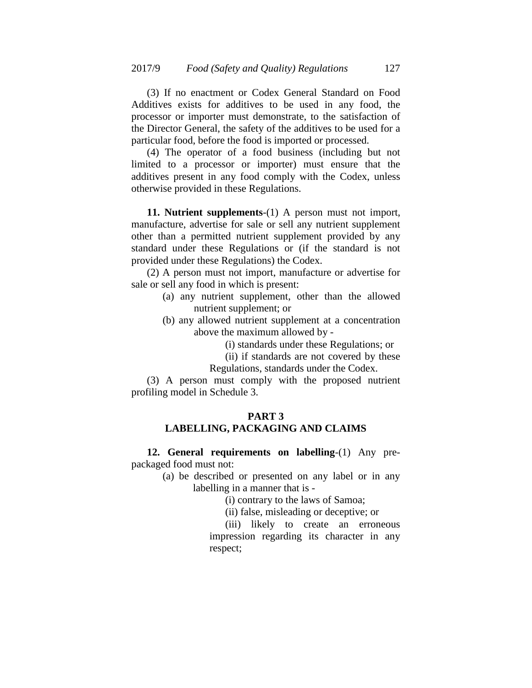(3) If no enactment or Codex General Standard on Food Additives exists for additives to be used in any food, the processor or importer must demonstrate, to the satisfaction of the Director General, the safety of the additives to be used for a particular food, before the food is imported or processed.

(4) The operator of a food business (including but not limited to a processor or importer) must ensure that the additives present in any food comply with the Codex, unless otherwise provided in these Regulations.

**11. Nutrient supplements**-(1) A person must not import, manufacture, advertise for sale or sell any nutrient supplement other than a permitted nutrient supplement provided by any standard under these Regulations or (if the standard is not provided under these Regulations) the Codex.

(2) A person must not import, manufacture or advertise for sale or sell any food in which is present:

- (a) any nutrient supplement, other than the allowed nutrient supplement; or
- (b) any allowed nutrient supplement at a concentration above the maximum allowed by -
	- (i) standards under these Regulations; or
	- (ii) if standards are not covered by these
	- Regulations, standards under the Codex.

(3) A person must comply with the proposed nutrient profiling model in Schedule 3.

# **PART 3**

# **LABELLING, PACKAGING AND CLAIMS**

**12. General requirements on labelling**-(1) Any prepackaged food must not:

> (a) be described or presented on any label or in any labelling in a manner that is -

> > (i) contrary to the laws of Samoa;

(ii) false, misleading or deceptive; or

(iii) likely to create an erroneous impression regarding its character in any respect;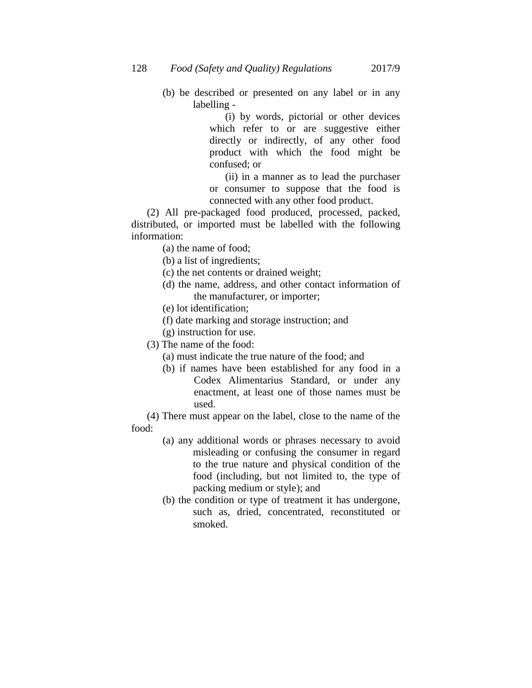(b) be described or presented on any label or in any labelling -

> (i) by words, pictorial or other devices which refer to or are suggestive either directly or indirectly, of any other food product with which the food might be confused; or

> (ii) in a manner as to lead the purchaser or consumer to suppose that the food is connected with any other food product.

(2) All pre-packaged food produced, processed, packed, distributed, or imported must be labelled with the following information:

- (a) the name of food;
- (b) a list of ingredients;
- (c) the net contents or drained weight;
- (d) the name, address, and other contact information of the manufacturer, or importer;
- (e) lot identification;
- (f) date marking and storage instruction; and
- (g) instruction for use.
- (3) The name of the food:
	- (a) must indicate the true nature of the food; and
	- (b) if names have been established for any food in a Codex Alimentarius Standard, or under any enactment, at least one of those names must be used.

(4) There must appear on the label, close to the name of the food:

- (a) any additional words or phrases necessary to avoid misleading or confusing the consumer in regard to the true nature and physical condition of the food (including, but not limited to, the type of packing medium or style); and
- (b) the condition or type of treatment it has undergone, such as, dried, concentrated, reconstituted or smoked.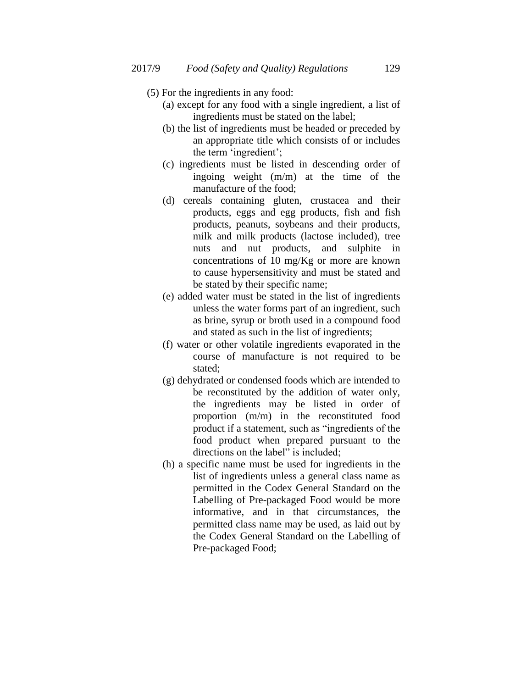- (5) For the ingredients in any food:
	- (a) except for any food with a single ingredient, a list of ingredients must be stated on the label;
	- (b) the list of ingredients must be headed or preceded by an appropriate title which consists of or includes the term "ingredient";
	- (c) ingredients must be listed in descending order of ingoing weight (m/m) at the time of the manufacture of the food;
	- (d) cereals containing gluten, crustacea and their products, eggs and egg products, fish and fish products, peanuts, soybeans and their products, milk and milk products (lactose included), tree nuts and nut products, and sulphite in concentrations of 10 mg/Kg or more are known to cause hypersensitivity and must be stated and be stated by their specific name;
	- (e) added water must be stated in the list of ingredients unless the water forms part of an ingredient, such as brine, syrup or broth used in a compound food and stated as such in the list of ingredients;
	- (f) water or other volatile ingredients evaporated in the course of manufacture is not required to be stated;
	- (g) dehydrated or condensed foods which are intended to be reconstituted by the addition of water only, the ingredients may be listed in order of proportion (m/m) in the reconstituted food product if a statement, such as "ingredients of the food product when prepared pursuant to the directions on the label" is included;
	- (h) a specific name must be used for ingredients in the list of ingredients unless a general class name as permitted in the Codex General Standard on the Labelling of Pre-packaged Food would be more informative, and in that circumstances, the permitted class name may be used, as laid out by the Codex General Standard on the Labelling of Pre-packaged Food;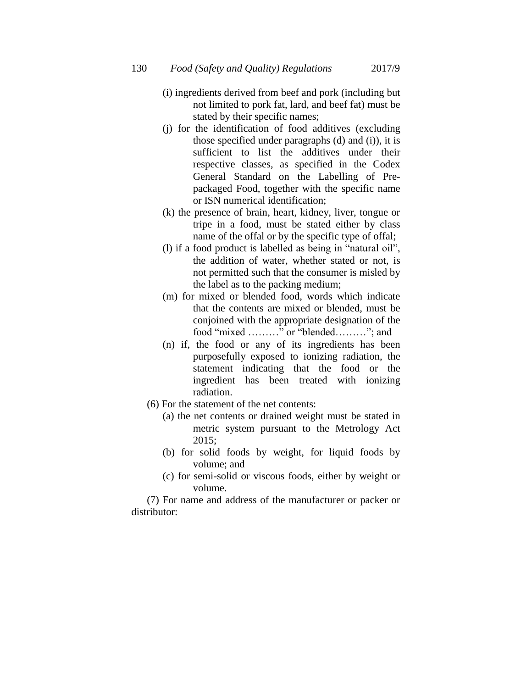- (i) ingredients derived from beef and pork (including but not limited to pork fat, lard, and beef fat) must be stated by their specific names;
- (j) for the identification of food additives (excluding those specified under paragraphs (d) and (i)), it is sufficient to list the additives under their respective classes, as specified in the Codex General Standard on the Labelling of Prepackaged Food, together with the specific name or ISN numerical identification;
- (k) the presence of brain, heart, kidney, liver, tongue or tripe in a food, must be stated either by class name of the offal or by the specific type of offal;
- (l) if a food product is labelled as being in "natural oil", the addition of water, whether stated or not, is not permitted such that the consumer is misled by the label as to the packing medium;
- (m) for mixed or blended food, words which indicate that the contents are mixed or blended, must be conjoined with the appropriate designation of the food "mixed ………" or "blended………"; and
- (n) if, the food or any of its ingredients has been purposefully exposed to ionizing radiation, the statement indicating that the food or the ingredient has been treated with ionizing radiation.
- (6) For the statement of the net contents:
	- (a) the net contents or drained weight must be stated in metric system pursuant to the Metrology Act 2015;
	- (b) for solid foods by weight, for liquid foods by volume; and
	- (c) for semi-solid or viscous foods, either by weight or volume.

(7) For name and address of the manufacturer or packer or distributor: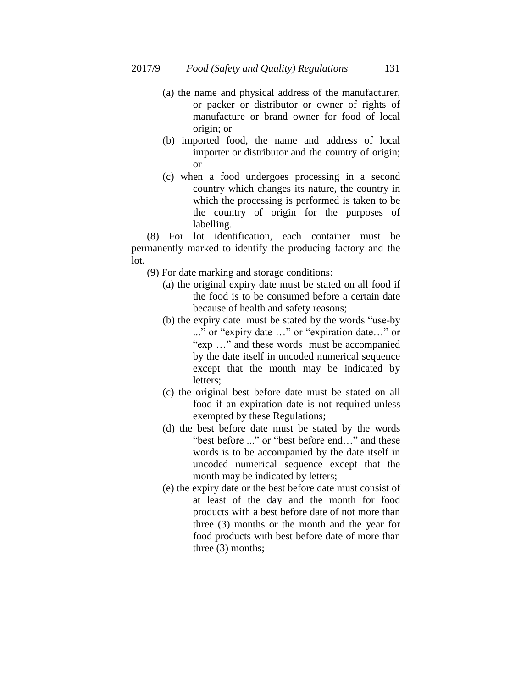- (a) the name and physical address of the manufacturer, or packer or distributor or owner of rights of manufacture or brand owner for food of local origin; or
- (b) imported food, the name and address of local importer or distributor and the country of origin; or
- (c) when a food undergoes processing in a second country which changes its nature, the country in which the processing is performed is taken to be the country of origin for the purposes of labelling.

(8) For lot identification, each container must be permanently marked to identify the producing factory and the lot.

- (9) For date marking and storage conditions:
	- (a) the original expiry date must be stated on all food if the food is to be consumed before a certain date because of health and safety reasons;
	- (b) the expiry date must be stated by the words "use-by ..." or "expiry date …" or "expiration date…" or "exp …" and these words must be accompanied by the date itself in uncoded numerical sequence except that the month may be indicated by letters;
	- (c) the original best before date must be stated on all food if an expiration date is not required unless exempted by these Regulations;
	- (d) the best before date must be stated by the words "best before ..." or "best before end…" and these words is to be accompanied by the date itself in uncoded numerical sequence except that the month may be indicated by letters;
	- (e) the expiry date or the best before date must consist of at least of the day and the month for food products with a best before date of not more than three (3) months or the month and the year for food products with best before date of more than three (3) months;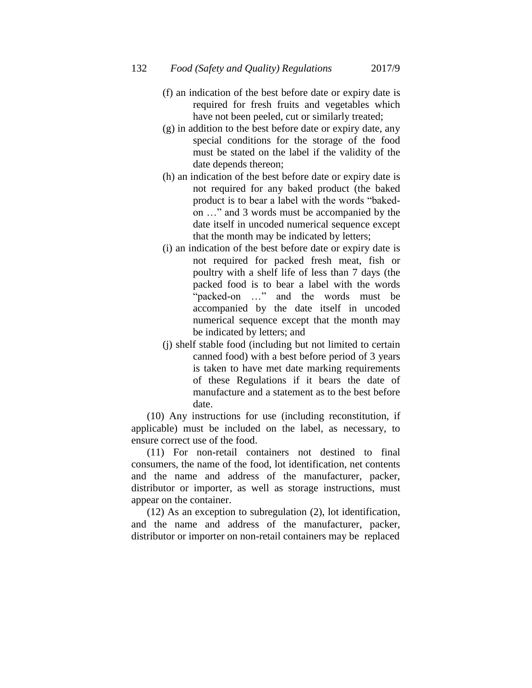132 *Food (Safety and Quality) Regulations* 2017/9

- 
- (f) an indication of the best before date or expiry date is required for fresh fruits and vegetables which have not been peeled, cut or similarly treated;
- (g) in addition to the best before date or expiry date, any special conditions for the storage of the food must be stated on the label if the validity of the date depends thereon;
- (h) an indication of the best before date or expiry date is not required for any baked product (the baked product is to bear a label with the words "bakedon …" and 3 words must be accompanied by the date itself in uncoded numerical sequence except that the month may be indicated by letters;
- (i) an indication of the best before date or expiry date is not required for packed fresh meat, fish or poultry with a shelf life of less than 7 days (the packed food is to bear a label with the words "packed-on …" and the words must be accompanied by the date itself in uncoded numerical sequence except that the month may be indicated by letters; and
- (j) shelf stable food (including but not limited to certain canned food) with a best before period of 3 years is taken to have met date marking requirements of these Regulations if it bears the date of manufacture and a statement as to the best before date.

(10) Any instructions for use (including reconstitution, if applicable) must be included on the label, as necessary, to ensure correct use of the food.

(11) For non-retail containers not destined to final consumers, the name of the food, lot identification, net contents and the name and address of the manufacturer, packer, distributor or importer, as well as storage instructions, must appear on the container.

(12) As an exception to subregulation (2), lot identification, and the name and address of the manufacturer, packer, distributor or importer on non-retail containers may be replaced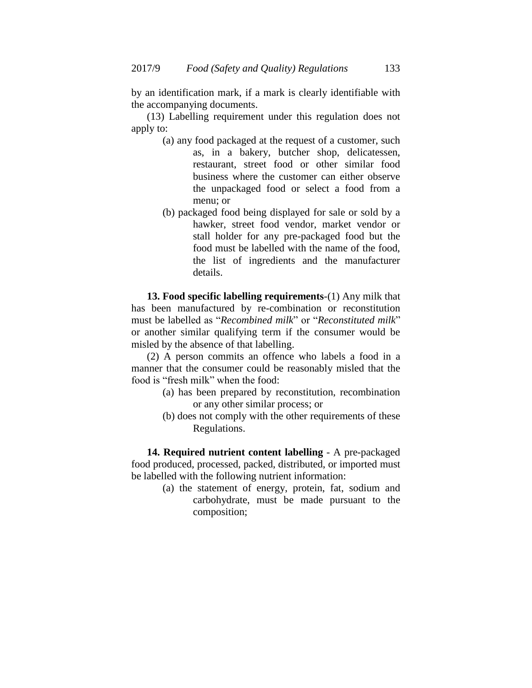by an identification mark, if a mark is clearly identifiable with the accompanying documents.

(13) Labelling requirement under this regulation does not apply to:

- (a) any food packaged at the request of a customer, such as, in a bakery, butcher shop, delicatessen, restaurant, street food or other similar food business where the customer can either observe the unpackaged food or select a food from a menu; or
- (b) packaged food being displayed for sale or sold by a hawker, street food vendor, market vendor or stall holder for any pre-packaged food but the food must be labelled with the name of the food, the list of ingredients and the manufacturer details.

**13. Food specific labelling requirements**-(1) Any milk that has been manufactured by re-combination or reconstitution must be labelled as "*Recombined milk*" or "*Reconstituted milk*" or another similar qualifying term if the consumer would be misled by the absence of that labelling.

(2) A person commits an offence who labels a food in a manner that the consumer could be reasonably misled that the food is "fresh milk" when the food:

- (a) has been prepared by reconstitution, recombination or any other similar process; or
- (b) does not comply with the other requirements of these Regulations.

**14. Required nutrient content labelling** - A pre-packaged food produced, processed, packed, distributed, or imported must be labelled with the following nutrient information:

> (a) the statement of energy, protein, fat, sodium and carbohydrate, must be made pursuant to the composition;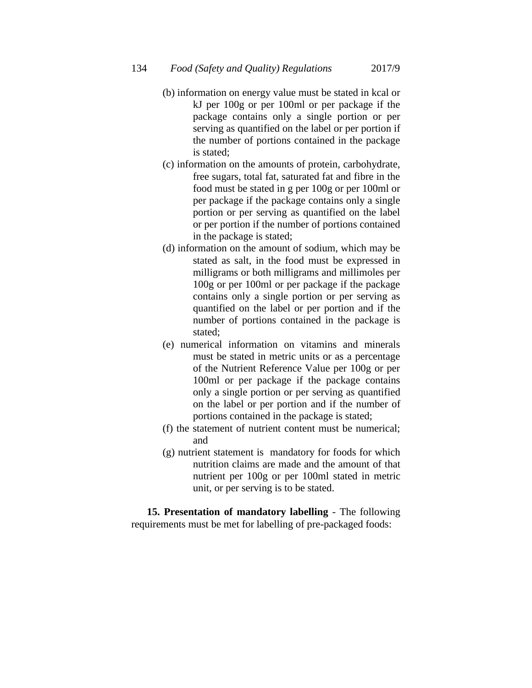- (b) information on energy value must be stated in kcal or kJ per 100g or per 100ml or per package if the package contains only a single portion or per serving as quantified on the label or per portion if the number of portions contained in the package is stated;
- (c) information on the amounts of protein, carbohydrate, free sugars, total fat, saturated fat and fibre in the food must be stated in g per 100g or per 100ml or per package if the package contains only a single portion or per serving as quantified on the label or per portion if the number of portions contained in the package is stated;
- (d) information on the amount of sodium, which may be stated as salt, in the food must be expressed in milligrams or both milligrams and millimoles per 100g or per 100ml or per package if the package contains only a single portion or per serving as quantified on the label or per portion and if the number of portions contained in the package is stated;
- (e) numerical information on vitamins and minerals must be stated in metric units or as a percentage of the Nutrient Reference Value per 100g or per 100ml or per package if the package contains only a single portion or per serving as quantified on the label or per portion and if the number of portions contained in the package is stated;
- (f) the statement of nutrient content must be numerical; and
- (g) nutrient statement is mandatory for foods for which nutrition claims are made and the amount of that nutrient per 100g or per 100ml stated in metric unit, or per serving is to be stated.

**15. Presentation of mandatory labelling** - The following requirements must be met for labelling of pre-packaged foods: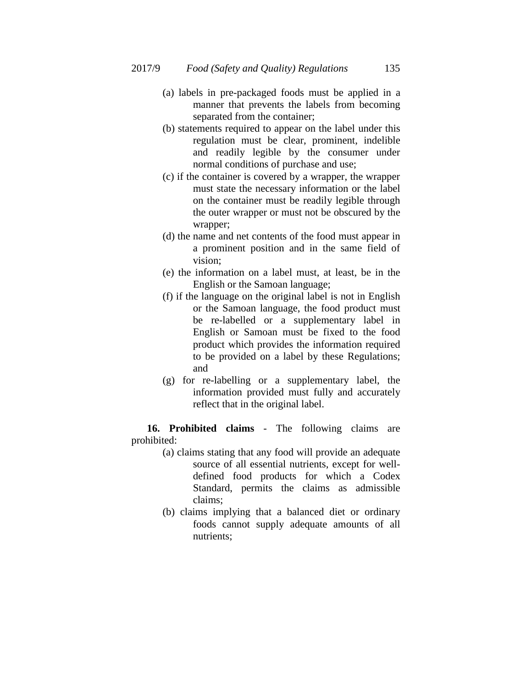- (a) labels in pre-packaged foods must be applied in a manner that prevents the labels from becoming separated from the container;
- (b) statements required to appear on the label under this regulation must be clear, prominent, indelible and readily legible by the consumer under normal conditions of purchase and use;
- (c) if the container is covered by a wrapper, the wrapper must state the necessary information or the label on the container must be readily legible through the outer wrapper or must not be obscured by the wrapper;
- (d) the name and net contents of the food must appear in a prominent position and in the same field of vision;
- (e) the information on a label must, at least, be in the English or the Samoan language;
- (f) if the language on the original label is not in English or the Samoan language, the food product must be re-labelled or a supplementary label in English or Samoan must be fixed to the food product which provides the information required to be provided on a label by these Regulations; and
- (g) for re-labelling or a supplementary label, the information provided must fully and accurately reflect that in the original label.

**16. Prohibited claims** - The following claims are prohibited:

- (a) claims stating that any food will provide an adequate source of all essential nutrients, except for welldefined food products for which a Codex Standard, permits the claims as admissible claims;
- (b) claims implying that a balanced diet or ordinary foods cannot supply adequate amounts of all nutrients;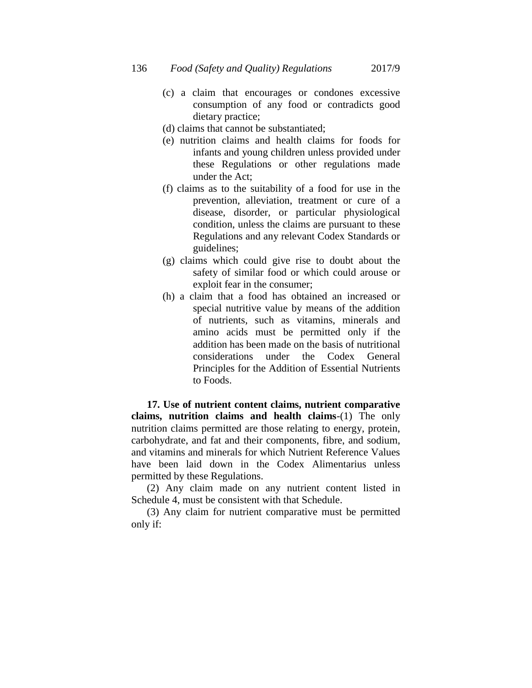- (c) a claim that encourages or condones excessive consumption of any food or contradicts good dietary practice;
- (d) claims that cannot be substantiated;
- (e) nutrition claims and health claims for foods for infants and young children unless provided under these Regulations or other regulations made under the Act;
- (f) claims as to the suitability of a food for use in the prevention, alleviation, treatment or cure of a disease, disorder, or particular physiological condition, unless the claims are pursuant to these Regulations and any relevant Codex Standards or guidelines;
- (g) claims which could give rise to doubt about the safety of similar food or which could arouse or exploit fear in the consumer;
- (h) a claim that a food has obtained an increased or special nutritive value by means of the addition of nutrients, such as vitamins, minerals and amino acids must be permitted only if the addition has been made on the basis of nutritional considerations under the Codex General Principles for the Addition of Essential Nutrients to Foods.

**17. Use of nutrient content claims, nutrient comparative claims, nutrition claims and health claims**-(1) The only nutrition claims permitted are those relating to energy, protein, carbohydrate, and fat and their components, fibre, and sodium, and vitamins and minerals for which Nutrient Reference Values have been laid down in the Codex Alimentarius unless permitted by these Regulations.

(2) Any claim made on any nutrient content listed in Schedule 4, must be consistent with that Schedule.

(3) Any claim for nutrient comparative must be permitted only if: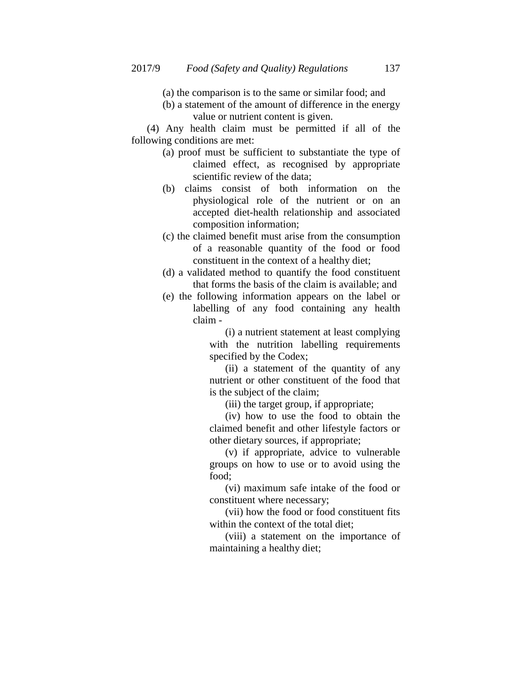- (a) the comparison is to the same or similar food; and
- (b) a statement of the amount of difference in the energy value or nutrient content is given.

(4) Any health claim must be permitted if all of the following conditions are met:

- (a) proof must be sufficient to substantiate the type of claimed effect, as recognised by appropriate scientific review of the data;
- (b) claims consist of both information on the physiological role of the nutrient or on an accepted diet-health relationship and associated composition information;
- (c) the claimed benefit must arise from the consumption of a reasonable quantity of the food or food constituent in the context of a healthy diet;
- (d) a validated method to quantify the food constituent that forms the basis of the claim is available; and
- (e) the following information appears on the label or labelling of any food containing any health claim -

(i) a nutrient statement at least complying with the nutrition labelling requirements specified by the Codex;

(ii) a statement of the quantity of any nutrient or other constituent of the food that is the subject of the claim;

(iii) the target group, if appropriate;

(iv) how to use the food to obtain the claimed benefit and other lifestyle factors or other dietary sources, if appropriate;

(v) if appropriate, advice to vulnerable groups on how to use or to avoid using the food;

(vi) maximum safe intake of the food or constituent where necessary;

(vii) how the food or food constituent fits within the context of the total diet;

(viii) a statement on the importance of maintaining a healthy diet;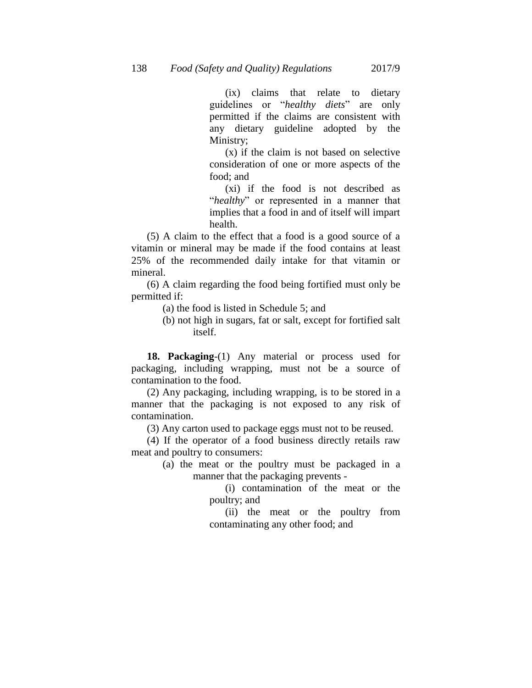(ix) claims that relate to dietary guidelines or "*healthy diets*" are only permitted if the claims are consistent with any dietary guideline adopted by the Ministry;

(x) if the claim is not based on selective consideration of one or more aspects of the food; and

(xi) if the food is not described as "*healthy*" or represented in a manner that implies that a food in and of itself will impart health.

(5) A claim to the effect that a food is a good source of a vitamin or mineral may be made if the food contains at least 25% of the recommended daily intake for that vitamin or mineral.

(6) A claim regarding the food being fortified must only be permitted if:

- (a) the food is listed in Schedule 5; and
- (b) not high in sugars, fat or salt, except for fortified salt itself.

**18. Packaging**-(1) Any material or process used for packaging, including wrapping, must not be a source of contamination to the food.

(2) Any packaging, including wrapping, is to be stored in a manner that the packaging is not exposed to any risk of contamination.

(3) Any carton used to package eggs must not to be reused.

(4) If the operator of a food business directly retails raw meat and poultry to consumers:

> (a) the meat or the poultry must be packaged in a manner that the packaging prevents -

> > (i) contamination of the meat or the poultry; and

> > (ii) the meat or the poultry from contaminating any other food; and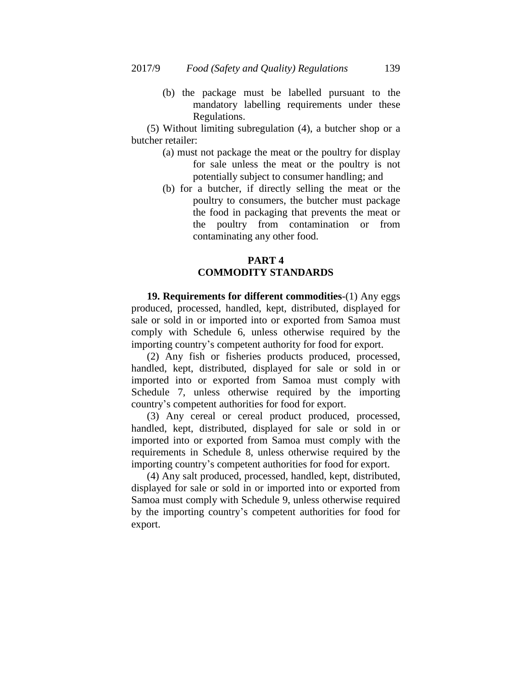(b) the package must be labelled pursuant to the mandatory labelling requirements under these Regulations.

(5) Without limiting subregulation (4), a butcher shop or a butcher retailer:

- (a) must not package the meat or the poultry for display for sale unless the meat or the poultry is not potentially subject to consumer handling; and
- (b) for a butcher, if directly selling the meat or the poultry to consumers, the butcher must package the food in packaging that prevents the meat or the poultry from contamination or from contaminating any other food.

# **PART 4 COMMODITY STANDARDS**

**19. Requirements for different commodities**-(1) Any eggs produced, processed, handled, kept, distributed, displayed for sale or sold in or imported into or exported from Samoa must comply with Schedule 6, unless otherwise required by the importing country"s competent authority for food for export.

(2) Any fish or fisheries products produced, processed, handled, kept, distributed, displayed for sale or sold in or imported into or exported from Samoa must comply with Schedule 7, unless otherwise required by the importing country"s competent authorities for food for export.

(3) Any cereal or cereal product produced, processed, handled, kept, distributed, displayed for sale or sold in or imported into or exported from Samoa must comply with the requirements in Schedule 8, unless otherwise required by the importing country"s competent authorities for food for export.

(4) Any salt produced, processed, handled, kept, distributed, displayed for sale or sold in or imported into or exported from Samoa must comply with Schedule 9, unless otherwise required by the importing country"s competent authorities for food for export.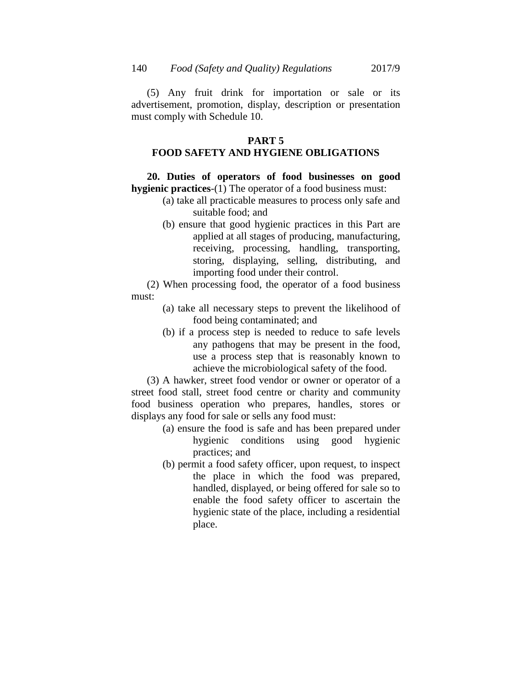(5) Any fruit drink for importation or sale or its advertisement, promotion, display, description or presentation must comply with Schedule 10.

## **PART 5**

## **FOOD SAFETY AND HYGIENE OBLIGATIONS**

**20. Duties of operators of food businesses on good hygienic practices**-(1) The operator of a food business must:

- (a) take all practicable measures to process only safe and suitable food; and
- (b) ensure that good hygienic practices in this Part are applied at all stages of producing, manufacturing, receiving, processing, handling, transporting, storing, displaying, selling, distributing, and importing food under their control.

(2) When processing food, the operator of a food business must:

- (a) take all necessary steps to prevent the likelihood of food being contaminated; and
- (b) if a process step is needed to reduce to safe levels any pathogens that may be present in the food, use a process step that is reasonably known to achieve the microbiological safety of the food.

(3) A hawker, street food vendor or owner or operator of a street food stall, street food centre or charity and community food business operation who prepares, handles, stores or displays any food for sale or sells any food must:

- (a) ensure the food is safe and has been prepared under hygienic conditions using good hygienic practices; and
- (b) permit a food safety officer, upon request, to inspect the place in which the food was prepared, handled, displayed, or being offered for sale so to enable the food safety officer to ascertain the hygienic state of the place, including a residential place.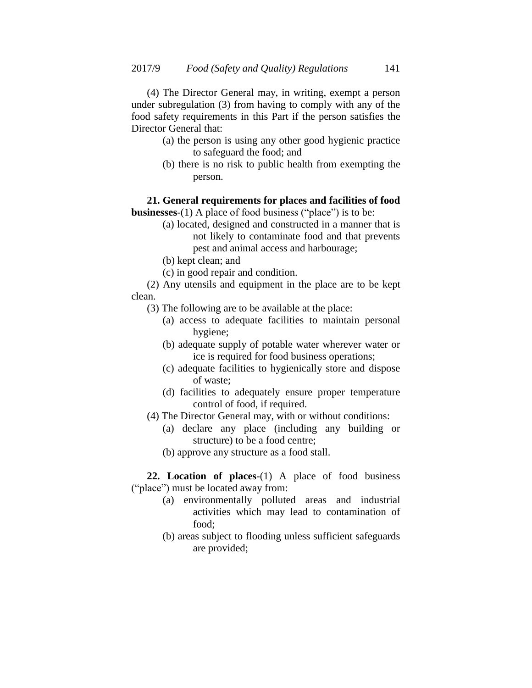(4) The Director General may, in writing, exempt a person under subregulation (3) from having to comply with any of the food safety requirements in this Part if the person satisfies the Director General that:

- (a) the person is using any other good hygienic practice to safeguard the food; and
- (b) there is no risk to public health from exempting the person.

# **21. General requirements for places and facilities of food**

**businesses**-(1) A place of food business ("place") is to be:

- (a) located, designed and constructed in a manner that is not likely to contaminate food and that prevents pest and animal access and harbourage;
- (b) kept clean; and
- (c) in good repair and condition.

(2) Any utensils and equipment in the place are to be kept clean.

- (3) The following are to be available at the place:
	- (a) access to adequate facilities to maintain personal hygiene;
	- (b) adequate supply of potable water wherever water or ice is required for food business operations;
	- (c) adequate facilities to hygienically store and dispose of waste;
	- (d) facilities to adequately ensure proper temperature control of food, if required.
- (4) The Director General may, with or without conditions:
	- (a) declare any place (including any building or structure) to be a food centre;
	- (b) approve any structure as a food stall.

**22. Location of places**-(1) A place of food business ("place") must be located away from:

- (a) environmentally polluted areas and industrial activities which may lead to contamination of food;
- (b) areas subject to flooding unless sufficient safeguards are provided;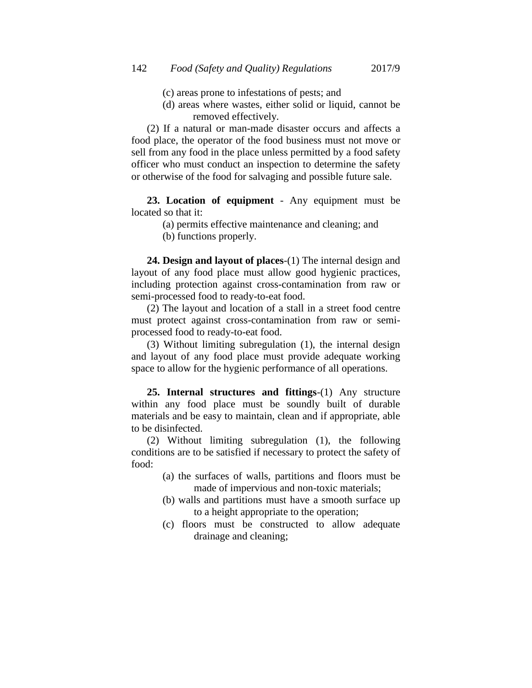- (c) areas prone to infestations of pests; and
- (d) areas where wastes, either solid or liquid, cannot be removed effectively.

(2) If a natural or man-made disaster occurs and affects a food place, the operator of the food business must not move or sell from any food in the place unless permitted by a food safety officer who must conduct an inspection to determine the safety or otherwise of the food for salvaging and possible future sale.

**23. Location of equipment** - Any equipment must be located so that it:

- (a) permits effective maintenance and cleaning; and
- (b) functions properly.

**24. Design and layout of places**-(1) The internal design and layout of any food place must allow good hygienic practices, including protection against cross-contamination from raw or semi-processed food to ready-to-eat food.

(2) The layout and location of a stall in a street food centre must protect against cross-contamination from raw or semiprocessed food to ready-to-eat food.

(3) Without limiting subregulation (1), the internal design and layout of any food place must provide adequate working space to allow for the hygienic performance of all operations.

**25. Internal structures and fittings**-(1) Any structure within any food place must be soundly built of durable materials and be easy to maintain, clean and if appropriate, able to be disinfected.

(2) Without limiting subregulation (1), the following conditions are to be satisfied if necessary to protect the safety of food:

- (a) the surfaces of walls, partitions and floors must be made of impervious and non-toxic materials;
- (b) walls and partitions must have a smooth surface up to a height appropriate to the operation;
- (c) floors must be constructed to allow adequate drainage and cleaning;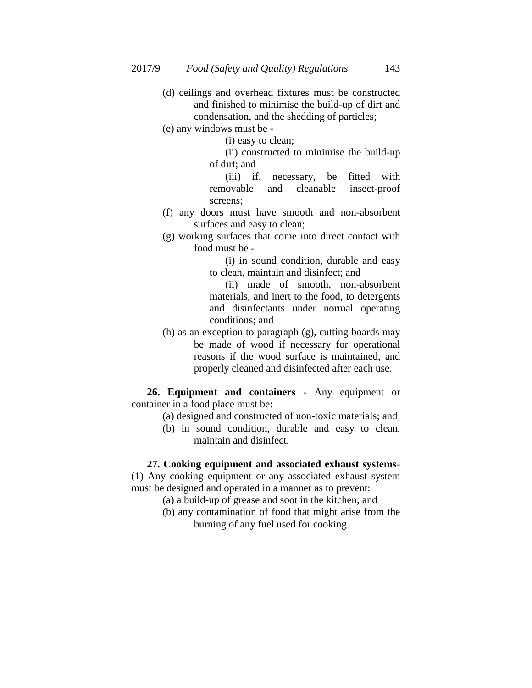- (d) ceilings and overhead fixtures must be constructed and finished to minimise the build-up of dirt and condensation, and the shedding of particles;
- (e) any windows must be -

(i) easy to clean;

(ii) constructed to minimise the build-up of dirt; and

(iii) if, necessary, be fitted with removable and cleanable insect-proof screens;

- (f) any doors must have smooth and non-absorbent surfaces and easy to clean;
- (g) working surfaces that come into direct contact with food must be -

(i) in sound condition, durable and easy to clean, maintain and disinfect; and

(ii) made of smooth, non-absorbent materials, and inert to the food, to detergents and disinfectants under normal operating conditions; and

(h) as an exception to paragraph (g), cutting boards may be made of wood if necessary for operational reasons if the wood surface is maintained, and properly cleaned and disinfected after each use.

**26. Equipment and containers** - Any equipment or container in a food place must be:

- (a) designed and constructed of non-toxic materials; and
- (b) in sound condition, durable and easy to clean, maintain and disinfect.

## **27. Cooking equipment and associated exhaust systems**-

(1) Any cooking equipment or any associated exhaust system must be designed and operated in a manner as to prevent:

- (a) a build-up of grease and soot in the kitchen; and
- (b) any contamination of food that might arise from the burning of any fuel used for cooking.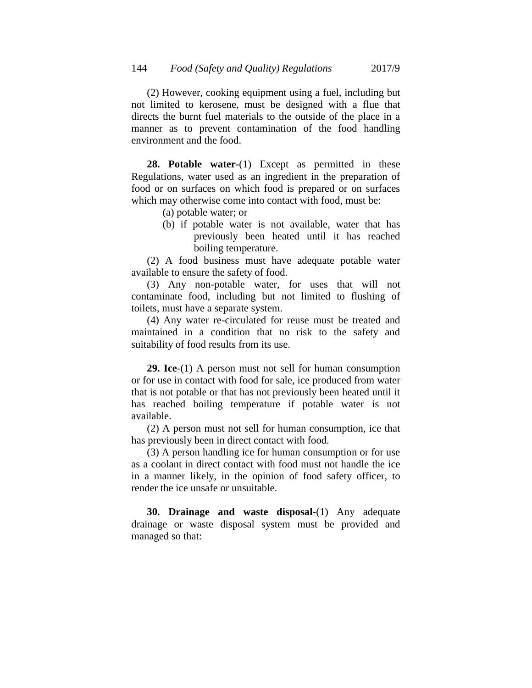(2) However, cooking equipment using a fuel, including but not limited to kerosene, must be designed with a flue that directs the burnt fuel materials to the outside of the place in a manner as to prevent contamination of the food handling environment and the food.

**28. Potable water-**(1) Except as permitted in these Regulations, water used as an ingredient in the preparation of food or on surfaces on which food is prepared or on surfaces which may otherwise come into contact with food, must be:

- (a) potable water; or
- (b) if potable water is not available, water that has previously been heated until it has reached boiling temperature.

(2) A food business must have adequate potable water available to ensure the safety of food.

(3) Any non-potable water, for uses that will not contaminate food, including but not limited to flushing of toilets, must have a separate system.

(4) Any water re-circulated for reuse must be treated and maintained in a condition that no risk to the safety and suitability of food results from its use.

**29. Ice**-(1) A person must not sell for human consumption or for use in contact with food for sale, ice produced from water that is not potable or that has not previously been heated until it has reached boiling temperature if potable water is not available.

(2) A person must not sell for human consumption, ice that has previously been in direct contact with food.

(3) A person handling ice for human consumption or for use as a coolant in direct contact with food must not handle the ice in a manner likely, in the opinion of food safety officer, to render the ice unsafe or unsuitable.

**30. Drainage and waste disposal**-(1) Any adequate drainage or waste disposal system must be provided and managed so that: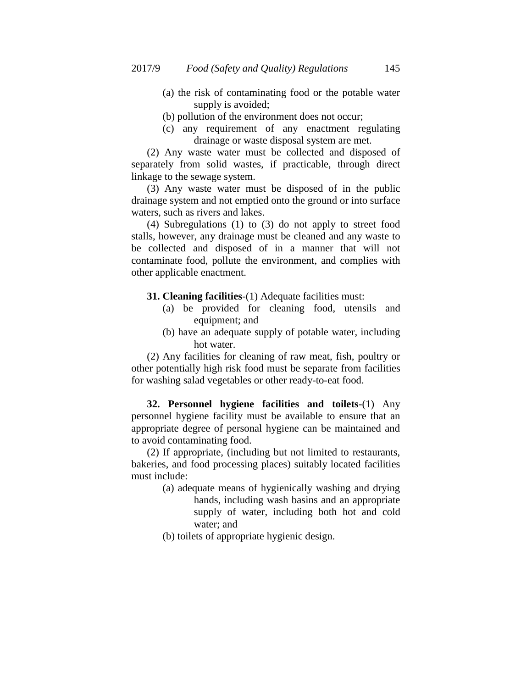- (a) the risk of contaminating food or the potable water supply is avoided;
- (b) pollution of the environment does not occur;
- (c) any requirement of any enactment regulating drainage or waste disposal system are met.

(2) Any waste water must be collected and disposed of separately from solid wastes, if practicable, through direct linkage to the sewage system.

(3) Any waste water must be disposed of in the public drainage system and not emptied onto the ground or into surface waters, such as rivers and lakes.

(4) Subregulations (1) to (3) do not apply to street food stalls, however, any drainage must be cleaned and any waste to be collected and disposed of in a manner that will not contaminate food, pollute the environment, and complies with other applicable enactment.

## **31. Cleaning facilities**-(1) Adequate facilities must:

- (a) be provided for cleaning food, utensils and equipment; and
- (b) have an adequate supply of potable water, including hot water.

(2) Any facilities for cleaning of raw meat, fish, poultry or other potentially high risk food must be separate from facilities for washing salad vegetables or other ready-to-eat food.

**32. Personnel hygiene facilities and toilets**-(1) Any personnel hygiene facility must be available to ensure that an appropriate degree of personal hygiene can be maintained and to avoid contaminating food.

(2) If appropriate, (including but not limited to restaurants, bakeries, and food processing places) suitably located facilities must include:

- (a) adequate means of hygienically washing and drying hands, including wash basins and an appropriate supply of water, including both hot and cold water; and
- (b) toilets of appropriate hygienic design.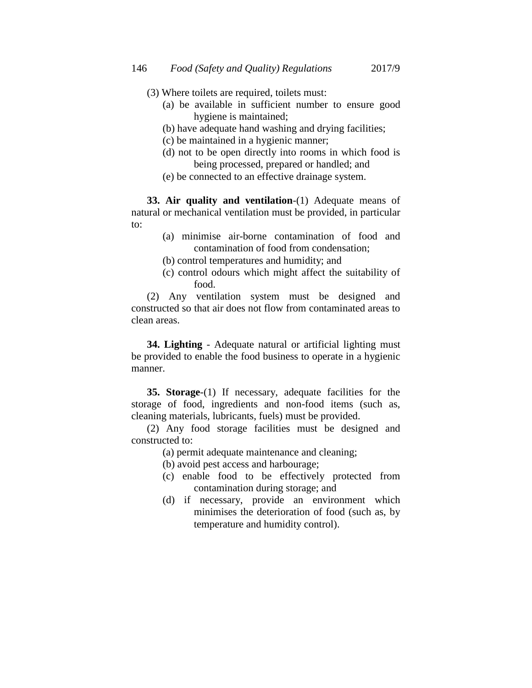- (3) Where toilets are required, toilets must:
	- (a) be available in sufficient number to ensure good hygiene is maintained;
	- (b) have adequate hand washing and drying facilities;
	- (c) be maintained in a hygienic manner;
	- (d) not to be open directly into rooms in which food is being processed, prepared or handled; and
	- (e) be connected to an effective drainage system.

**33. Air quality and ventilation**-(1) Adequate means of natural or mechanical ventilation must be provided, in particular to:

- (a) minimise air-borne contamination of food and contamination of food from condensation;
- (b) control temperatures and humidity; and
- (c) control odours which might affect the suitability of food.

(2) Any ventilation system must be designed and constructed so that air does not flow from contaminated areas to clean areas.

**34. Lighting** - Adequate natural or artificial lighting must be provided to enable the food business to operate in a hygienic manner.

**35. Storage**-(1) If necessary, adequate facilities for the storage of food, ingredients and non-food items (such as, cleaning materials, lubricants, fuels) must be provided.

(2) Any food storage facilities must be designed and constructed to:

- (a) permit adequate maintenance and cleaning;
- (b) avoid pest access and harbourage;
- (c) enable food to be effectively protected from contamination during storage; and
- (d) if necessary, provide an environment which minimises the deterioration of food (such as, by temperature and humidity control).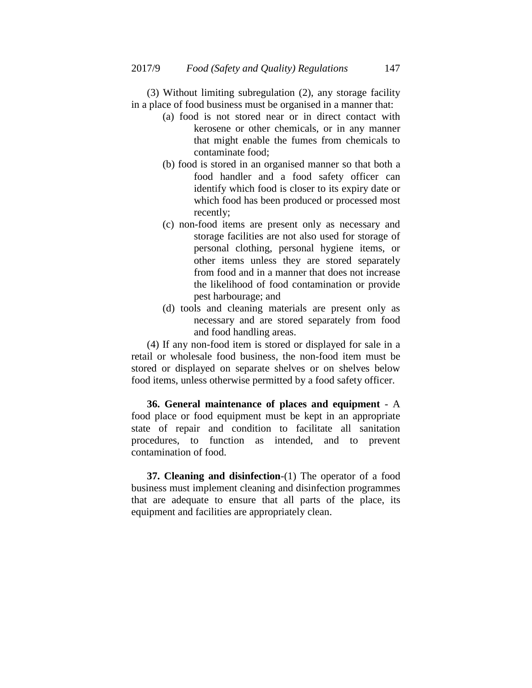(3) Without limiting subregulation (2), any storage facility in a place of food business must be organised in a manner that:

- (a) food is not stored near or in direct contact with kerosene or other chemicals, or in any manner that might enable the fumes from chemicals to contaminate food;
- (b) food is stored in an organised manner so that both a food handler and a food safety officer can identify which food is closer to its expiry date or which food has been produced or processed most recently;
- (c) non-food items are present only as necessary and storage facilities are not also used for storage of personal clothing, personal hygiene items, or other items unless they are stored separately from food and in a manner that does not increase the likelihood of food contamination or provide pest harbourage; and
- (d) tools and cleaning materials are present only as necessary and are stored separately from food and food handling areas.

(4) If any non-food item is stored or displayed for sale in a retail or wholesale food business, the non-food item must be stored or displayed on separate shelves or on shelves below food items, unless otherwise permitted by a food safety officer.

**36. General maintenance of places and equipment** - A food place or food equipment must be kept in an appropriate state of repair and condition to facilitate all sanitation procedures, to function as intended, and to prevent contamination of food.

**37. Cleaning and disinfection**-(1) The operator of a food business must implement cleaning and disinfection programmes that are adequate to ensure that all parts of the place, its equipment and facilities are appropriately clean.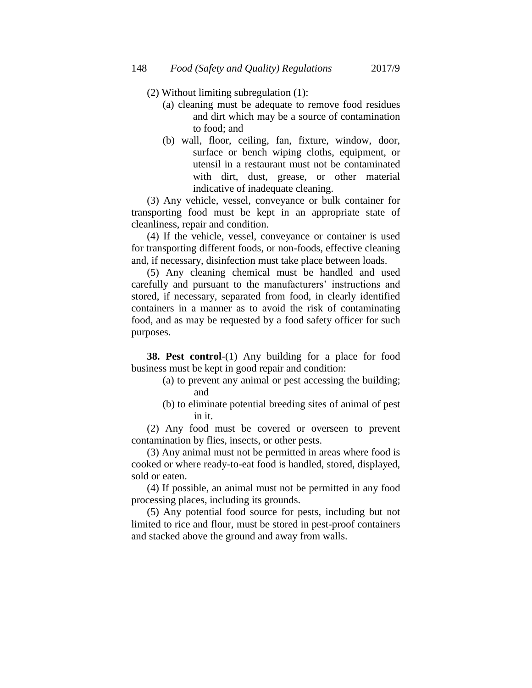- (2) Without limiting subregulation (1):
	- (a) cleaning must be adequate to remove food residues and dirt which may be a source of contamination to food; and
	- (b) wall, floor, ceiling, fan, fixture, window, door, surface or bench wiping cloths, equipment, or utensil in a restaurant must not be contaminated with dirt, dust, grease, or other material indicative of inadequate cleaning.

(3) Any vehicle, vessel, conveyance or bulk container for transporting food must be kept in an appropriate state of cleanliness, repair and condition.

(4) If the vehicle, vessel, conveyance or container is used for transporting different foods, or non-foods, effective cleaning and, if necessary, disinfection must take place between loads.

(5) Any cleaning chemical must be handled and used carefully and pursuant to the manufacturers' instructions and stored, if necessary, separated from food, in clearly identified containers in a manner as to avoid the risk of contaminating food, and as may be requested by a food safety officer for such purposes.

**38. Pest control**-(1) Any building for a place for food business must be kept in good repair and condition:

- (a) to prevent any animal or pest accessing the building; and
- (b) to eliminate potential breeding sites of animal of pest in it.

(2) Any food must be covered or overseen to prevent contamination by flies, insects, or other pests.

(3) Any animal must not be permitted in areas where food is cooked or where ready-to-eat food is handled, stored, displayed, sold or eaten.

(4) If possible, an animal must not be permitted in any food processing places, including its grounds.

(5) Any potential food source for pests, including but not limited to rice and flour, must be stored in pest-proof containers and stacked above the ground and away from walls.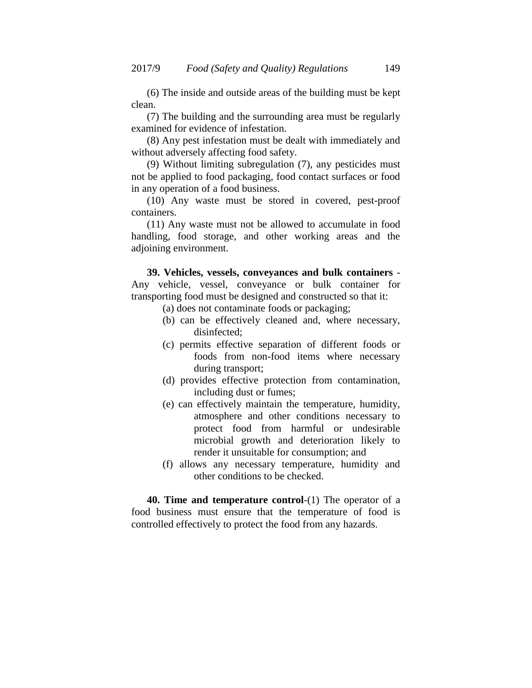(6) The inside and outside areas of the building must be kept clean.

(7) The building and the surrounding area must be regularly examined for evidence of infestation.

(8) Any pest infestation must be dealt with immediately and without adversely affecting food safety.

(9) Without limiting subregulation (7), any pesticides must not be applied to food packaging, food contact surfaces or food in any operation of a food business.

(10) Any waste must be stored in covered, pest-proof containers.

(11) Any waste must not be allowed to accumulate in food handling, food storage, and other working areas and the adjoining environment.

**39. Vehicles, vessels, conveyances and bulk containers** - Any vehicle, vessel, conveyance or bulk container for transporting food must be designed and constructed so that it:

- (a) does not contaminate foods or packaging;
- (b) can be effectively cleaned and, where necessary, disinfected;
- (c) permits effective separation of different foods or foods from non-food items where necessary during transport;
- (d) provides effective protection from contamination, including dust or fumes;
- (e) can effectively maintain the temperature, humidity, atmosphere and other conditions necessary to protect food from harmful or undesirable microbial growth and deterioration likely to render it unsuitable for consumption; and
- (f) allows any necessary temperature, humidity and other conditions to be checked.

**40. Time and temperature control**-(1) The operator of a food business must ensure that the temperature of food is controlled effectively to protect the food from any hazards.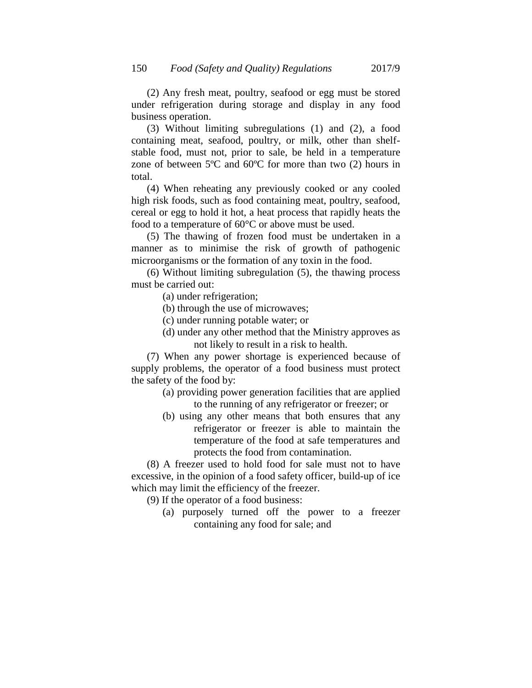(2) Any fresh meat, poultry, seafood or egg must be stored under refrigeration during storage and display in any food business operation.

(3) Without limiting subregulations (1) and (2), a food containing meat, seafood, poultry, or milk, other than shelfstable food, must not, prior to sale, be held in a temperature zone of between 5ºC and 60ºC for more than two (2) hours in total.

(4) When reheating any previously cooked or any cooled high risk foods, such as food containing meat, poultry, seafood, cereal or egg to hold it hot, a heat process that rapidly heats the food to a temperature of 60°C or above must be used.

(5) The thawing of frozen food must be undertaken in a manner as to minimise the risk of growth of pathogenic microorganisms or the formation of any toxin in the food.

(6) Without limiting subregulation (5), the thawing process must be carried out:

(a) under refrigeration;

- (b) through the use of microwaves;
- (c) under running potable water; or
- (d) under any other method that the Ministry approves as not likely to result in a risk to health.

(7) When any power shortage is experienced because of supply problems, the operator of a food business must protect the safety of the food by:

- (a) providing power generation facilities that are applied to the running of any refrigerator or freezer; or
- (b) using any other means that both ensures that any refrigerator or freezer is able to maintain the temperature of the food at safe temperatures and protects the food from contamination.

(8) A freezer used to hold food for sale must not to have excessive, in the opinion of a food safety officer, build-up of ice which may limit the efficiency of the freezer.

(9) If the operator of a food business:

(a) purposely turned off the power to a freezer containing any food for sale; and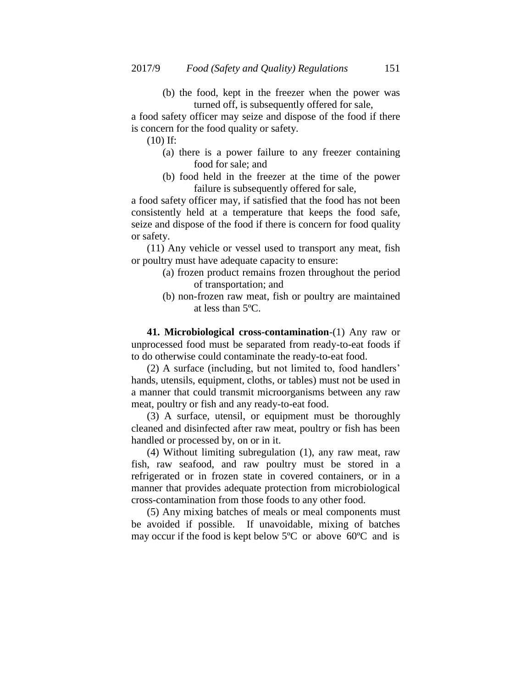(b) the food, kept in the freezer when the power was turned off, is subsequently offered for sale,

a food safety officer may seize and dispose of the food if there is concern for the food quality or safety.

(10) If:

- (a) there is a power failure to any freezer containing food for sale; and
- (b) food held in the freezer at the time of the power failure is subsequently offered for sale,

a food safety officer may, if satisfied that the food has not been consistently held at a temperature that keeps the food safe, seize and dispose of the food if there is concern for food quality or safety.

(11) Any vehicle or vessel used to transport any meat, fish or poultry must have adequate capacity to ensure:

- (a) frozen product remains frozen throughout the period of transportation; and
- (b) non-frozen raw meat, fish or poultry are maintained at less than 5ºC.

**41. Microbiological cross-contamination**-(1) Any raw or unprocessed food must be separated from ready-to-eat foods if to do otherwise could contaminate the ready-to-eat food.

(2) A surface (including, but not limited to, food handlers" hands, utensils, equipment, cloths, or tables) must not be used in a manner that could transmit microorganisms between any raw meat, poultry or fish and any ready-to-eat food.

(3) A surface, utensil, or equipment must be thoroughly cleaned and disinfected after raw meat, poultry or fish has been handled or processed by, on or in it.

(4) Without limiting subregulation (1), any raw meat, raw fish, raw seafood, and raw poultry must be stored in a refrigerated or in frozen state in covered containers, or in a manner that provides adequate protection from microbiological cross-contamination from those foods to any other food.

(5) Any mixing batches of meals or meal components must be avoided if possible. If unavoidable, mixing of batches may occur if the food is kept below 5ºC or above 60ºC and is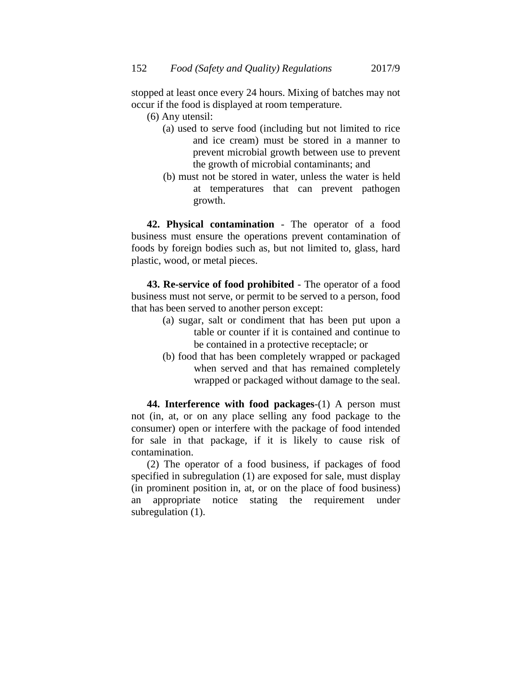stopped at least once every 24 hours. Mixing of batches may not occur if the food is displayed at room temperature.

- (6) Any utensil:
	- (a) used to serve food (including but not limited to rice and ice cream) must be stored in a manner to prevent microbial growth between use to prevent the growth of microbial contaminants; and
	- (b) must not be stored in water, unless the water is held at temperatures that can prevent pathogen growth.

**42. Physical contamination** - The operator of a food business must ensure the operations prevent contamination of foods by foreign bodies such as, but not limited to, glass, hard plastic, wood, or metal pieces.

**43. Re-service of food prohibited** - The operator of a food business must not serve, or permit to be served to a person, food that has been served to another person except:

- (a) sugar, salt or condiment that has been put upon a table or counter if it is contained and continue to be contained in a protective receptacle; or
- (b) food that has been completely wrapped or packaged when served and that has remained completely wrapped or packaged without damage to the seal.

**44. Interference with food packages**-(1) A person must not (in, at, or on any place selling any food package to the consumer) open or interfere with the package of food intended for sale in that package, if it is likely to cause risk of contamination.

(2) The operator of a food business, if packages of food specified in subregulation (1) are exposed for sale, must display (in prominent position in, at, or on the place of food business) an appropriate notice stating the requirement under subregulation (1).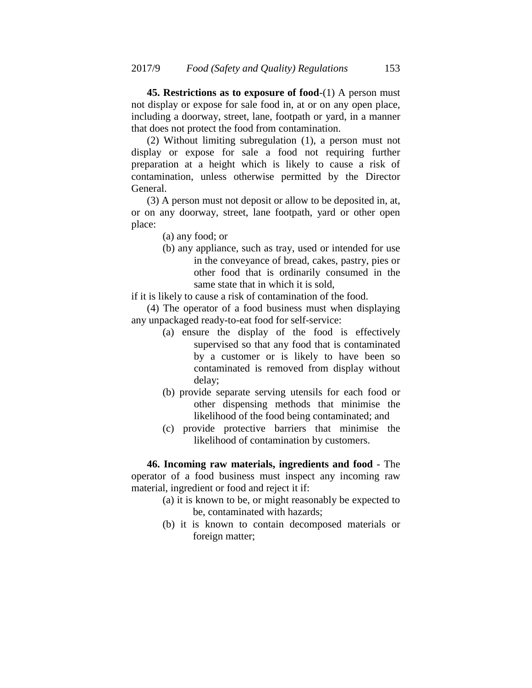**45. Restrictions as to exposure of food**-(1) A person must not display or expose for sale food in, at or on any open place, including a doorway, street, lane, footpath or yard, in a manner that does not protect the food from contamination.

(2) Without limiting subregulation (1), a person must not display or expose for sale a food not requiring further preparation at a height which is likely to cause a risk of contamination, unless otherwise permitted by the Director General.

(3) A person must not deposit or allow to be deposited in, at, or on any doorway, street, lane footpath, yard or other open place:

- (a) any food; or
- (b) any appliance, such as tray, used or intended for use in the conveyance of bread, cakes, pastry, pies or other food that is ordinarily consumed in the same state that in which it is sold,

if it is likely to cause a risk of contamination of the food.

(4) The operator of a food business must when displaying any unpackaged ready-to-eat food for self-service:

- (a) ensure the display of the food is effectively supervised so that any food that is contaminated by a customer or is likely to have been so contaminated is removed from display without delay;
- (b) provide separate serving utensils for each food or other dispensing methods that minimise the likelihood of the food being contaminated; and
- (c) provide protective barriers that minimise the likelihood of contamination by customers.

**46. Incoming raw materials, ingredients and food** - The operator of a food business must inspect any incoming raw material, ingredient or food and reject it if:

- (a) it is known to be, or might reasonably be expected to be, contaminated with hazards;
- (b) it is known to contain decomposed materials or foreign matter;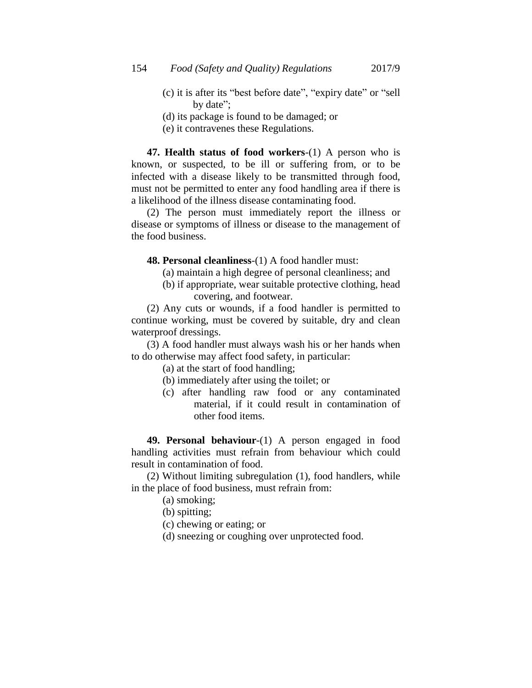- (c) it is after its "best before date", "expiry date" or "sell by date";
- (d) its package is found to be damaged; or
- (e) it contravenes these Regulations.

**47. Health status of food workers**-(1) A person who is known, or suspected, to be ill or suffering from, or to be infected with a disease likely to be transmitted through food, must not be permitted to enter any food handling area if there is a likelihood of the illness disease contaminating food.

(2) The person must immediately report the illness or disease or symptoms of illness or disease to the management of the food business.

**48. Personal cleanliness**-(1) A food handler must:

- (a) maintain a high degree of personal cleanliness; and
- (b) if appropriate, wear suitable protective clothing, head covering, and footwear.

(2) Any cuts or wounds, if a food handler is permitted to continue working, must be covered by suitable, dry and clean waterproof dressings.

(3) A food handler must always wash his or her hands when to do otherwise may affect food safety, in particular:

- (a) at the start of food handling;
- (b) immediately after using the toilet; or
- (c) after handling raw food or any contaminated material, if it could result in contamination of other food items.

**49. Personal behaviour**-(1) A person engaged in food handling activities must refrain from behaviour which could result in contamination of food.

(2) Without limiting subregulation (1), food handlers, while in the place of food business, must refrain from:

(a) smoking;

(b) spitting;

- (c) chewing or eating; or
- (d) sneezing or coughing over unprotected food.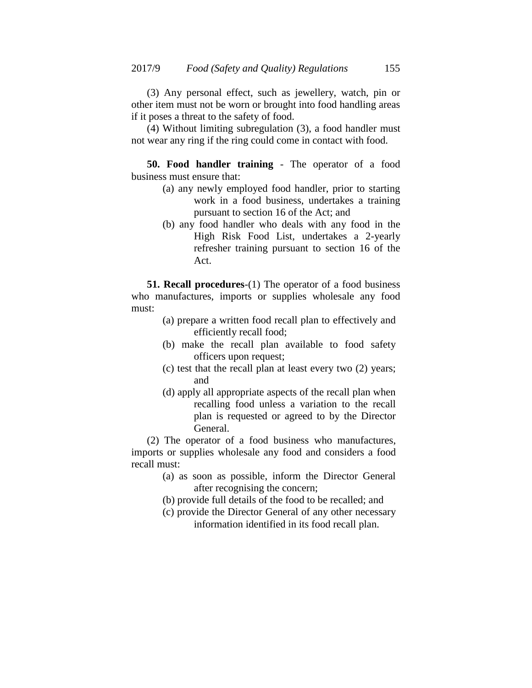(3) Any personal effect, such as jewellery, watch, pin or other item must not be worn or brought into food handling areas if it poses a threat to the safety of food.

(4) Without limiting subregulation (3), a food handler must not wear any ring if the ring could come in contact with food.

**50. Food handler training** - The operator of a food business must ensure that:

- (a) any newly employed food handler, prior to starting work in a food business, undertakes a training pursuant to section 16 of the Act; and
- (b) any food handler who deals with any food in the High Risk Food List, undertakes a 2-yearly refresher training pursuant to section 16 of the Act.

**51. Recall procedures**-(1) The operator of a food business who manufactures, imports or supplies wholesale any food must:

- (a) prepare a written food recall plan to effectively and efficiently recall food;
- (b) make the recall plan available to food safety officers upon request;
- (c) test that the recall plan at least every two (2) years; and
- (d) apply all appropriate aspects of the recall plan when recalling food unless a variation to the recall plan is requested or agreed to by the Director General.

(2) The operator of a food business who manufactures, imports or supplies wholesale any food and considers a food recall must:

- (a) as soon as possible, inform the Director General after recognising the concern;
- (b) provide full details of the food to be recalled; and
- (c) provide the Director General of any other necessary information identified in its food recall plan.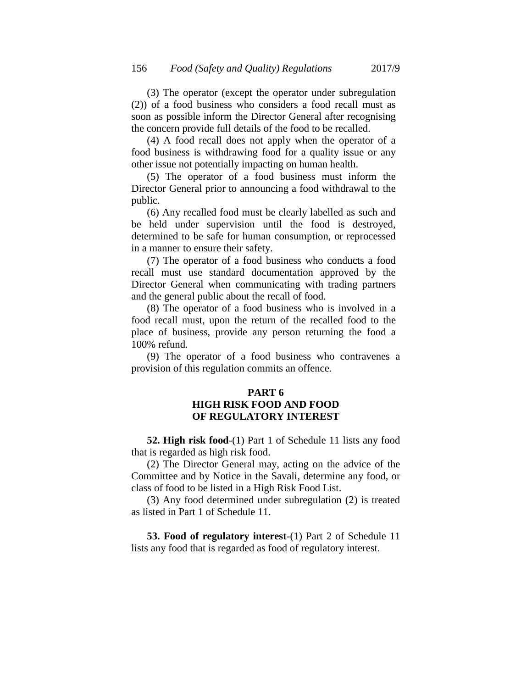(3) The operator (except the operator under subregulation (2)) of a food business who considers a food recall must as soon as possible inform the Director General after recognising the concern provide full details of the food to be recalled.

(4) A food recall does not apply when the operator of a food business is withdrawing food for a quality issue or any other issue not potentially impacting on human health.

(5) The operator of a food business must inform the Director General prior to announcing a food withdrawal to the public.

(6) Any recalled food must be clearly labelled as such and be held under supervision until the food is destroyed, determined to be safe for human consumption, or reprocessed in a manner to ensure their safety.

(7) The operator of a food business who conducts a food recall must use standard documentation approved by the Director General when communicating with trading partners and the general public about the recall of food.

(8) The operator of a food business who is involved in a food recall must, upon the return of the recalled food to the place of business, provide any person returning the food a 100% refund.

(9) The operator of a food business who contravenes a provision of this regulation commits an offence.

# **PART 6 HIGH RISK FOOD AND FOOD OF REGULATORY INTEREST**

**52. High risk food**-(1) Part 1 of Schedule 11 lists any food that is regarded as high risk food.

(2) The Director General may, acting on the advice of the Committee and by Notice in the Savali, determine any food, or class of food to be listed in a High Risk Food List.

(3) Any food determined under subregulation (2) is treated as listed in Part 1 of Schedule 11.

**53. Food of regulatory interest**-(1) Part 2 of Schedule 11 lists any food that is regarded as food of regulatory interest.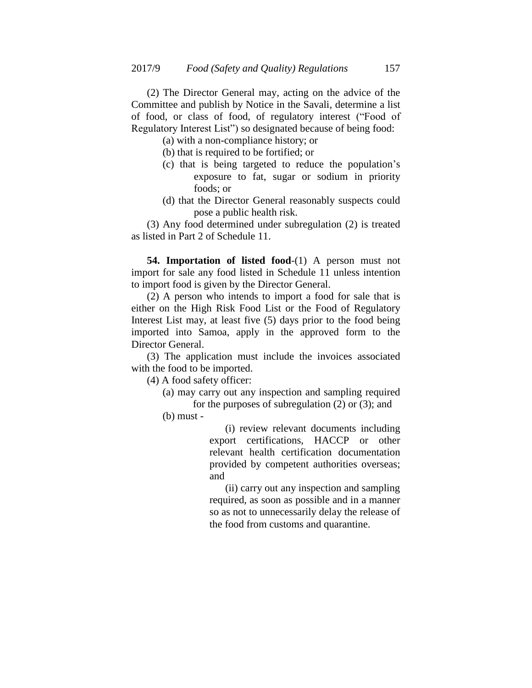(2) The Director General may, acting on the advice of the Committee and publish by Notice in the Savali, determine a list of food, or class of food, of regulatory interest ("Food of Regulatory Interest List") so designated because of being food:

(a) with a non-compliance history; or

- (b) that is required to be fortified; or
- (c) that is being targeted to reduce the population"s exposure to fat, sugar or sodium in priority foods; or
- (d) that the Director General reasonably suspects could pose a public health risk.

(3) Any food determined under subregulation (2) is treated as listed in Part 2 of Schedule 11.

**54. Importation of listed food**-(1) A person must not import for sale any food listed in Schedule 11 unless intention to import food is given by the Director General.

(2) A person who intends to import a food for sale that is either on the High Risk Food List or the Food of Regulatory Interest List may, at least five (5) days prior to the food being imported into Samoa, apply in the approved form to the Director General.

(3) The application must include the invoices associated with the food to be imported.

(4) A food safety officer:

(a) may carry out any inspection and sampling required for the purposes of subregulation (2) or (3); and

(b) must -

(i) review relevant documents including export certifications, HACCP or other relevant health certification documentation provided by competent authorities overseas; and

(ii) carry out any inspection and sampling required, as soon as possible and in a manner so as not to unnecessarily delay the release of the food from customs and quarantine.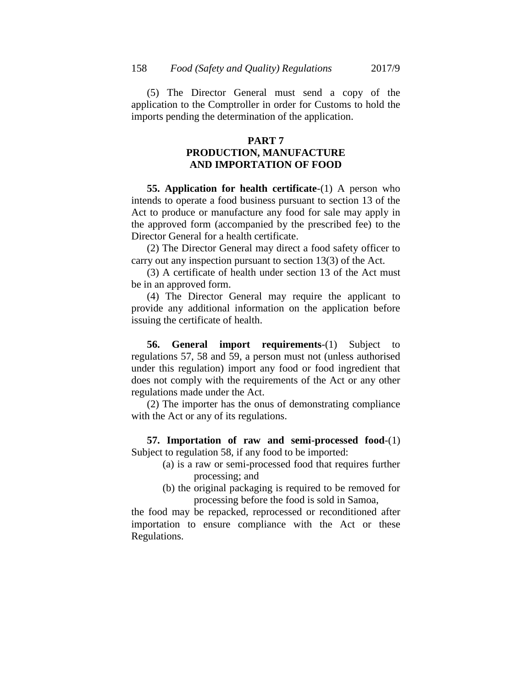(5) The Director General must send a copy of the application to the Comptroller in order for Customs to hold the imports pending the determination of the application.

# **PART 7 PRODUCTION, MANUFACTURE AND IMPORTATION OF FOOD**

**55. Application for health certificate**-(1) A person who intends to operate a food business pursuant to section 13 of the Act to produce or manufacture any food for sale may apply in the approved form (accompanied by the prescribed fee) to the Director General for a health certificate.

(2) The Director General may direct a food safety officer to carry out any inspection pursuant to section 13(3) of the Act.

(3) A certificate of health under section 13 of the Act must be in an approved form.

(4) The Director General may require the applicant to provide any additional information on the application before issuing the certificate of health.

**56. General import requirements**-(1) Subject to regulations 57, 58 and 59, a person must not (unless authorised under this regulation) import any food or food ingredient that does not comply with the requirements of the Act or any other regulations made under the Act.

(2) The importer has the onus of demonstrating compliance with the Act or any of its regulations.

**57. Importation of raw and semi-processed food**-(1) Subject to regulation 58, if any food to be imported:

- (a) is a raw or semi-processed food that requires further processing; and
- (b) the original packaging is required to be removed for processing before the food is sold in Samoa,

the food may be repacked, reprocessed or reconditioned after importation to ensure compliance with the Act or these Regulations.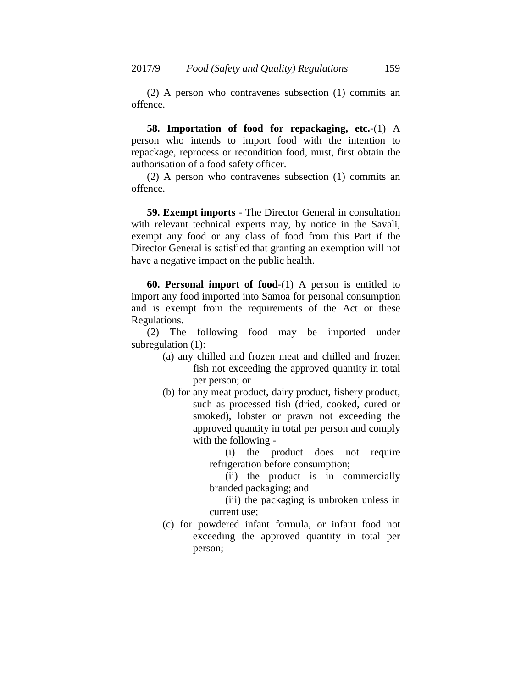(2) A person who contravenes subsection (1) commits an offence.

**58. Importation of food for repackaging, etc.**-(1) A person who intends to import food with the intention to repackage, reprocess or recondition food, must, first obtain the authorisation of a food safety officer.

(2) A person who contravenes subsection (1) commits an offence.

**59. Exempt imports** - The Director General in consultation with relevant technical experts may, by notice in the Savali, exempt any food or any class of food from this Part if the Director General is satisfied that granting an exemption will not have a negative impact on the public health.

**60. Personal import of food**-(1) A person is entitled to import any food imported into Samoa for personal consumption and is exempt from the requirements of the Act or these Regulations.

(2) The following food may be imported under subregulation  $(1)$ :

- (a) any chilled and frozen meat and chilled and frozen fish not exceeding the approved quantity in total per person; or
- (b) for any meat product, dairy product, fishery product, such as processed fish (dried, cooked, cured or smoked), lobster or prawn not exceeding the approved quantity in total per person and comply with the following -

(i) the product does not require refrigeration before consumption;

(ii) the product is in commercially branded packaging; and

(iii) the packaging is unbroken unless in current use;

(c) for powdered infant formula, or infant food not exceeding the approved quantity in total per person;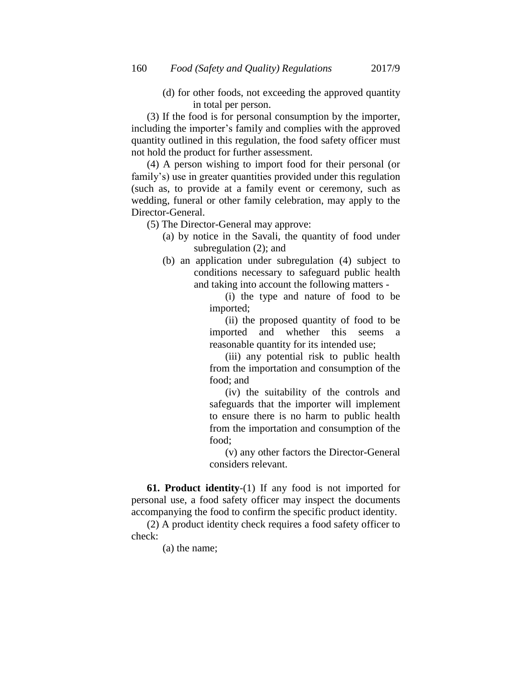(d) for other foods, not exceeding the approved quantity in total per person.

(3) If the food is for personal consumption by the importer, including the importer's family and complies with the approved quantity outlined in this regulation, the food safety officer must not hold the product for further assessment.

(4) A person wishing to import food for their personal (or family's) use in greater quantities provided under this regulation (such as, to provide at a family event or ceremony, such as wedding, funeral or other family celebration, may apply to the Director-General.

(5) The Director-General may approve:

- (a) by notice in the Savali, the quantity of food under subregulation (2); and
- (b) an application under subregulation (4) subject to conditions necessary to safeguard public health and taking into account the following matters -

(i) the type and nature of food to be imported;

(ii) the proposed quantity of food to be imported and whether this seems a reasonable quantity for its intended use;

(iii) any potential risk to public health from the importation and consumption of the food; and

(iv) the suitability of the controls and safeguards that the importer will implement to ensure there is no harm to public health from the importation and consumption of the food;

(v) any other factors the Director-General considers relevant.

**61. Product identity**-(1) If any food is not imported for personal use, a food safety officer may inspect the documents accompanying the food to confirm the specific product identity.

(2) A product identity check requires a food safety officer to check:

(a) the name;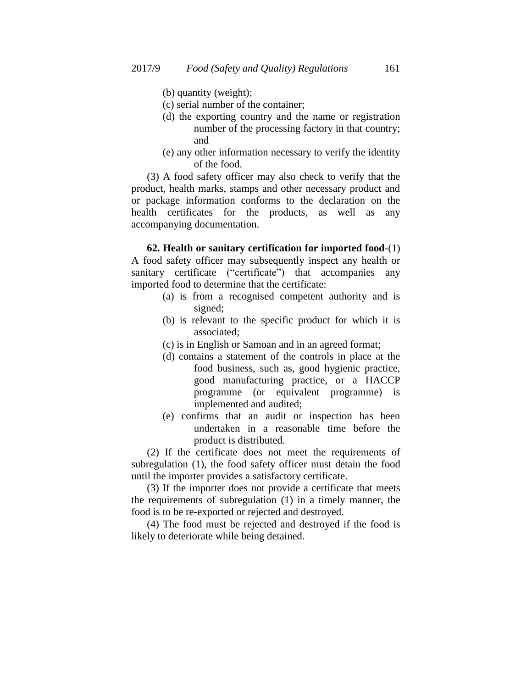- (b) quantity (weight);
- (c) serial number of the container;
- (d) the exporting country and the name or registration number of the processing factory in that country; and
- (e) any other information necessary to verify the identity of the food.

(3) A food safety officer may also check to verify that the product, health marks, stamps and other necessary product and or package information conforms to the declaration on the health certificates for the products, as well as any accompanying documentation.

**62. Health or sanitary certification for imported food**-(1) A food safety officer may subsequently inspect any health or sanitary certificate ("certificate") that accompanies any imported food to determine that the certificate:

- (a) is from a recognised competent authority and is signed;
- (b) is relevant to the specific product for which it is associated;
- (c) is in English or Samoan and in an agreed format;
- (d) contains a statement of the controls in place at the food business, such as, good hygienic practice, good manufacturing practice, or a HACCP programme (or equivalent programme) is implemented and audited;
- (e) confirms that an audit or inspection has been undertaken in a reasonable time before the product is distributed.

(2) If the certificate does not meet the requirements of subregulation (1), the food safety officer must detain the food until the importer provides a satisfactory certificate.

(3) If the importer does not provide a certificate that meets the requirements of subregulation (1) in a timely manner, the food is to be re-exported or rejected and destroyed.

(4) The food must be rejected and destroyed if the food is likely to deteriorate while being detained.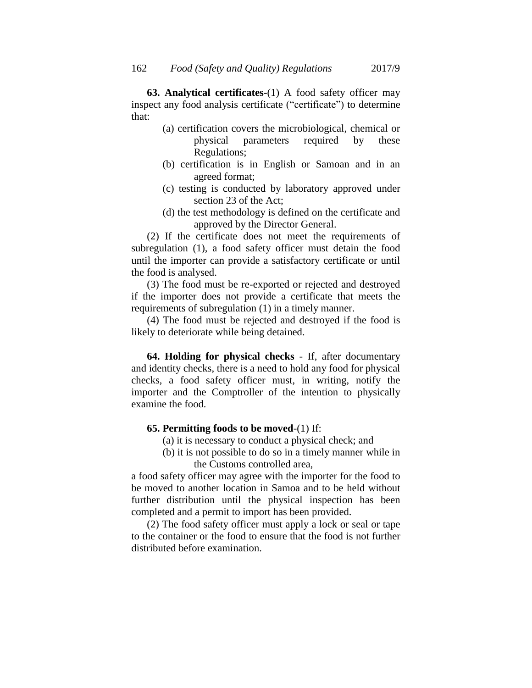**63. Analytical certificates**-(1) A food safety officer may inspect any food analysis certificate ("certificate") to determine that:

- (a) certification covers the microbiological, chemical or physical parameters required by these Regulations;
- (b) certification is in English or Samoan and in an agreed format;
- (c) testing is conducted by laboratory approved under section 23 of the Act;
- (d) the test methodology is defined on the certificate and approved by the Director General.

(2) If the certificate does not meet the requirements of subregulation (1), a food safety officer must detain the food until the importer can provide a satisfactory certificate or until the food is analysed.

(3) The food must be re-exported or rejected and destroyed if the importer does not provide a certificate that meets the requirements of subregulation (1) in a timely manner.

(4) The food must be rejected and destroyed if the food is likely to deteriorate while being detained.

**64. Holding for physical checks** - If, after documentary and identity checks, there is a need to hold any food for physical checks, a food safety officer must, in writing, notify the importer and the Comptroller of the intention to physically examine the food.

# **65. Permitting foods to be moved**-(1) If:

- (a) it is necessary to conduct a physical check; and
- (b) it is not possible to do so in a timely manner while in the Customs controlled area,

a food safety officer may agree with the importer for the food to be moved to another location in Samoa and to be held without further distribution until the physical inspection has been completed and a permit to import has been provided.

(2) The food safety officer must apply a lock or seal or tape to the container or the food to ensure that the food is not further distributed before examination.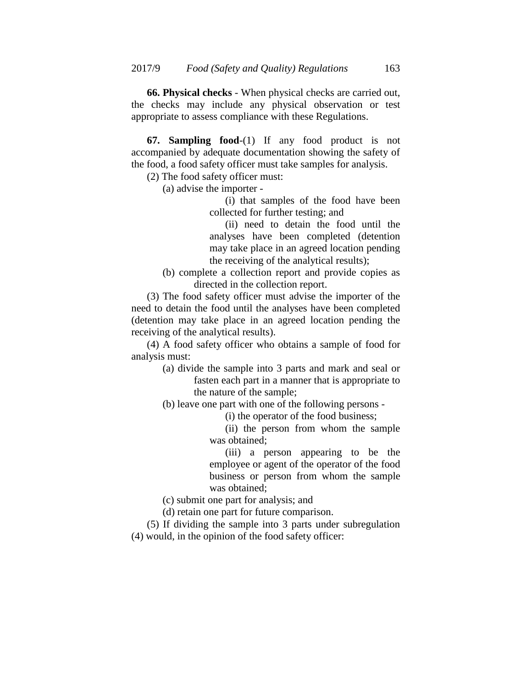**66. Physical checks** - When physical checks are carried out, the checks may include any physical observation or test appropriate to assess compliance with these Regulations.

**67. Sampling food**-(1) If any food product is not accompanied by adequate documentation showing the safety of the food, a food safety officer must take samples for analysis.

(2) The food safety officer must:

(a) advise the importer -

(i) that samples of the food have been collected for further testing; and

(ii) need to detain the food until the analyses have been completed (detention may take place in an agreed location pending the receiving of the analytical results);

(b) complete a collection report and provide copies as directed in the collection report.

(3) The food safety officer must advise the importer of the need to detain the food until the analyses have been completed (detention may take place in an agreed location pending the receiving of the analytical results).

(4) A food safety officer who obtains a sample of [food](http://www.austlii.edu.au/au/legis/nt/consol_act/fa57/s7.html#food) for analysis must:

> (a) divide the sample into 3 parts and mark and seal or fasten each part in a manner that is appropriate to the nature of the sample;

(b) leave one part with one of the following persons -

(i) the operator of the [food](http://www.austlii.edu.au/au/legis/nt/consol_act/fa57/s8.html#food_business) [business;](http://www.austlii.edu.au/au/legis/nt/consol_act/fa57/s8.html#food_business)

(ii) the person from whom the sample was obtained;

(iii) a person appearing to be the employee or agent of the operator of the [food](http://www.austlii.edu.au/au/legis/nt/consol_act/fa57/s8.html#food_business)  [business](http://www.austlii.edu.au/au/legis/nt/consol_act/fa57/s8.html#food_business) or person from whom the sample was obtained;

(c) submit one part for analysis; and

(d) retain one part for future comparison.

(5) If dividing the sample into 3 parts under subregulation (4) would, in the opinion of the food safety officer: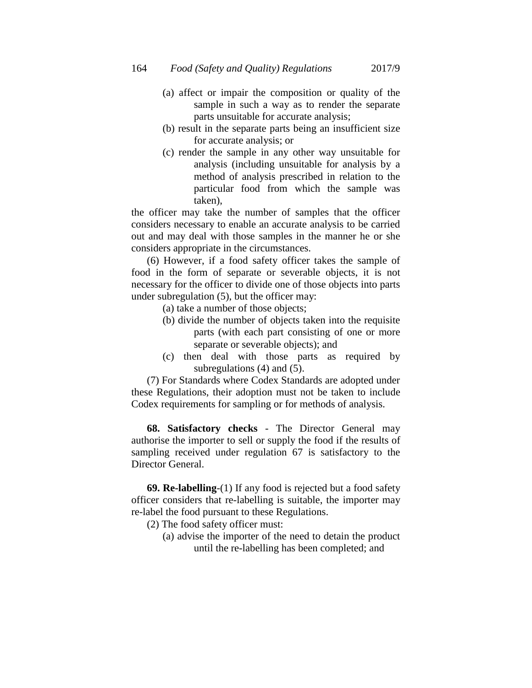- (a) affect or impair the composition or quality of the sample in such a way as to render the separate parts unsuitable for accurate analysis;
- (b) result in the separate parts being an insufficient size for accurate analysis; or
- (c) render the sample in any other way unsuitable for analysis (including unsuitable for analysis by a method of analysis prescribed in relation to the particular [food](http://www.austlii.edu.au/au/legis/nt/consol_act/fa57/s7.html#food) from which the sample was taken),

the officer may take the number of samples that the officer considers necessary to enable an accurate analysis to be carried out and may deal with those samples in the manner he or she considers appropriate in the circumstances.

(6) However, if a food safety officer takes the sample of [food](http://www.austlii.edu.au/au/legis/nt/consol_act/fa57/s7.html#food) in the form of separate or severable objects, it is not necessary for the officer to divide one of those objects into parts under subregulation (5), but the officer may:

- (a) take a number of those objects;
- (b) divide the number of objects taken into the requisite parts (with each part consisting of one or more separate or severable objects); and
- (c) then deal with those parts as required by subregulations (4) and (5).

(7) For Standards where Codex Standards are adopted under these Regulations, their adoption must not be taken to include Codex requirements for sampling or for methods of analysis.

**68. Satisfactory checks** - The Director General may authorise the importer to sell or supply the food if the results of sampling received under regulation 67 is satisfactory to the Director General.

**69. Re-labelling**-(1) If any food is rejected but a food safety officer considers that re-labelling is suitable, the importer may re-label the food pursuant to these Regulations.

- (2) The food safety officer must:
	- (a) advise the importer of the need to detain the product until the re-labelling has been completed; and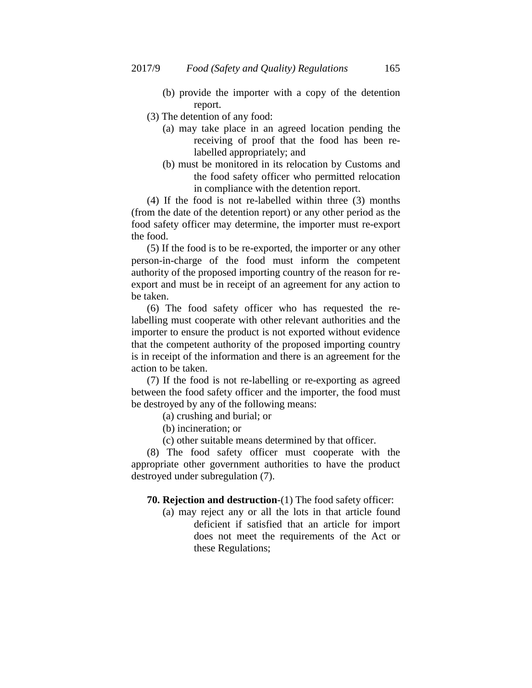- (b) provide the importer with a copy of the detention report.
- (3) The detention of any food:
	- (a) may take place in an agreed location pending the receiving of proof that the food has been relabelled appropriately; and
	- (b) must be monitored in its relocation by Customs and the food safety officer who permitted relocation in compliance with the detention report.

(4) If the food is not re-labelled within three (3) months (from the date of the detention report) or any other period as the food safety officer may determine, the importer must re-export the food.

(5) If the food is to be re-exported, the importer or any other person-in-charge of the food must inform the competent authority of the proposed importing country of the reason for reexport and must be in receipt of an agreement for any action to be taken.

(6) The food safety officer who has requested the relabelling must cooperate with other relevant authorities and the importer to ensure the product is not exported without evidence that the competent authority of the proposed importing country is in receipt of the information and there is an agreement for the action to be taken.

(7) If the food is not re-labelling or re-exporting as agreed between the food safety officer and the importer, the food must be destroyed by any of the following means:

- (a) crushing and burial; or
- (b) incineration; or
- (c) other suitable means determined by that officer.

(8) The food safety officer must cooperate with the appropriate other government authorities to have the product destroyed under subregulation (7).

- **70. Rejection and destruction**-(1) The food safety officer:
	- (a) may reject any or all the lots in that article found deficient if satisfied that an article for import does not meet the requirements of the Act or these Regulations;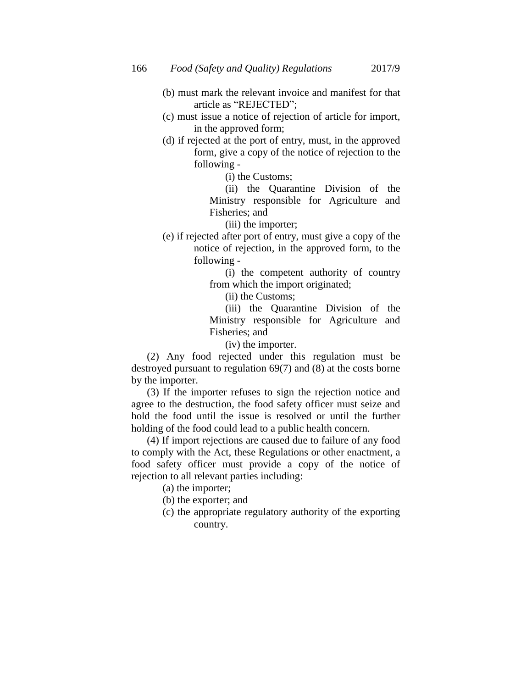- (b) must mark the relevant invoice and manifest for that article as "REJECTED";
- (c) must issue a notice of rejection of article for import, in the approved form;
- (d) if rejected at the port of entry, must, in the approved form, give a copy of the notice of rejection to the following -

(i) the Customs;

(ii) the Quarantine Division of the Ministry responsible for Agriculture and Fisheries; and

(iii) the importer;

(e) if rejected after port of entry, must give a copy of the notice of rejection, in the approved form, to the following -

> (i) the competent authority of country from which the import originated;

(ii) the Customs;

(iii) the Quarantine Division of the Ministry responsible for Agriculture and Fisheries; and

(iv) the importer.

(2) Any food rejected under this regulation must be destroyed pursuant to regulation 69(7) and (8) at the costs borne by the importer.

(3) If the importer refuses to sign the rejection notice and agree to the destruction, the food safety officer must seize and hold the food until the issue is resolved or until the further holding of the food could lead to a public health concern.

(4) If import rejections are caused due to failure of any food to comply with the Act, these Regulations or other enactment, a food safety officer must provide a copy of the notice of rejection to all relevant parties including:

(a) the importer;

- (b) the exporter; and
- (c) the appropriate regulatory authority of the exporting country.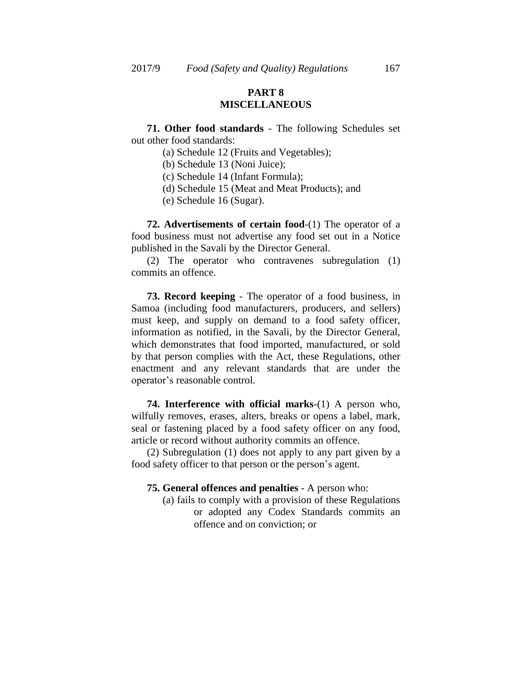# **PART 8 MISCELLANEOUS**

**71. Other food standards** - The following Schedules set out other food standards:

- (a) Schedule 12 (Fruits and Vegetables);
- (b) Schedule 13 (Noni Juice);
- (c) Schedule 14 (Infant Formula);
- (d) Schedule 15 (Meat and Meat Products); and
- (e) Schedule 16 (Sugar).

**72. Advertisements of certain food**-(1) The operator of a food business must not advertise any food set out in a Notice published in the Savali by the Director General.

(2) The operator who contravenes subregulation (1) commits an offence.

**73. Record keeping** - The operator of a food business, in Samoa (including food manufacturers, producers, and sellers) must keep, and supply on demand to a food safety officer, information as notified, in the Savali, by the Director General, which demonstrates that food imported, manufactured, or sold by that person complies with the Act, these Regulations, other enactment and any relevant standards that are under the operator"s reasonable control.

**74. Interference with official marks**-(1) A person who, wilfully removes, erases, alters, breaks or opens a label, mark, seal or fastening placed by a food safety officer on any food, article or record without authority commits an offence.

(2) Subregulation (1) does not apply to any part given by a food safety officer to that person or the person's agent.

#### **75. General offences and penalties** - A person who:

(a) fails to comply with a provision of these Regulations or adopted any Codex Standards commits an offence and on conviction; or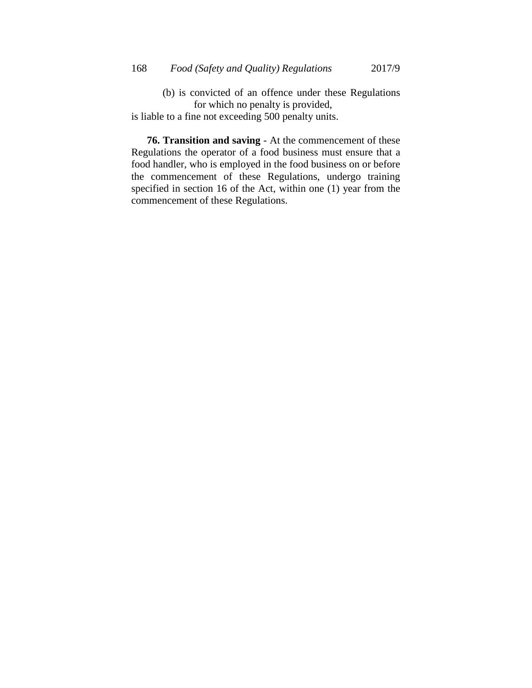(b) is convicted of an offence under these Regulations for which no penalty is provided,

is liable to a fine not exceeding 500 penalty units.

**76. Transition and saving** - At the commencement of these Regulations the operator of a food business must ensure that a food handler, who is employed in the food business on or before the commencement of these Regulations, undergo training specified in section 16 of the Act, within one (1) year from the commencement of these Regulations.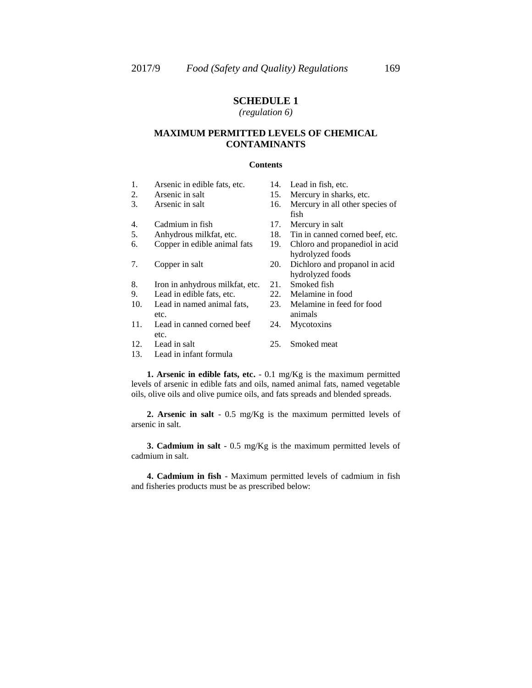# *(regulation 6)*

## **MAXIMUM PERMITTED LEVELS OF CHEMICAL CONTAMINANTS**

#### **Contents**

- 1. Arsenic in edible fats, etc. 14. Lead in fish, etc.
- 
- 
- 4. Cadmium in fish 17. Mercury in salt
- 
- 6. Copper in edible animal fats 19. Chloro and propanediol in acid
- 
- 8. Iron in anhydrous milkfat, etc. 21. Smoked fish<br>9. Lead in edible fats, etc. 22. Melamine in food
- 9. Lead in edible fats, etc. 22.
- 10. Lead in named animal fats, etc.
- 11. Lead in canned corned beef etc.
- 
- 13. Lead in infant formula
- 
- 2. Arsenic in salt 15. Mercury in sharks, etc.
- 3. Arsenic in salt 16. Mercury in all other species of fish
	-
- 5. Anhydrous milkfat, etc. 18. Tin in canned corned beef, etc.
	- hydrolyzed foods
- 7. Copper in salt 20. Dichloro and propanol in acid hydrolyzed foods
	-
	-
	- 23. Melamine in feed for food animals
	- 24. Mycotoxins
- 12. Lead in salt 25. Smoked meat

**1. Arsenic in edible fats, etc.** - 0.1 mg/Kg is the maximum permitted levels of arsenic in edible fats and oils, named animal fats, named vegetable oils, olive oils and olive pumice oils, and fats spreads and blended spreads.

**2. Arsenic in salt** - 0.5 mg/Kg is the maximum permitted levels of arsenic in salt.

**3. Cadmium in salt** - 0.5 mg/Kg is the maximum permitted levels of cadmium in salt.

**4. Cadmium in fish** - Maximum permitted levels of cadmium in fish and fisheries products must be as prescribed below: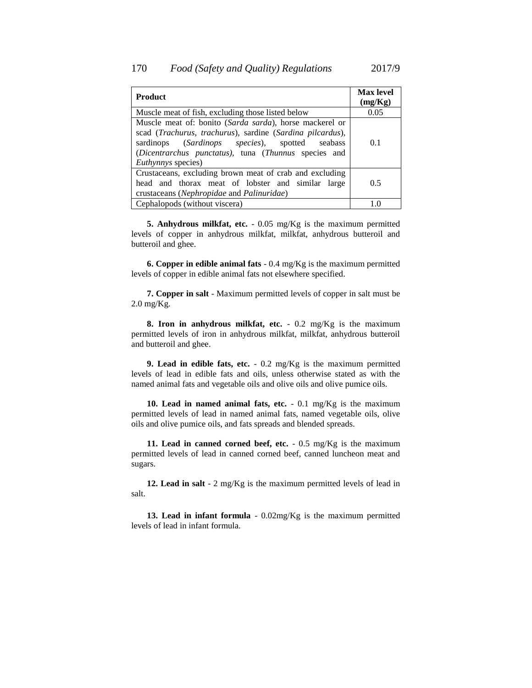| <b>Product</b>                                                                                                                                                                                                                                                 | <b>Max level</b><br>(mg/Kg) |
|----------------------------------------------------------------------------------------------------------------------------------------------------------------------------------------------------------------------------------------------------------------|-----------------------------|
| Muscle meat of fish, excluding those listed below                                                                                                                                                                                                              | 0.05                        |
| Muscle meat of: bonito (Sarda sarda), horse mackerel or<br>scad (Trachurus, trachurus), sardine (Sardina pilcardus),<br>sardinops (Sardinops species), spotted<br>seabass<br>(Dicentrarchus punctatus), tuna (Thunnus species and<br><i>Euthynnys</i> species) | 0.1                         |
| Crustaceans, excluding brown meat of crab and excluding<br>head and thorax meat of lobster and similar large<br>crustaceans (Nephropidae and Palinuridae)                                                                                                      | 0.5                         |
| Cephalopods (without viscera)                                                                                                                                                                                                                                  |                             |

**5. Anhydrous milkfat, etc.** - 0.05 mg/Kg is the maximum permitted levels of copper in anhydrous milkfat, milkfat, anhydrous butteroil and butteroil and ghee.

**6. Copper in edible animal fats** - 0.4 mg/Kg is the maximum permitted levels of copper in edible animal fats not elsewhere specified.

**7. Copper in salt** - Maximum permitted levels of copper in salt must be 2.0 mg/Kg.

**8. Iron in anhydrous milkfat, etc.** - 0.2 mg/Kg is the maximum permitted levels of iron in anhydrous milkfat, milkfat, anhydrous butteroil and butteroil and ghee.

**9. Lead in edible fats, etc.** - 0.2 mg/Kg is the maximum permitted levels of lead in edible fats and oils, unless otherwise stated as with the named animal fats and vegetable oils and olive oils and olive pumice oils.

**10. Lead in named animal fats, etc.** - 0.1 mg/Kg is the maximum permitted levels of lead in named animal fats, named vegetable oils, olive oils and olive pumice oils, and fats spreads and blended spreads.

**11. Lead in canned corned beef, etc.** - 0.5 mg/Kg is the maximum permitted levels of lead in canned corned beef, canned luncheon meat and sugars.

**12. Lead in salt** - 2 mg/Kg is the maximum permitted levels of lead in salt.

**13. Lead in infant formula** - 0.02mg/Kg is the maximum permitted levels of lead in infant formula.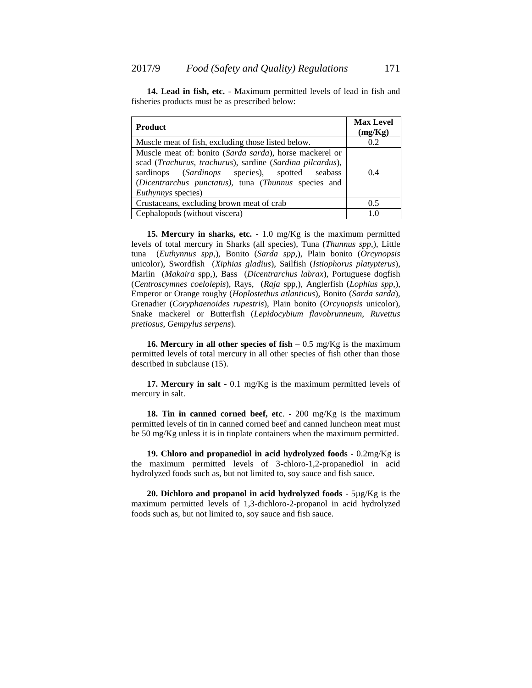| <b>Product</b>                                                                                                                                                                                                                                       | <b>Max Level</b><br>(mg/Kg) |
|------------------------------------------------------------------------------------------------------------------------------------------------------------------------------------------------------------------------------------------------------|-----------------------------|
| Muscle meat of fish, excluding those listed below.                                                                                                                                                                                                   | 0.2                         |
| Muscle meat of: bonito (Sarda sarda), horse mackerel or<br>scad (Trachurus, trachurus), sardine (Sardina pilcardus),<br>sardinops (Sardinops species), spotted seabass<br>(Dicentrarchus punctatus), tuna (Thunnus species and<br>Euthynnys species) | 0.4                         |
| Crustaceans, excluding brown meat of crab                                                                                                                                                                                                            | 0.5                         |
| Cephalopods (without viscera)                                                                                                                                                                                                                        | 10                          |

**14. Lead in fish, etc.** - Maximum permitted levels of lead in fish and fisheries products must be as prescribed below:

**15. Mercury in sharks, etc.** - 1.0 mg/Kg is the maximum permitted levels of total mercury in Sharks (all species), Tuna (*Thunnus spp*,), Little tuna (*Euthynnus spp*,), Bonito (*Sarda spp*,), Plain bonito (*Orcynopsis* unicolor), Swordfish (*Xiphias gladius*), Sailfish (*Istiophorus platypterus*), Marlin (*Makaira* spp,), Bass (*Dicentrarchus labrax*), Portuguese dogfish (*Centroscymnes coelolepis*), Rays, (*Raja* spp,), Anglerfish (*Lophius spp*,), Emperor or Orange roughy (*Hoplostethus atlanticus*), Bonito (*Sarda sarda*), Grenadier (*Coryphaenoides rupestris*), Plain bonito (*Orcynopsis* unicolor), Snake mackerel or Butterfish (*Lepidocybium flavobrunneum, Ruvettus pretiosus, Gempylus serpens*).

**16. Mercury in all other species of fish** – 0.5 mg/Kg is the maximum permitted levels of total mercury in all other species of fish other than those described in subclause (15).

**17. Mercury in salt** - 0.1 mg/Kg is the maximum permitted levels of mercury in salt.

**18. Tin in canned corned beef, etc**. - 200 mg/Kg is the maximum permitted levels of tin in canned corned beef and canned luncheon meat must be 50 mg/Kg unless it is in tinplate containers when the maximum permitted.

**19. Chloro and propanediol in acid hydrolyzed foods** - 0.2mg/Kg is the maximum permitted levels of 3-chloro-1,2-propanediol in acid hydrolyzed foods such as, but not limited to, soy sauce and fish sauce.

**20. Dichloro and propanol in acid hydrolyzed foods** - 5µg/Kg is the maximum permitted levels of 1,3-dichloro-2-propanol in acid hydrolyzed foods such as, but not limited to, soy sauce and fish sauce.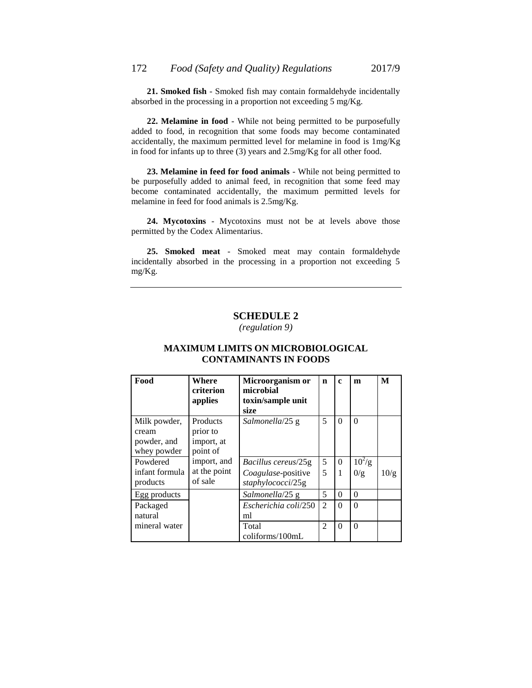**21. Smoked fish** - Smoked fish may contain formaldehyde incidentally absorbed in the processing in a proportion not exceeding 5 mg/Kg.

**22. Melamine in food** - While not being permitted to be purposefully added to food, in recognition that some foods may become contaminated accidentally, the maximum permitted level for melamine in food is 1mg/Kg in food for infants up to three (3) years and 2.5mg/Kg for all other food.

**23. Melamine in feed for food animals** - While not being permitted to be purposefully added to animal feed, in recognition that some feed may become contaminated accidentally, the maximum permitted levels for melamine in feed for food animals is 2.5mg/Kg.

**24. Mycotoxins** - Mycotoxins must not be at levels above those permitted by the Codex Alimentarius.

**25. Smoked meat** - Smoked meat may contain formaldehyde incidentally absorbed in the processing in a proportion not exceeding 5 mg/Kg.

#### **SCHEDULE 2**

*(regulation 9)*

# **MAXIMUM LIMITS ON MICROBIOLOGICAL CONTAMINANTS IN FOODS**

| Food                                                | Where<br>criterion<br>applies                  | Microorganism or<br>microbial<br>toxin/sample unit<br>size | n              | $\mathbf c$ | m          | M    |
|-----------------------------------------------------|------------------------------------------------|------------------------------------------------------------|----------------|-------------|------------|------|
| Milk powder,<br>cream<br>powder, and<br>whey powder | Products<br>prior to<br>import, at<br>point of | Salmonella/25 g                                            | 5              | $\Omega$    | $\Omega$   |      |
| Powdered                                            | import, and                                    | <i>Bacillus cereus</i> /25g                                | 5              | $\Omega$    | $10^{2}/g$ |      |
| infant formula<br>products                          | at the point<br>of sale                        | Coagulase-positive<br>staphylococci/25g                    | 5              | 1           | 0/g        | 10/g |
| Egg products                                        |                                                | Salmonella/25 g                                            | 5              | 0           | $\Omega$   |      |
| Packaged<br>natural                                 |                                                | Escherichia coli/250<br>ml                                 | $\overline{c}$ | $\Omega$    | $\Omega$   |      |
| mineral water                                       |                                                | Total<br>$\text{coliforms}/\text{100mL}$                   | $\mathfrak{D}$ | $\Omega$    | $\Omega$   |      |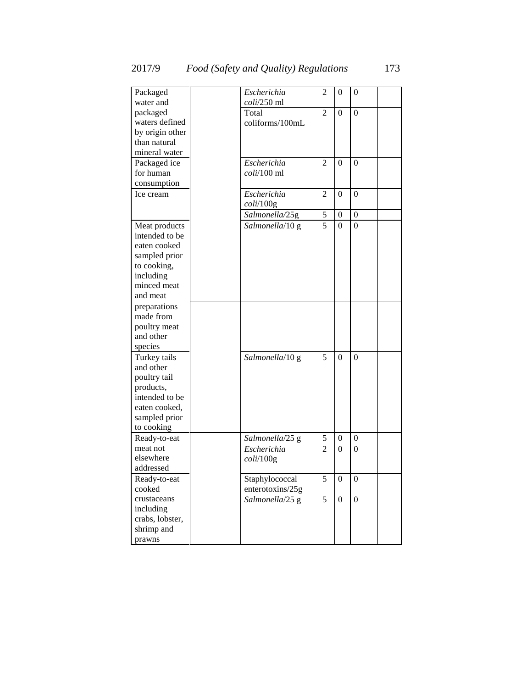| Packaged                        | Escherichia         | $\overline{2}$ | $\overline{0}$   | 0                |  |
|---------------------------------|---------------------|----------------|------------------|------------------|--|
| water and                       | $coli/250$ ml       |                |                  |                  |  |
| packaged                        | Total               | $\overline{c}$ | $\Omega$         | $\Omega$         |  |
| waters defined                  | coliforms/100mL     |                |                  |                  |  |
| by origin other                 |                     |                |                  |                  |  |
| than natural                    |                     |                |                  |                  |  |
| mineral water                   |                     |                |                  |                  |  |
| Packaged ice                    | Escherichia         | $\overline{c}$ | $\theta$         | $\Omega$         |  |
| for human                       | $coli/100$ ml       |                |                  |                  |  |
| consumption                     |                     |                |                  |                  |  |
| Ice cream                       | Escherichia         | $\overline{c}$ | $\Omega$         | $\theta$         |  |
|                                 | $\frac{coli}{100g}$ |                |                  |                  |  |
|                                 | Salmonella/25g      | 5              | $\overline{0}$   | $\boldsymbol{0}$ |  |
|                                 | Salmonella/10 g     | 5              | $\Omega$         | $\boldsymbol{0}$ |  |
| Meat products<br>intended to be |                     |                |                  |                  |  |
| eaten cooked                    |                     |                |                  |                  |  |
|                                 |                     |                |                  |                  |  |
| sampled prior                   |                     |                |                  |                  |  |
| to cooking,                     |                     |                |                  |                  |  |
| including                       |                     |                |                  |                  |  |
| minced meat                     |                     |                |                  |                  |  |
| and meat                        |                     |                |                  |                  |  |
| preparations                    |                     |                |                  |                  |  |
| made from                       |                     |                |                  |                  |  |
| poultry meat                    |                     |                |                  |                  |  |
| and other                       |                     |                |                  |                  |  |
| species                         |                     |                |                  |                  |  |
| Turkey tails                    | Salmonella/10 g     | 5              | $\theta$         | $\Omega$         |  |
| and other                       |                     |                |                  |                  |  |
| poultry tail                    |                     |                |                  |                  |  |
| products,                       |                     |                |                  |                  |  |
| intended to be                  |                     |                |                  |                  |  |
| eaten cooked,                   |                     |                |                  |                  |  |
| sampled prior                   |                     |                |                  |                  |  |
| to cooking                      |                     |                |                  |                  |  |
| Ready-to-eat                    | Salmonella/25 g     | 5              | $\overline{0}$   | $\overline{0}$   |  |
| meat not                        | Escherichia         | $\overline{2}$ | 0                | $\boldsymbol{0}$ |  |
| elsewhere                       | $\frac{coli}{100g}$ |                |                  |                  |  |
| addressed                       |                     |                |                  |                  |  |
| Ready-to-eat                    | Staphylococcal      | 5              | $\boldsymbol{0}$ | $\boldsymbol{0}$ |  |
| cooked                          | enterotoxins/25g    |                |                  |                  |  |
| crustaceans                     |                     | 5              |                  |                  |  |
|                                 | Salmonella/25 g     |                | $\boldsymbol{0}$ | $\mathbf{0}$     |  |
| including                       |                     |                |                  |                  |  |
| crabs, lobster,                 |                     |                |                  |                  |  |
| shrimp and                      |                     |                |                  |                  |  |
| prawns                          |                     |                |                  |                  |  |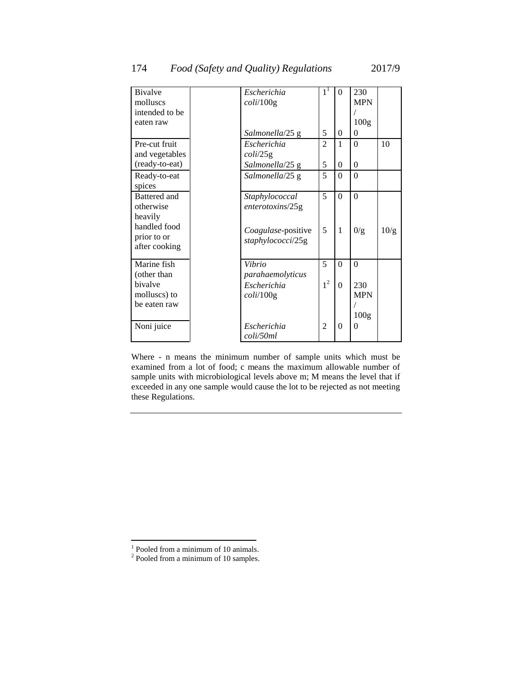| <b>Bivalve</b> | Escherichia          | 1 <sup>1</sup> | $\theta$       | 230              |      |
|----------------|----------------------|----------------|----------------|------------------|------|
| molluscs       | coli/100g            |                |                | <b>MPN</b>       |      |
| intended to be |                      |                |                |                  |      |
| eaten raw      |                      |                |                | 100 <sub>g</sub> |      |
|                | Salmonella/25 g      | 5              | $\overline{0}$ | $\theta$         |      |
| Pre-cut fruit  | Escherichia          | $\overline{c}$ | 1              | $\Omega$         | 10   |
| and vegetables | $\frac{coli}{25g}$   |                |                |                  |      |
| (ready-to-eat) | Salmonella/25 g      | 5              | $\overline{0}$ | $\theta$         |      |
| Ready-to-eat   | Salmonella/25 g      | 5              | $\theta$       | $\theta$         |      |
| spices         |                      |                |                |                  |      |
| Battered and   | Staphylococcal       | 5              | $\theta$       | $\theta$         |      |
| otherwise      | enterotoxins/25g     |                |                |                  |      |
| heavily        |                      |                |                |                  |      |
| handled food   | Coagulase-positive   | 5              | 1              | 0/g              | 10/g |
| prior to or    | staphylococci/25g    |                |                |                  |      |
| after cooking  |                      |                |                |                  |      |
| Marine fish    | Vibrio               | 5              | $\theta$       | $\theta$         |      |
| (other than    | parahaemolyticus     |                |                |                  |      |
| bivalve        | Escherichia          | 1 <sup>2</sup> | $\theta$       | 230              |      |
| molluscs) to   |                      |                |                | <b>MPN</b>       |      |
| be eaten raw   | $\frac{coli}{100}$ g |                |                |                  |      |
|                |                      |                |                |                  |      |
|                |                      |                |                | 100 <sub>g</sub> |      |
| Noni juice     | Escherichia          | $\overline{2}$ | $\theta$       | $\Omega$         |      |
|                | coli/50ml            |                |                |                  |      |

Where - n means the minimum number of sample units which must be examined from a lot of food; c means the maximum allowable number of sample units with microbiological levels above m; M means the level that if exceeded in any one sample would cause the lot to be rejected as not meeting these Regulations.

 1 Pooled from a minimum of 10 animals.

 $2$  Pooled from a minimum of 10 samples.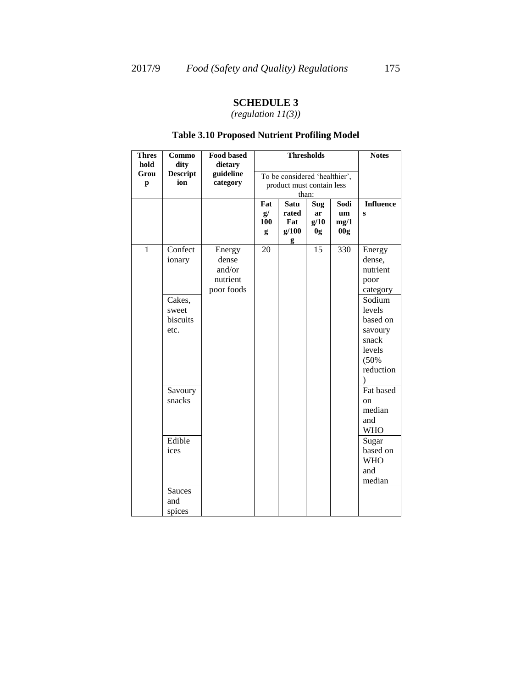*(regulation 11(3))*

# **Table 3.10 Proposed Nutrient Profiling Model**

| <b>Thres</b>      | Commo                                          | <b>Food based</b>                                   | <b>Thresholds</b>     |                                                                     |                         |                                       | <b>Notes</b>                                                                                              |
|-------------------|------------------------------------------------|-----------------------------------------------------|-----------------------|---------------------------------------------------------------------|-------------------------|---------------------------------------|-----------------------------------------------------------------------------------------------------------|
| hold<br>Grou<br>p | dity<br><b>Descript</b><br>ion                 | dietary<br>guideline<br>category                    |                       | To be considered 'healthier',<br>product must contain less<br>than: |                         |                                       |                                                                                                           |
|                   |                                                |                                                     | Fat<br>g/<br>100<br>g | Satu<br>rated<br>Fat<br>g/100<br>g                                  | Sug<br>ar<br>g/10<br>0g | Sodi<br>um<br>mg/1<br>00 <sub>g</sub> | <b>Influence</b><br>S                                                                                     |
| $\mathbf{1}$      | Confect<br>ionary                              | Energy<br>dense<br>and/or<br>nutrient<br>poor foods | $\overline{20}$       |                                                                     | $\overline{15}$         | 330                                   | Energy<br>dense,<br>nutrient<br>poor<br>category                                                          |
|                   | Cakes,<br>sweet<br>biscuits<br>etc.<br>Savoury |                                                     |                       |                                                                     |                         |                                       | Sodium<br>levels<br>based on<br>savoury<br>snack<br>levels<br>(50%<br>reduction<br>$\lambda$<br>Fat based |
|                   | snacks                                         |                                                     |                       |                                                                     |                         |                                       | on<br>median<br>and<br><b>WHO</b>                                                                         |
|                   | Edible<br>ices                                 |                                                     |                       |                                                                     |                         |                                       | Sugar<br>based on<br><b>WHO</b><br>and<br>median                                                          |
|                   | <b>Sauces</b><br>and<br>spices                 |                                                     |                       |                                                                     |                         |                                       |                                                                                                           |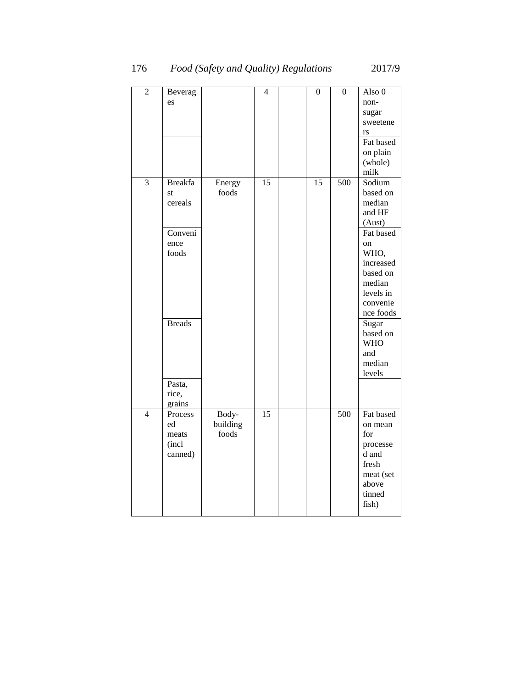| $\overline{2}$ | Beverag<br>es                                                                                             |                            | $\overline{4}$ | $\boldsymbol{0}$ | $\mathbf{0}$ | Also 0<br>non-<br>sugar<br>sweetene<br>rs<br>Fat based<br>on plain<br>(whole)<br>milk                                                                                                                              |
|----------------|-----------------------------------------------------------------------------------------------------------|----------------------------|----------------|------------------|--------------|--------------------------------------------------------------------------------------------------------------------------------------------------------------------------------------------------------------------|
| 3              | <b>Breakfa</b><br>st<br>cereals<br>Conveni<br>ence<br>foods<br><b>Breads</b><br>Pasta,<br>rice,<br>grains | Energy<br>foods            | 15             | 15               | 500          | Sodium<br>based on<br>median<br>and HF<br>(Aust)<br>Fat based<br>on<br>WHO,<br>increased<br>based on<br>median<br>levels in<br>convenie<br>nce foods<br>Sugar<br>based on<br><b>WHO</b><br>and<br>median<br>levels |
| $\overline{4}$ | Process<br>ed<br>meats<br>(incl<br>canned)                                                                | Body-<br>building<br>foods | 15             |                  | 500          | Fat based<br>on mean<br>for<br>processe<br>d and<br>fresh<br>meat (set<br>above<br>tinned<br>fish)                                                                                                                 |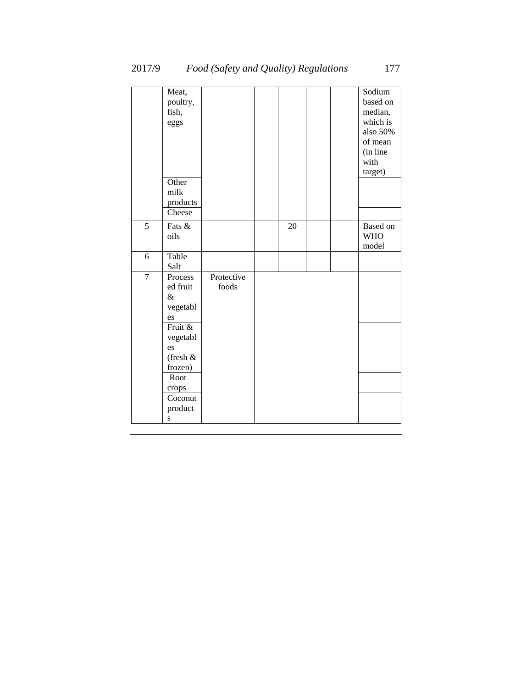|                | Meat,<br>poultry,<br>fish,<br>eggs<br>Other<br>milk |                     |    |  | Sodium<br>based on<br>median,<br>which is<br>also 50%<br>of mean<br>(in line<br>with<br>target) |
|----------------|-----------------------------------------------------|---------------------|----|--|-------------------------------------------------------------------------------------------------|
|                | products<br>Cheese                                  |                     |    |  |                                                                                                 |
| $\overline{5}$ | Fats &<br>oils                                      |                     | 20 |  | Based on<br><b>WHO</b><br>model                                                                 |
| 6              | Table<br>Salt                                       |                     |    |  |                                                                                                 |
| $\overline{7}$ | Process<br>ed fruit<br>$\&$<br>vegetabl<br>es       | Protective<br>foods |    |  |                                                                                                 |
|                | Fruit &<br>vegetabl<br>es<br>(fresh &<br>frozen)    |                     |    |  |                                                                                                 |
|                | Root<br>crops                                       |                     |    |  |                                                                                                 |
|                | Coconut<br>product<br>S                             |                     |    |  |                                                                                                 |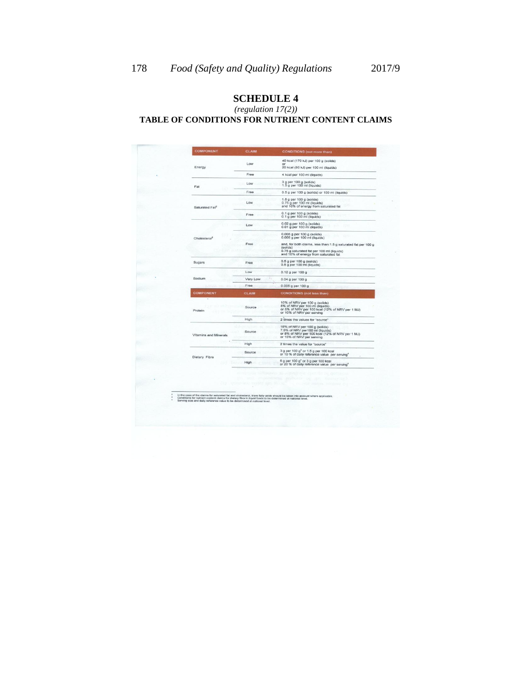#### *(regulation 17(2))* **TABLE OF CONDITIONS FOR NUTRIENT CONTENT CLAIMS**

|        | <b>COMPONENT</b>           | <b>CLAIM</b> | <b>CONDITIONS</b> (not more than)                                                                                                                              |
|--------|----------------------------|--------------|----------------------------------------------------------------------------------------------------------------------------------------------------------------|
|        |                            |              | 40 kcal (170 kJ) per 100 g (solids)                                                                                                                            |
|        | Energy                     | Low          | or<br>20 kcal (80 kJ) per 100 ml (liquids)                                                                                                                     |
|        |                            | Free         | 4 kcal per 100 ml (liquids)                                                                                                                                    |
|        | Fat                        | Low          | 3 g per 100 g (solids)<br>1.5 g per 100 ml (liquids)                                                                                                           |
|        |                            | Free         | 0.5 g per 100 g (solids) or 100 ml (liquids)                                                                                                                   |
|        | Saturated Fat <sup>2</sup> | Low          | 1.5 g per 100 g (solids)<br>0.75 g per 100 ml (liquids)<br>and 10% of energy from saturated fat                                                                |
|        |                            | Free         | $0.1$ g per 100 g (solids)<br>0.1 g per 100 ml (liquids)                                                                                                       |
|        |                            | Low          | 0.02 g per 100 g (solids)<br>0.01 g per 100 ml (liquids)                                                                                                       |
|        | Cholesterol <sup>2</sup>   |              | 0.005 g per 100 g (solids)<br>0.005 g per 100 ml (liquids)                                                                                                     |
|        |                            | Free         | and, for both claims, less than:1.5 g saturated fat per 100 g<br>(solids)<br>0.75 g saturated fat per 100 ml (liquids)<br>and 10% of energy from saturated fat |
|        | Sugars                     | Free         | $0.5$ g per 100 g (solids)<br>0.5 g per 100 ml (liquids)                                                                                                       |
|        |                            | Low          | 0.12 g per 100 g                                                                                                                                               |
| Sodium |                            | Very Low     | $0.04$ g per 100 g                                                                                                                                             |
|        |                            | Free         | 0.005 g per 100 g                                                                                                                                              |
|        | <b>COMPONENT</b>           | <b>CLAIM</b> | <b>CONDITIONS</b> (not less than)                                                                                                                              |
|        | Protein                    | Source       | 10% of NRV per 100 g (solids)<br>5% of NRV per 100 ml (liquids)<br>or 5% of NRV per 100 kcal (12% of NRV per 1 MJ)<br>or 10% of NRV per serving                |
|        |                            | High         | 2 times the values for "source"                                                                                                                                |
|        | Vitamins and Minerals      | Source       | 15% of NRV per 100 g (solids)<br>7.5% of NRV per100 ml (liquids)<br>or 5% of NRV per 100 kcal (12% of NRV per 1 MJ)<br>or 15% of NRV per serving               |
|        |                            | High         | 2 times the value for "source"                                                                                                                                 |
|        | Dietary Fibre              | Source       | 3 g per 100 g <sup>3</sup> or 1.5 g per 100 kcal<br>or 10 % of daily reference value per serving <sup>4</sup>                                                  |
|        |                            | High         | 6 g per 100 g <sup>3</sup> or 3 g per 100 kcal<br>or 20 % of daily reference value per serving <sup>4</sup>                                                    |
|        |                            |              |                                                                                                                                                                |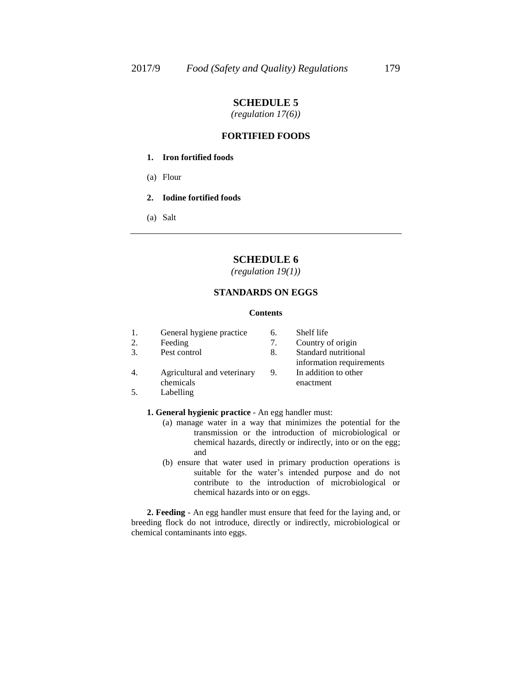*(regulation 17(6))*

#### **FORTIFIED FOODS**

- **1. Iron fortified foods**
- (a) Flour
- **2. Iodine fortified foods**
- (a) Salt

# **SCHEDULE 6**

*(regulation 19(1))*

# **STANDARDS ON EGGS**

#### **Contents**

| General hygiene practice |  |
|--------------------------|--|
| Feeding                  |  |

3. Pest control 8. Standard nutritional

- 4. Agricultural and veterinary chemicals
- 5. Labelling

Country of origin information requirements 9. In addition to other enactment

Shelf life

- **1. General hygienic practice**  An egg handler must:
	- (a) manage water in a way that minimizes the potential for the transmission or the introduction of microbiological or chemical hazards, directly or indirectly, into or on the egg; and
	- (b) ensure that water used in primary production operations is suitable for the water's intended purpose and do not contribute to the introduction of microbiological or chemical hazards into or on eggs.

**2. Feeding** - An egg handler must ensure that feed for the laying and, or breeding flock do not introduce, directly or indirectly, microbiological or chemical contaminants into eggs.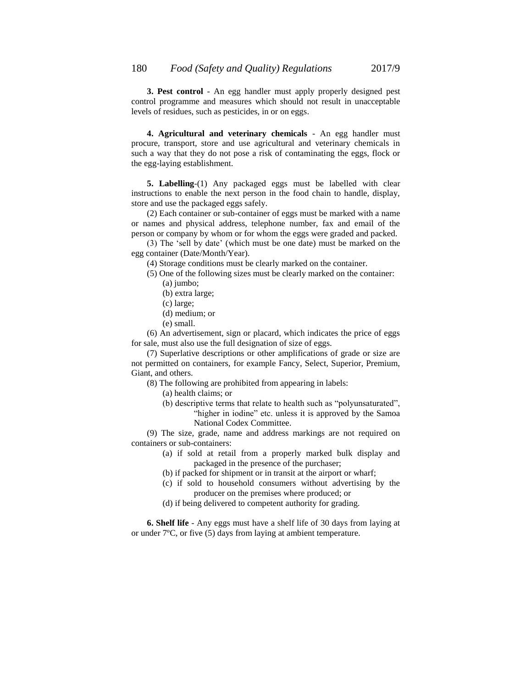**3. Pest control** - An egg handler must apply properly designed pest control programme and measures which should not result in unacceptable levels of residues, such as pesticides, in or on eggs.

**4. Agricultural and veterinary chemicals** - An egg handler must procure, transport, store and use agricultural and veterinary chemicals in such a way that they do not pose a risk of contaminating the eggs, flock or the egg-laying establishment.

**5. Labelling**-(1) Any packaged eggs must be labelled with clear instructions to enable the next person in the food chain to handle, display, store and use the packaged eggs safely.

(2) Each container or sub-container of eggs must be marked with a name or names and physical address, telephone number, fax and email of the person or company by whom or for whom the eggs were graded and packed.

(3) The "sell by date" (which must be one date) must be marked on the egg container (Date/Month/Year).

(4) Storage conditions must be clearly marked on the container.

- (5) One of the following sizes must be clearly marked on the container: (a) jumbo;
	- (b) extra large;
	- (c) large;
	- (d) medium; or
	- (e) small.

(6) An advertisement, sign or placard, which indicates the price of eggs for sale, must also use the full designation of size of eggs.

(7) Superlative descriptions or other amplifications of grade or size are not permitted on containers, for example Fancy, Select, Superior, Premium, Giant, and others.

- (8) The following are prohibited from appearing in labels:
	- (a) health claims; or
	- (b) descriptive terms that relate to health such as "polyunsaturated", "higher in iodine" etc. unless it is approved by the Samoa National Codex Committee.

(9) The size, grade, name and address markings are not required on containers or sub-containers:

- (a) if sold at retail from a properly marked bulk display and packaged in the presence of the purchaser;
- (b) if packed for shipment or in transit at the airport or wharf;
- (c) if sold to household consumers without advertising by the producer on the premises where produced; or
- (d) if being delivered to competent authority for grading.

**6. Shelf life** - Any eggs must have a shelf life of 30 days from laying at or under 7ºC, or five (5) days from laying at ambient temperature.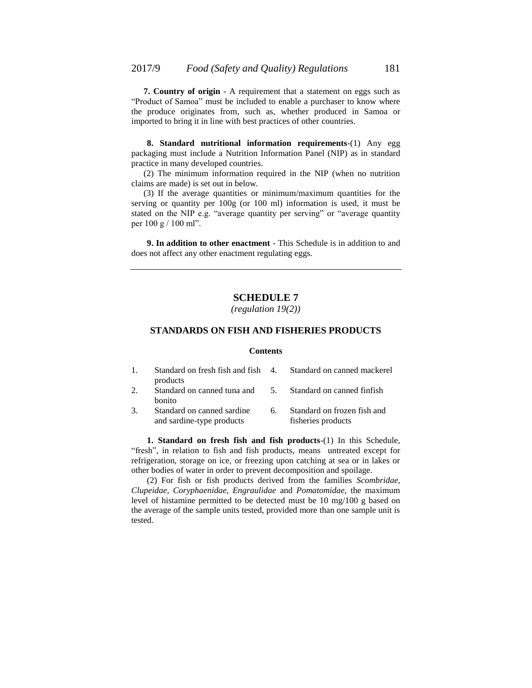**7. Country of origin** - A requirement that a statement on eggs such as "Product of Samoa" must be included to enable a purchaser to know where the produce originates from, such as, whether produced in Samoa or imported to bring it in line with best practices of other countries.

**8. Standard nutritional information requirements**-(1) Any egg packaging must include a Nutrition Information Panel (NIP) as in standard practice in many developed countries.

(2) The minimum information required in the NIP (when no nutrition claims are made) is set out in below.

(3) If the average quantities or minimum/maximum quantities for the serving or quantity per 100g (or 100 ml) information is used, it must be stated on the NIP e.g. "average quantity per serving" or "average quantity per 100 g / 100 ml".

**9. In addition to other enactment** - This Schedule is in addition to and does not affect any other enactment regulating eggs.

# **SCHEDULE 7**

*(regulation 19(2))*

#### **STANDARDS ON FISH AND FISHERIES PRODUCTS**

#### **Contents**

| $\mathbf{1}$ . | Standard on fresh fish and fish 4. Standard on canned mackerel<br>products |    |                                                   |
|----------------|----------------------------------------------------------------------------|----|---------------------------------------------------|
| 2.             | Standard on canned tuna and 5. Standard on canned finfish<br><b>bonito</b> |    |                                                   |
| 3.             | Standard on canned sardine<br>and sardine-type products                    | 6. | Standard on frozen fish and<br>fisheries products |

**1. Standard on fresh fish and fish products**-(1) In this Schedule, "fresh", in relation to fish and fish products, means untreated except for refrigeration, storage on ice, or freezing upon catching at sea or in lakes or other bodies of water in order to prevent decomposition and spoilage.

(2) For fish or fish products derived from the families *Scombridae, Clupeidae, Coryphaenidae, Engraulidae* and *Pomatomidae*, the maximum level of histamine permitted to be detected must be 10 mg/100 g based on the average of the sample units tested, provided more than one sample unit is tested.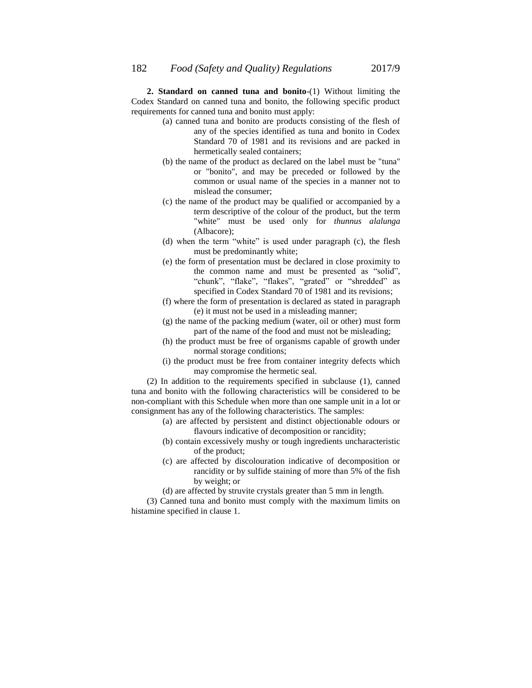**2. Standard on canned tuna and bonito**-(1) Without limiting the Codex Standard on canned tuna and bonito, the following specific product requirements for canned tuna and bonito must apply:

- (a) canned tuna and bonito are products consisting of the flesh of any of the species identified as tuna and bonito in Codex Standard 70 of 1981 and its revisions and are packed in hermetically sealed containers;
- (b) the name of the product as declared on the label must be "tuna" or "bonito", and may be preceded or followed by the common or usual name of the species in a manner not to mislead the consumer;
- (c) the name of the product may be qualified or accompanied by a term descriptive of the colour of the product, but the term "white" must be used only for *thunnus alalunga* (Albacore);
- (d) when the term "white" is used under paragraph (c), the flesh must be predominantly white;
- (e) the form of presentation must be declared in close proximity to the common name and must be presented as "solid", "chunk", "flake", "flakes", "grated" or "shredded" as specified in Codex Standard 70 of 1981 and its revisions;
- (f) where the form of presentation is declared as stated in paragraph (e) it must not be used in a misleading manner;
- (g) the name of the packing medium (water, oil or other) must form part of the name of the food and must not be misleading;
- (h) the product must be free of organisms capable of growth under normal storage conditions;
- (i) the product must be free from container integrity defects which may compromise the hermetic seal.

(2) In addition to the requirements specified in subclause (1), canned tuna and bonito with the following characteristics will be considered to be non-compliant with this Schedule when more than one sample unit in a lot or consignment has any of the following characteristics. The samples:

- (a) are affected by persistent and distinct objectionable odours or flavours indicative of decomposition or rancidity;
- (b) contain excessively mushy or tough ingredients uncharacteristic of the product;
- (c) are affected by discolouration indicative of decomposition or rancidity or by sulfide staining of more than 5% of the fish by weight; or

(d) are affected by struvite crystals greater than 5 mm in length.

(3) Canned tuna and bonito must comply with the maximum limits on histamine specified in clause 1.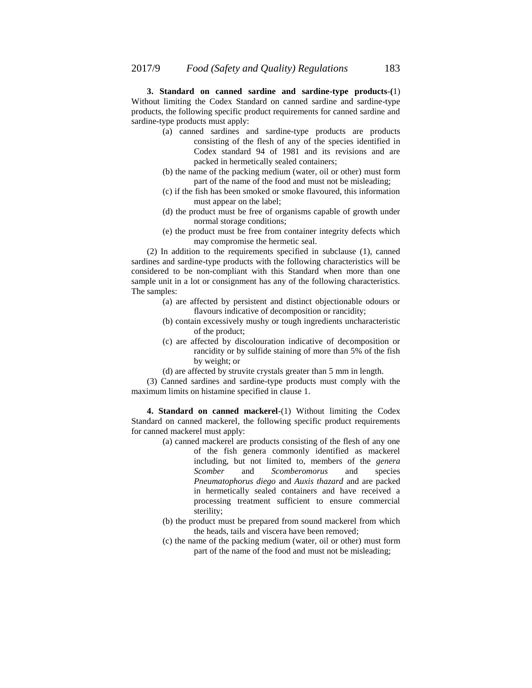**3. Standard on canned sardine and sardine-type products**-**(**1) Without limiting the Codex Standard on canned sardine and sardine-type products, the following specific product requirements for canned sardine and sardine-type products must apply:

- (a) canned sardines and sardine-type products are products consisting of the flesh of any of the species identified in Codex standard 94 of 1981 and its revisions and are packed in hermetically sealed containers;
- (b) the name of the packing medium (water, oil or other) must form part of the name of the food and must not be misleading;
- (c) if the fish has been smoked or smoke flavoured, this information must appear on the label;
- (d) the product must be free of organisms capable of growth under normal storage conditions;
- (e) the product must be free from container integrity defects which may compromise the hermetic seal.

(2) In addition to the requirements specified in subclause (1), canned sardines and sardine-type products with the following characteristics will be considered to be non-compliant with this Standard when more than one sample unit in a lot or consignment has any of the following characteristics. The samples:

- (a) are affected by persistent and distinct objectionable odours or flavours indicative of decomposition or rancidity;
- (b) contain excessively mushy or tough ingredients uncharacteristic of the product;
- (c) are affected by discolouration indicative of decomposition or rancidity or by sulfide staining of more than 5% of the fish by weight; or
- (d) are affected by struvite crystals greater than 5 mm in length.

(3) Canned sardines and sardine-type products must comply with the maximum limits on histamine specified in clause 1.

**4. Standard on canned mackerel**-(1) Without limiting the Codex Standard on canned mackerel, the following specific product requirements for canned mackerel must apply:

- (a) canned mackerel are products consisting of the flesh of any one of the fish genera commonly identified as mackerel including, but not limited to, members of the *genera Scomber* and *Scomberomorus* and species *Pneumatophorus diego* and *Auxis thazard* and are packed in hermetically sealed containers and have received a processing treatment sufficient to ensure commercial sterility;
- (b) the product must be prepared from sound mackerel from which the heads, tails and viscera have been removed;
- (c) the name of the packing medium (water, oil or other) must form part of the name of the food and must not be misleading;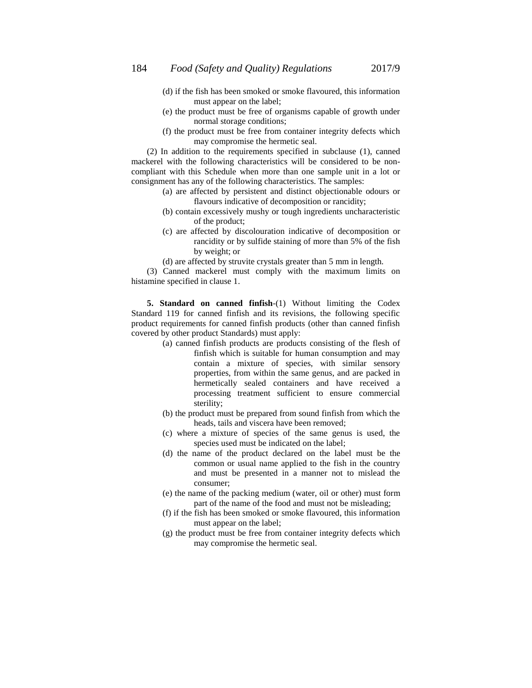- (d) if the fish has been smoked or smoke flavoured, this information must appear on the label;
- (e) the product must be free of organisms capable of growth under normal storage conditions;
- (f) the product must be free from container integrity defects which may compromise the hermetic seal.

(2) In addition to the requirements specified in subclause (1), canned mackerel with the following characteristics will be considered to be noncompliant with this Schedule when more than one sample unit in a lot or consignment has any of the following characteristics. The samples:

- (a) are affected by persistent and distinct objectionable odours or flavours indicative of decomposition or rancidity;
- (b) contain excessively mushy or tough ingredients uncharacteristic of the product;
- (c) are affected by discolouration indicative of decomposition or rancidity or by sulfide staining of more than 5% of the fish by weight; or
- (d) are affected by struvite crystals greater than 5 mm in length.

(3) Canned mackerel must comply with the maximum limits on histamine specified in clause 1.

**5. Standard on canned finfish**-(1) Without limiting the Codex Standard 119 for canned finfish and its revisions, the following specific product requirements for canned finfish products (other than canned finfish covered by other product Standards) must apply:

- (a) canned finfish products are products consisting of the flesh of finfish which is suitable for human consumption and may contain a mixture of species, with similar sensory properties, from within the same genus, and are packed in hermetically sealed containers and have received a processing treatment sufficient to ensure commercial sterility;
- (b) the product must be prepared from sound finfish from which the heads, tails and viscera have been removed;
- (c) where a mixture of species of the same genus is used, the species used must be indicated on the label;
- (d) the name of the product declared on the label must be the common or usual name applied to the fish in the country and must be presented in a manner not to mislead the consumer;
- (e) the name of the packing medium (water, oil or other) must form part of the name of the food and must not be misleading;
- (f) if the fish has been smoked or smoke flavoured, this information must appear on the label;
- (g) the product must be free from container integrity defects which may compromise the hermetic seal.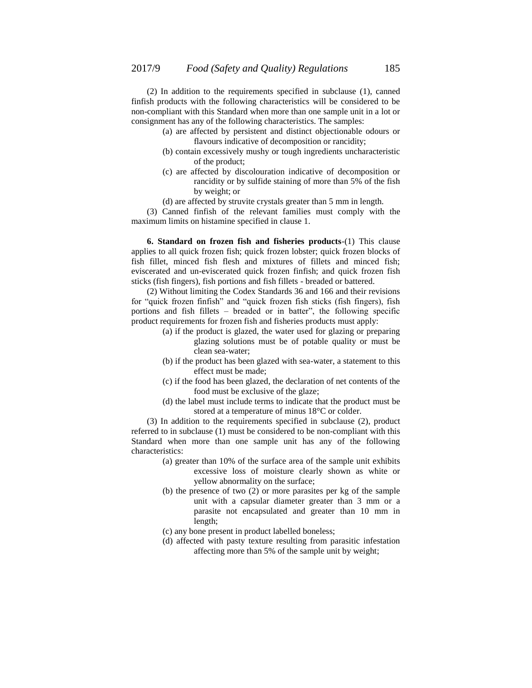(2) In addition to the requirements specified in subclause (1), canned finfish products with the following characteristics will be considered to be non-compliant with this Standard when more than one sample unit in a lot or consignment has any of the following characteristics. The samples:

- (a) are affected by persistent and distinct objectionable odours or flavours indicative of decomposition or rancidity;
- (b) contain excessively mushy or tough ingredients uncharacteristic of the product;
- (c) are affected by discolouration indicative of decomposition or rancidity or by sulfide staining of more than 5% of the fish by weight; or
- (d) are affected by struvite crystals greater than 5 mm in length.

(3) Canned finfish of the relevant families must comply with the maximum limits on histamine specified in clause 1.

**6. Standard on frozen fish and fisheries products**-(1) This clause applies to all quick frozen fish; quick frozen lobster; quick frozen blocks of fish fillet, minced fish flesh and mixtures of fillets and minced fish; eviscerated and un-eviscerated quick frozen finfish; and quick frozen fish sticks (fish fingers), fish portions and fish fillets - breaded or battered.

(2) Without limiting the Codex Standards 36 and 166 and their revisions for "quick frozen finfish" and "quick frozen fish sticks (fish fingers), fish portions and fish fillets – breaded or in batter", the following specific product requirements for frozen fish and fisheries products must apply:

- (a) if the product is glazed, the water used for glazing or preparing glazing solutions must be of potable quality or must be clean sea-water;
- (b) if the product has been glazed with sea-water, a statement to this effect must be made;
- (c) if the food has been glazed, the declaration of net contents of the food must be exclusive of the glaze;
- (d) the label must include terms to indicate that the product must be stored at a temperature of minus 18°C or colder.

(3) In addition to the requirements specified in subclause (2), product referred to in subclause (1) must be considered to be non-compliant with this Standard when more than one sample unit has any of the following characteristics:

- (a) greater than 10% of the surface area of the sample unit exhibits excessive loss of moisture clearly shown as white or yellow abnormality on the surface;
- (b) the presence of two (2) or more parasites per kg of the sample unit with a capsular diameter greater than 3 mm or a parasite not encapsulated and greater than 10 mm in length;
- (c) any bone present in product labelled boneless;
- (d) affected with pasty texture resulting from parasitic infestation affecting more than 5% of the sample unit by weight;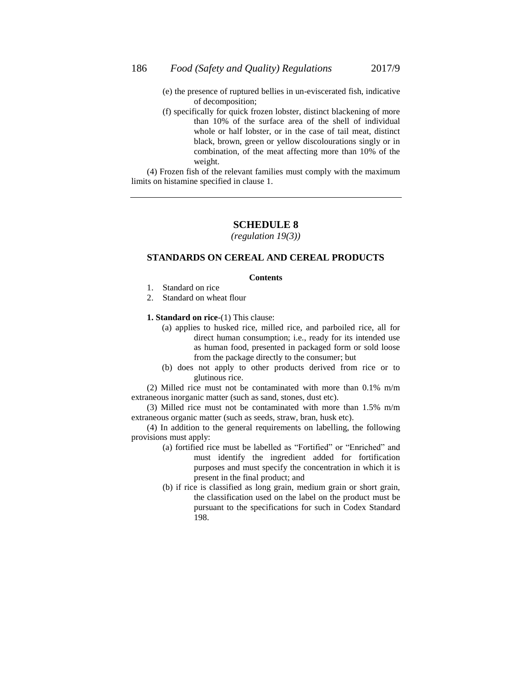- (e) the presence of ruptured bellies in un-eviscerated fish, indicative of decomposition;
- (f) specifically for quick frozen lobster, distinct blackening of more than 10% of the surface area of the shell of individual whole or half lobster, or in the case of tail meat, distinct black, brown, green or yellow discolourations singly or in combination, of the meat affecting more than 10% of the weight.

(4) Frozen fish of the relevant families must comply with the maximum limits on histamine specified in clause 1.

# **SCHEDULE 8**

*(regulation 19(3))*

# **STANDARDS ON CEREAL AND CEREAL PRODUCTS**

#### **Contents**

- 1. Standard on rice
- 2. Standard on wheat flour

**1. Standard on rice**-(1) This clause:

- (a) applies to husked rice, milled rice, and parboiled rice, all for direct human consumption; i.e., ready for its intended use as human food, presented in packaged form or sold loose from the package directly to the consumer; but
- (b) does not apply to other products derived from rice or to glutinous rice.

(2) Milled rice must not be contaminated with more than 0.1% m/m extraneous inorganic matter (such as sand, stones, dust etc).

(3) Milled rice must not be contaminated with more than 1.5% m/m extraneous organic matter (such as seeds, straw, bran, husk etc).

(4) In addition to the general requirements on labelling, the following provisions must apply:

- (a) fortified rice must be labelled as "Fortified" or "Enriched" and must identify the ingredient added for fortification purposes and must specify the concentration in which it is present in the final product; and
- (b) if rice is classified as long grain, medium grain or short grain, the classification used on the label on the product must be pursuant to the specifications for such in Codex Standard 198.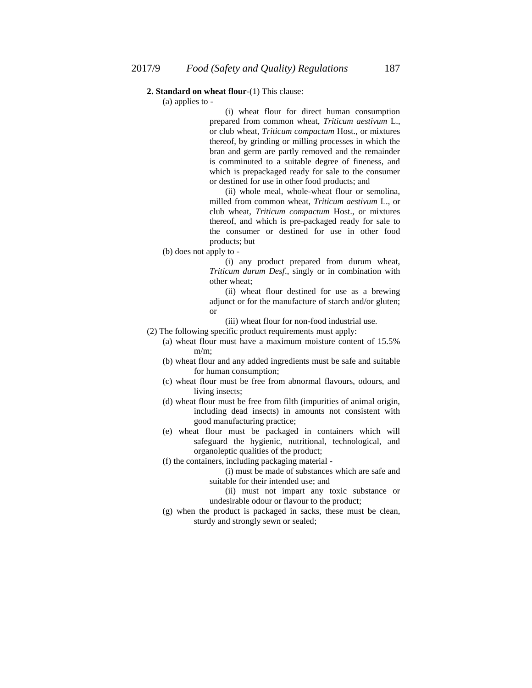#### **2. Standard on wheat flour**-(1) This clause:

(a) applies to -

(i) wheat flour for direct human consumption prepared from common wheat, *Triticum aestivum* L., or club wheat, *Triticum compactum* Host., or mixtures thereof, by grinding or milling processes in which the bran and germ are partly removed and the remainder is comminuted to a suitable degree of fineness, and which is prepackaged ready for sale to the consumer or destined for use in other food products; and

(ii) whole meal, whole-wheat flour or semolina, milled from common wheat, *Triticum aestivum* L., or club wheat, *Triticum compactum* Host., or mixtures thereof, and which is pre-packaged ready for sale to the consumer or destined for use in other food products; but

(b) does not apply to -

(i) any product prepared from durum wheat, *Triticum durum Desf*., singly or in combination with other wheat;

(ii) wheat flour destined for use as a brewing adjunct or for the manufacture of starch and/or gluten; or

- (iii) wheat flour for non-food industrial use.
- (2) The following specific product requirements must apply:
	- (a) wheat flour must have a maximum moisture content of 15.5%  $m/m$ ;
	- (b) wheat flour and any added ingredients must be safe and suitable for human consumption;
	- (c) wheat flour must be free from abnormal flavours, odours, and living insects;
	- (d) wheat flour must be free from filth (impurities of animal origin, including dead insects) in amounts not consistent with good manufacturing practice;
	- (e) wheat flour must be packaged in containers which will safeguard the hygienic, nutritional, technological, and organoleptic qualities of the product;
	- (f) the containers, including packaging material
		- (i) must be made of substances which are safe and suitable for their intended use; and
		- (ii) must not impart any toxic substance or undesirable odour or flavour to the product;
	- (g) when the product is packaged in sacks, these must be clean, sturdy and strongly sewn or sealed;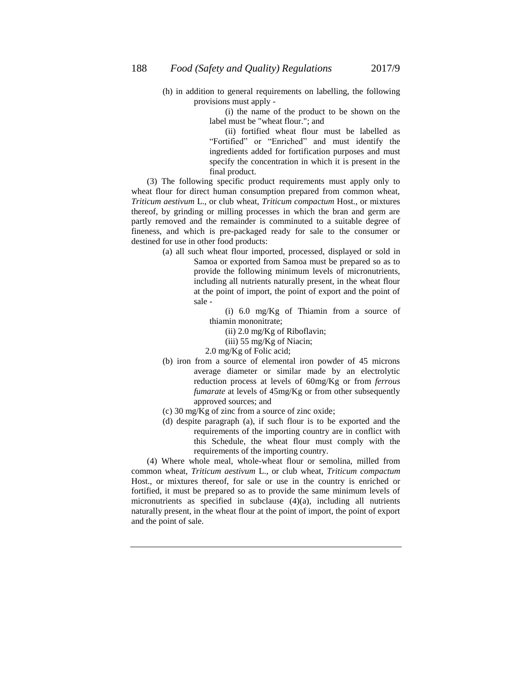(h) in addition to general requirements on labelling, the following provisions must apply -

> (i) the name of the product to be shown on the label must be "wheat flour."; and

> (ii) fortified wheat flour must be labelled as "Fortified" or "Enriched" and must identify the ingredients added for fortification purposes and must specify the concentration in which it is present in the final product.

(3) The following specific product requirements must apply only to wheat flour for direct human consumption prepared from common wheat, *Triticum aestivum* L., or club wheat, *Triticum compactum* Host., or mixtures thereof, by grinding or milling processes in which the bran and germ are partly removed and the remainder is comminuted to a suitable degree of fineness, and which is pre-packaged ready for sale to the consumer or destined for use in other food products:

(a) all such wheat flour imported, processed, displayed or sold in Samoa or exported from Samoa must be prepared so as to provide the following minimum levels of micronutrients, including all nutrients naturally present, in the wheat flour at the point of import, the point of export and the point of sale -

> (i) 6.0 mg/Kg of Thiamin from a source of thiamin mononitrate;

- (ii) 2.0 mg/Kg of Riboflavin;
- (iii) 55 mg/Kg of Niacin;
- 2.0 mg/Kg of Folic acid;
- (b) iron from a source of elemental iron powder of 45 microns average diameter or similar made by an electrolytic reduction process at levels of 60mg/Kg or from *ferrous fumarate* at levels of 45mg/Kg or from other subsequently approved sources; and
- (c) 30 mg/ $\overline{K}$ g of zinc from a source of zinc oxide;
- (d) despite paragraph (a), if such flour is to be exported and the requirements of the importing country are in conflict with this Schedule, the wheat flour must comply with the requirements of the importing country.

(4) Where whole meal, whole-wheat flour or semolina, milled from common wheat, *Triticum aestivum* L., or club wheat, *Triticum compactum* Host., or mixtures thereof, for sale or use in the country is enriched or fortified, it must be prepared so as to provide the same minimum levels of micronutrients as specified in subclause (4)(a), including all nutrients naturally present, in the wheat flour at the point of import, the point of export and the point of sale.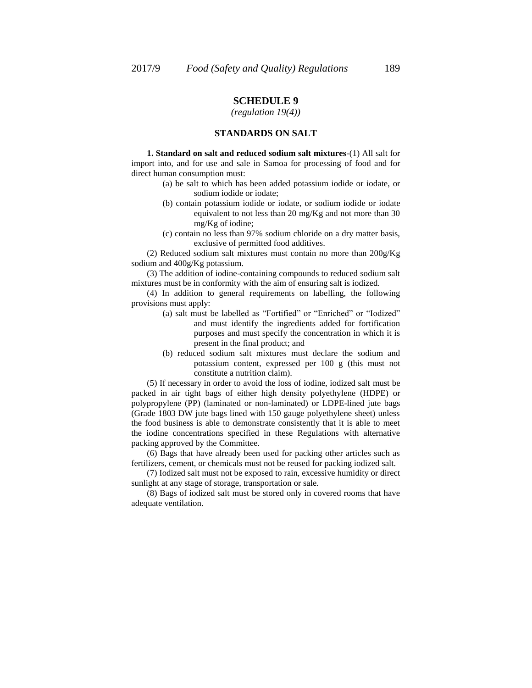### *(regulation 19(4))*

### **STANDARDS ON SALT**

**1. Standard on salt and reduced sodium salt mixtures**-(1) All salt for import into, and for use and sale in Samoa for processing of food and for direct human consumption must:

- (a) be salt to which has been added potassium iodide or iodate, or sodium iodide or iodate;
- (b) contain potassium iodide or iodate, or sodium iodide or iodate equivalent to not less than 20 mg/Kg and not more than 30 mg/Kg of iodine;
- (c) contain no less than 97% sodium chloride on a dry matter basis, exclusive of permitted food additives.

(2) Reduced sodium salt mixtures must contain no more than 200g/Kg sodium and 400g/Kg potassium.

(3) The addition of iodine-containing compounds to reduced sodium salt mixtures must be in conformity with the aim of ensuring salt is iodized.

(4) In addition to general requirements on labelling, the following provisions must apply:

- (a) salt must be labelled as "Fortified" or "Enriched" or "Iodized" and must identify the ingredients added for fortification purposes and must specify the concentration in which it is present in the final product; and
- (b) reduced sodium salt mixtures must declare the sodium and potassium content, expressed per 100 g (this must not constitute a nutrition claim).

(5) If necessary in order to avoid the loss of iodine, iodized salt must be packed in air tight bags of either high density polyethylene (HDPE) or polypropylene (PP) (laminated or non-laminated) or LDPE-lined jute bags (Grade 1803 DW jute bags lined with 150 gauge polyethylene sheet) unless the food business is able to demonstrate consistently that it is able to meet the iodine concentrations specified in these Regulations with alternative packing approved by the Committee.

(6) Bags that have already been used for packing other articles such as fertilizers, cement, or chemicals must not be reused for packing iodized salt.

(7) Iodized salt must not be exposed to rain, excessive humidity or direct sunlight at any stage of storage, transportation or sale.

(8) Bags of iodized salt must be stored only in covered rooms that have adequate ventilation.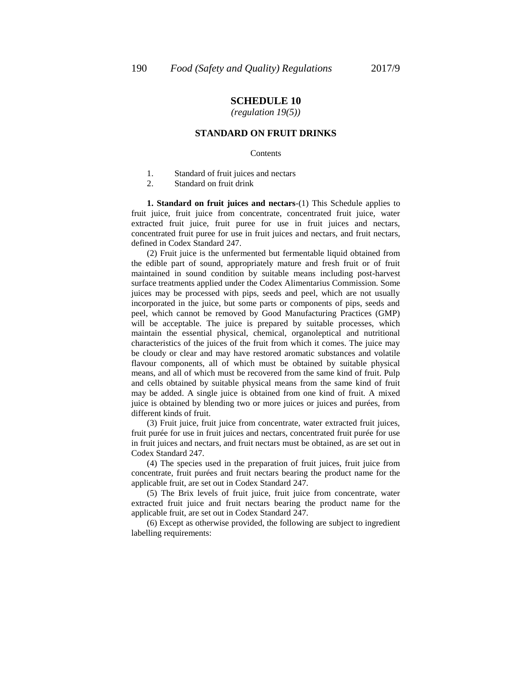## *(regulation 19(5))*

### **STANDARD ON FRUIT DRINKS**

#### Contents

- 1. Standard of fruit juices and nectars
- 2. Standard on fruit drink

**1. Standard on fruit juices and nectars**-(1) This Schedule applies to fruit juice, fruit juice from concentrate, concentrated fruit juice, water extracted fruit juice, fruit puree for use in fruit juices and nectars, concentrated fruit puree for use in fruit juices and nectars, and fruit nectars, defined in Codex Standard 247.

(2) Fruit juice is the unfermented but fermentable liquid obtained from the edible part of sound, appropriately mature and fresh fruit or of fruit maintained in sound condition by suitable means including post-harvest surface treatments applied under the Codex Alimentarius Commission. Some juices may be processed with pips, seeds and peel, which are not usually incorporated in the juice, but some parts or components of pips, seeds and peel, which cannot be removed by Good Manufacturing Practices (GMP) will be acceptable. The juice is prepared by suitable processes, which maintain the essential physical, chemical, organoleptical and nutritional characteristics of the juices of the fruit from which it comes. The juice may be cloudy or clear and may have restored aromatic substances and volatile flavour components, all of which must be obtained by suitable physical means, and all of which must be recovered from the same kind of fruit. Pulp and cells obtained by suitable physical means from the same kind of fruit may be added. A single juice is obtained from one kind of fruit. A mixed juice is obtained by blending two or more juices or juices and purées, from different kinds of fruit.

(3) Fruit juice, fruit juice from concentrate, water extracted fruit juices, fruit purée for use in fruit juices and nectars, concentrated fruit purée for use in fruit juices and nectars, and fruit nectars must be obtained, as are set out in Codex Standard 247.

(4) The species used in the preparation of fruit juices, fruit juice from concentrate, fruit purées and fruit nectars bearing the product name for the applicable fruit, are set out in Codex Standard 247.

(5) The Brix levels of fruit juice, fruit juice from concentrate, water extracted fruit juice and fruit nectars bearing the product name for the applicable fruit, are set out in Codex Standard 247.

(6) Except as otherwise provided, the following are subject to ingredient labelling requirements: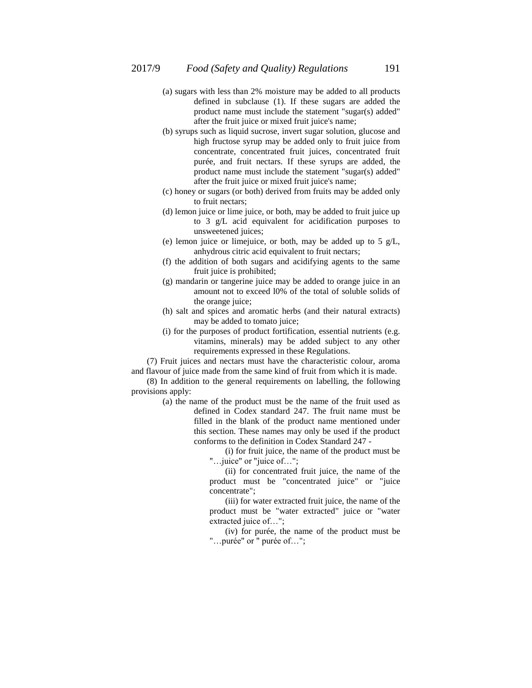- (a) sugars with less than 2% moisture may be added to all products defined in subclause (1). If these sugars are added the product name must include the statement "sugar(s) added" after the fruit juice or mixed fruit juice's name;
- (b) syrups such as liquid sucrose, invert sugar solution, glucose and high fructose syrup may be added only to fruit juice from concentrate, concentrated fruit juices, concentrated fruit purée, and fruit nectars. If these syrups are added, the product name must include the statement "sugar(s) added" after the fruit juice or mixed fruit juice's name;
- (c) honey or sugars (or both) derived from fruits may be added only to fruit nectars;
- (d) lemon juice or lime juice, or both, may be added to fruit juice up to 3 g/L acid equivalent for acidification purposes to unsweetened juices;
- (e) lemon juice or limejuice, or both, may be added up to 5 g/L, anhydrous citric acid equivalent to fruit nectars;
- (f) the addition of both sugars and acidifying agents to the same fruit juice is prohibited;
- (g) mandarin or tangerine juice may be added to orange juice in an amount not to exceed l0% of the total of soluble solids of the orange juice;
- (h) salt and spices and aromatic herbs (and their natural extracts) may be added to tomato juice;
- (i) for the purposes of product fortification, essential nutrients (e.g. vitamins, minerals) may be added subject to any other requirements expressed in these Regulations.

(7) Fruit juices and nectars must have the characteristic colour, aroma and flavour of juice made from the same kind of fruit from which it is made.

(8) In addition to the general requirements on labelling, the following provisions apply:

(a) the name of the product must be the name of the fruit used as defined in Codex standard 247. The fruit name must be filled in the blank of the product name mentioned under this section. These names may only be used if the product conforms to the definition in Codex Standard 247 -

(i) for fruit juice, the name of the product must be "... juice" or "juice of...";

(ii) for concentrated fruit juice, the name of the product must be "concentrated juice" or "juice concentrate";

(iii) for water extracted fruit juice, the name of the product must be "water extracted" juice or "water extracted juice of…";

(iv) for purée, the name of the product must be "…purée" or " purée of…";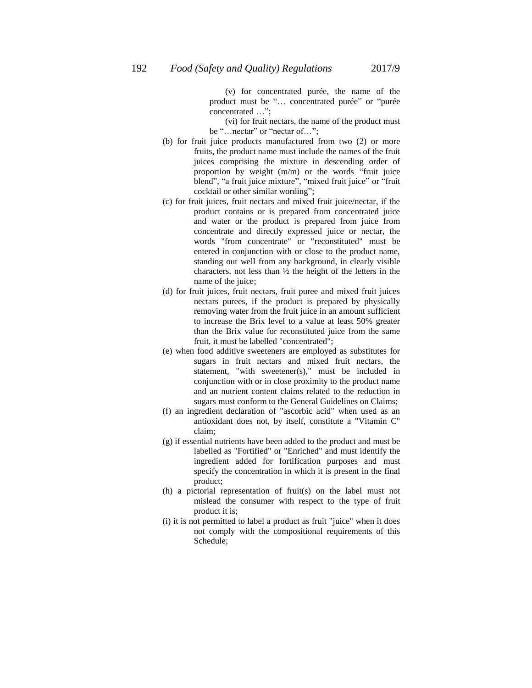(v) for concentrated purée, the name of the product must be "... concentrated purée" or "purée concentrated …";

(vi) for fruit nectars, the name of the product must be "... nectar" or "nectar of...";

- (b) for fruit juice products manufactured from two (2) or more fruits, the product name must include the names of the fruit juices comprising the mixture in descending order of proportion by weight (m/m) or the words "fruit juice blend", "a fruit juice mixture", "mixed fruit juice" or "fruit cocktail or other similar wording";
- (c) for fruit juices, fruit nectars and mixed fruit juice/nectar, if the product contains or is prepared from concentrated juice and water or the product is prepared from juice from concentrate and directly expressed juice or nectar, the words "from concentrate" or "reconstituted" must be entered in conjunction with or close to the product name, standing out well from any background, in clearly visible characters, not less than ½ the height of the letters in the name of the juice;
- (d) for fruit juices, fruit nectars, fruit puree and mixed fruit juices nectars purees, if the product is prepared by physically removing water from the fruit juice in an amount sufficient to increase the Brix level to a value at least 50% greater than the Brix value for reconstituted juice from the same fruit, it must be labelled "concentrated";
- (e) when food additive sweeteners are employed as substitutes for sugars in fruit nectars and mixed fruit nectars, the statement, "with sweetener(s)," must be included in conjunction with or in close proximity to the product name and an nutrient content claims related to the reduction in sugars must conform to the General Guidelines on Claims;
- (f) an ingredient declaration of "ascorbic acid" when used as an antioxidant does not, by itself, constitute a "Vitamin C" claim;
- (g) if essential nutrients have been added to the product and must be labelled as "Fortified" or "Enriched" and must identify the ingredient added for fortification purposes and must specify the concentration in which it is present in the final product;
- (h) a pictorial representation of fruit(s) on the label must not mislead the consumer with respect to the type of fruit product it is;
- (i) it is not permitted to label a product as fruit "juice" when it does not comply with the compositional requirements of this Schedule;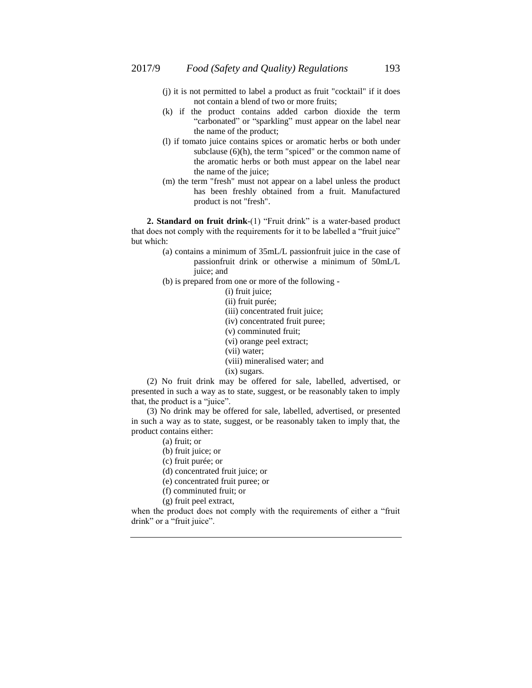- (j) it is not permitted to label a product as fruit "cocktail" if it does not contain a blend of two or more fruits;
- (k) if the product contains added carbon dioxide the term "carbonated" or "sparkling" must appear on the label near the name of the product;
- (l) if tomato juice contains spices or aromatic herbs or both under subclause (6)(h), the term "spiced" or the common name of the aromatic herbs or both must appear on the label near the name of the juice;
- (m) the term "fresh" must not appear on a label unless the product has been freshly obtained from a fruit. Manufactured product is not "fresh".

**2. Standard on fruit drink**-(1) "Fruit drink" is a water-based product that does not comply with the requirements for it to be labelled a "fruit juice" but which:

- (a) contains a minimum of 35mL/L passionfruit juice in the case of passionfruit drink or otherwise a minimum of 50mL/L juice; and
- (b) is prepared from one or more of the following -

(i) fruit juice;

(ii) fruit purée; (iii) concentrated fruit juice;

(iv) concentrated fruit puree;

- (v) comminuted fruit;
- (vi) orange peel extract;
- (vii) water;
- (viii) mineralised water; and
- (ix) sugars.

(2) No fruit drink may be offered for sale, labelled, advertised, or presented in such a way as to state, suggest, or be reasonably taken to imply that, the product is a "juice".

(3) No drink may be offered for sale, labelled, advertised, or presented in such a way as to state, suggest, or be reasonably taken to imply that, the product contains either:

- (a) fruit; or
- (b) fruit juice; or
- (c) fruit purée; or
- (d) concentrated fruit juice; or
- (e) concentrated fruit puree; or
- (f) comminuted fruit; or
- (g) fruit peel extract,

when the product does not comply with the requirements of either a "fruit drink" or a "fruit juice".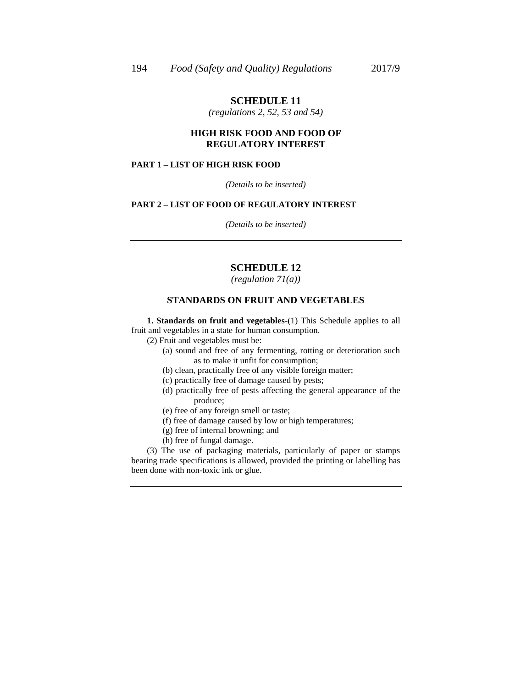*(regulations 2, 52, 53 and 54)*

### **HIGH RISK FOOD AND FOOD OF REGULATORY INTEREST**

## **PART 1 – LIST OF HIGH RISK FOOD**

*(Details to be inserted)*

#### **PART 2 – LIST OF FOOD OF REGULATORY INTEREST**

*(Details to be inserted)*

## **SCHEDULE 12**

*(regulation 71(a))*

### **STANDARDS ON FRUIT AND VEGETABLES**

**1. Standards on fruit and vegetables**-(1) This Schedule applies to all fruit and vegetables in a state for human consumption.

(2) Fruit and vegetables must be:

(a) sound and free of any fermenting, rotting or deterioration such as to make it unfit for consumption;

(b) clean, practically free of any visible foreign matter;

(c) practically free of damage caused by pests;

- (d) practically free of pests affecting the general appearance of the produce;
- (e) free of any foreign smell or taste;
- (f) free of damage caused by low or high temperatures;
- (g) free of internal browning; and
- (h) free of fungal damage.

(3) The use of packaging materials, particularly of paper or stamps bearing trade specifications is allowed, provided the printing or labelling has been done with non-toxic ink or glue.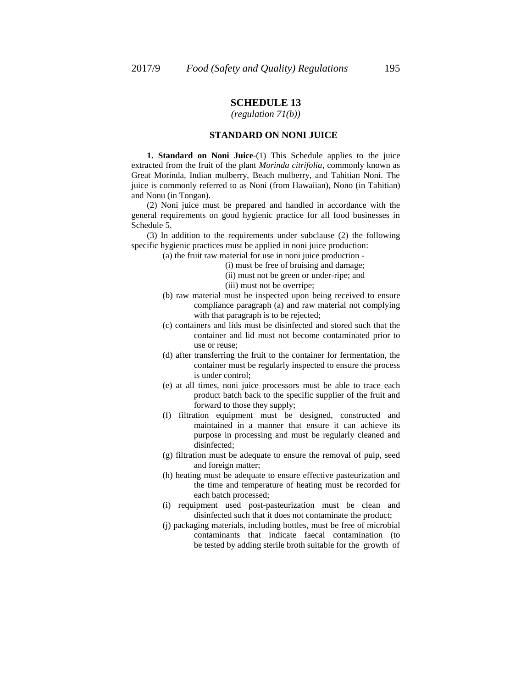*(regulation 71(b))*

### **STANDARD ON NONI JUICE**

**1. Standard on Noni Juice**-(1) This Schedule applies to the juice extracted from the fruit of the plant *Morinda citrifolia*, commonly known as Great Morinda, Indian mulberry, Beach mulberry, and Tahitian Noni. The juice is commonly referred to as Noni (from Hawaiian), Nono (in Tahitian) and Nonu (in Tongan).

(2) Noni juice must be prepared and handled in accordance with the general requirements on good hygienic practice for all food businesses in Schedule 5.

(3) In addition to the requirements under subclause (2) the following specific hygienic practices must be applied in noni juice production:

(a) the fruit raw material for use in noni juice production -

(i) must be free of bruising and damage;

(ii) must not be green or under-ripe; and

- (iii) must not be overripe;
- (b) raw material must be inspected upon being received to ensure compliance paragraph (a) and raw material not complying with that paragraph is to be rejected;
- (c) containers and lids must be disinfected and stored such that the container and lid must not become contaminated prior to use or reuse;
- (d) after transferring the fruit to the container for fermentation, the container must be regularly inspected to ensure the process is under control;
- (e) at all times, noni juice processors must be able to trace each product batch back to the specific supplier of the fruit and forward to those they supply;
- (f) filtration equipment must be designed, constructed and maintained in a manner that ensure it can achieve its purpose in processing and must be regularly cleaned and disinfected;
- (g) filtration must be adequate to ensure the removal of pulp, seed and foreign matter;
- (h) heating must be adequate to ensure effective pasteurization and the time and temperature of heating must be recorded for each batch processed;
- (i) requipment used post-pasteurization must be clean and disinfected such that it does not contaminate the product;
- (j) packaging materials, including bottles, must be free of microbial contaminants that indicate faecal contamination (to be tested by adding sterile broth suitable for the growth of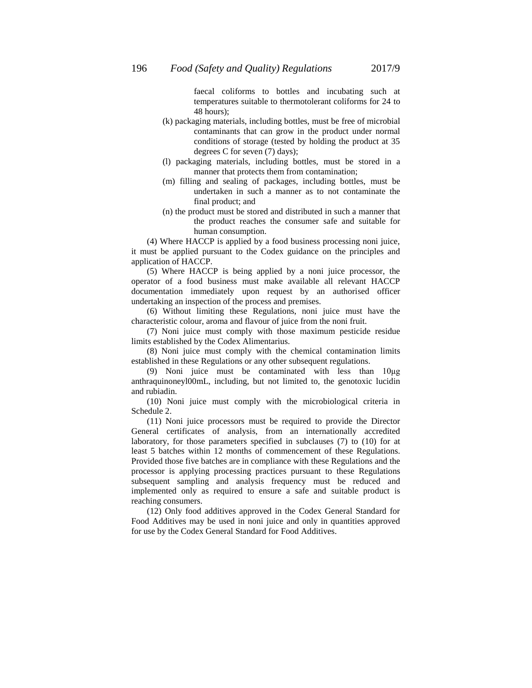faecal coliforms to bottles and incubating such at temperatures suitable to thermotolerant coliforms for 24 to 48 hours);

- (k) packaging materials, including bottles, must be free of microbial contaminants that can grow in the product under normal conditions of storage (tested by holding the product at 35 degrees C for seven (7) days);
- (l) packaging materials, including bottles, must be stored in a manner that protects them from contamination;
- (m) filling and sealing of packages, including bottles, must be undertaken in such a manner as to not contaminate the final product; and
- (n) the product must be stored and distributed in such a manner that the product reaches the consumer safe and suitable for human consumption.

(4) Where HACCP is applied by a food business processing noni juice, it must be applied pursuant to the Codex guidance on the principles and application of HACCP.

(5) Where HACCP is being applied by a noni juice processor, the operator of a food business must make available all relevant HACCP documentation immediately upon request by an authorised officer undertaking an inspection of the process and premises.

(6) Without limiting these Regulations, noni juice must have the characteristic colour, aroma and flavour of juice from the noni fruit.

(7) Noni juice must comply with those maximum pesticide residue limits established by the Codex Alimentarius.

(8) Noni juice must comply with the chemical contamination limits established in these Regulations or any other subsequent regulations.

(9) Noni juice must be contaminated with less than 10μg anthraquinoneyl00mL, including, but not limited to, the genotoxic lucidin and rubiadin.

(10) Noni juice must comply with the microbiological criteria in Schedule 2.

(11) Noni juice processors must be required to provide the Director General certificates of analysis, from an internationally accredited laboratory, for those parameters specified in subclauses (7) to (10) for at least 5 batches within 12 months of commencement of these Regulations. Provided those five batches are in compliance with these Regulations and the processor is applying processing practices pursuant to these Regulations subsequent sampling and analysis frequency must be reduced and implemented only as required to ensure a safe and suitable product is reaching consumers.

(12) Only food additives approved in the Codex General Standard for Food Additives may be used in noni juice and only in quantities approved for use by the Codex General Standard for Food Additives.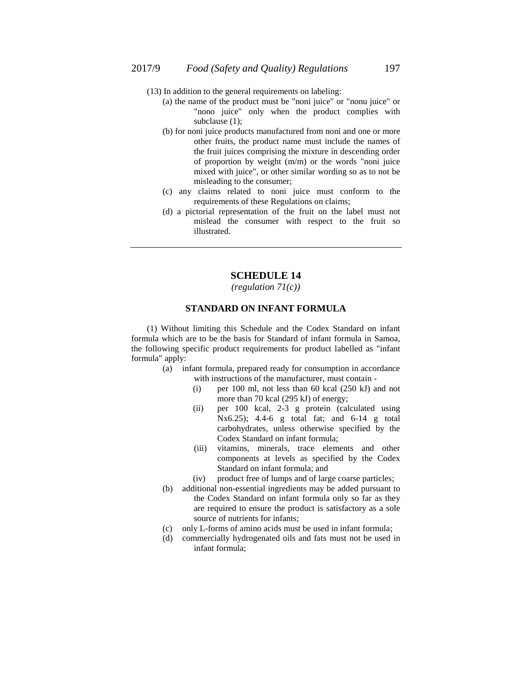- (13) In addition to the general requirements on labeling:
	- (a) the name of the product must be "noni juice" or "nonu juice" or "nono juice" only when the product complies with subclause (1);
	- (b) for noni juice products manufactured from noni and one or more other fruits, the product name must include the names of the fruit juices comprising the mixture in descending order of proportion by weight (m/m) or the words "noni juice mixed with juice", or other similar wording so as to not be misleading to the consumer;
	- (c) any claims related to noni juice must conform to the requirements of these Regulations on claims;
	- (d) a pictorial representation of the fruit on the label must not mislead the consumer with respect to the fruit so illustrated.

*(regulation 71(c))*

### **STANDARD ON INFANT FORMULA**

(1) Without limiting this Schedule and the Codex Standard on infant formula which are to be the basis for Standard of infant formula in Samoa, the following specific product requirements for product labelled as "infant formula" apply:

- (a) infant formula, prepared ready for consumption in accordance with instructions of the manufacturer, must contain -
	- (i) per 100 ml, not less than 60 kcal (250 kJ) and not more than 70 kcal (295 kJ) of energy;
	- (ii) per 100 kcal, 2-3 g protein (calculated using Nx6.25); 4.4-6 g total fat; and 6-14 g total carbohydrates, unless otherwise specified by the Codex Standard on infant formula;
	- (iii) vitamins, minerals, trace elements and other components at levels as specified by the Codex Standard on infant formula; and
	- (iv) product free of lumps and of large coarse particles;
- (b) additional non-essential ingredients may be added pursuant to the Codex Standard on infant formula only so far as they are required to ensure the product is satisfactory as a sole source of nutrients for infants;
- (c) only L-forms of amino acids must be used in infant formula;
- (d) commercially hydrogenated oils and fats must not be used in infant formula;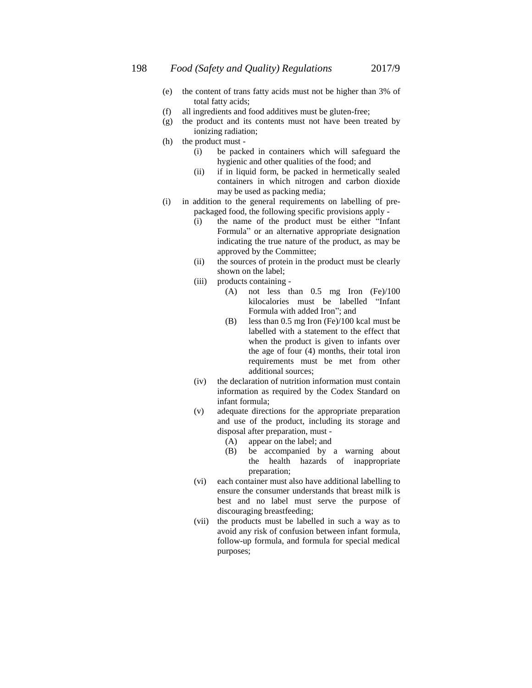- (e) the content of trans fatty acids must not be higher than 3% of total fatty acids;
- (f) all ingredients and food additives must be gluten-free;
- (g) the product and its contents must not have been treated by ionizing radiation;
- (h) the product must
	- (i) be packed in containers which will safeguard the hygienic and other qualities of the food; and
	- (ii) if in liquid form, be packed in hermetically sealed containers in which nitrogen and carbon dioxide may be used as packing media;
- (i) in addition to the general requirements on labelling of prepackaged food, the following specific provisions apply -
	- (i) the name of the product must be either "Infant Formula" or an alternative appropriate designation indicating the true nature of the product, as may be approved by the Committee;
	- (ii) the sources of protein in the product must be clearly shown on the label;
	- (iii) products containing
		- (A) not less than 0.5 mg Iron (Fe)/100 kilocalories must be labelled "Infant Formula with added Iron"; and
		- (B) less than 0.5 mg Iron (Fe)/100 kcal must be labelled with a statement to the effect that when the product is given to infants over the age of four (4) months, their total iron requirements must be met from other additional sources;
	- (iv) the declaration of nutrition information must contain information as required by the Codex Standard on infant formula;
	- (v) adequate directions for the appropriate preparation and use of the product, including its storage and disposal after preparation, must -
		- (A) appear on the label; and
		- (B) be accompanied by a warning about the health hazards of inappropriate preparation;
	- (vi) each container must also have additional labelling to ensure the consumer understands that breast milk is best and no label must serve the purpose of discouraging breastfeeding;
	- (vii) the products must be labelled in such a way as to avoid any risk of confusion between infant formula, follow-up formula, and formula for special medical purposes;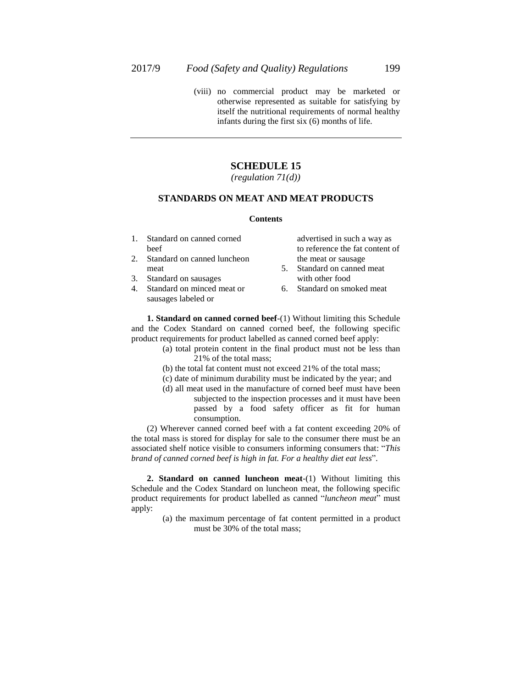(viii) no commercial product may be marketed or otherwise represented as suitable for satisfying by itself the nutritional requirements of normal healthy infants during the first six (6) months of life.

## **SCHEDULE 15**

*(regulation 71(d))*

### **STANDARDS ON MEAT AND MEAT PRODUCTS**

#### **Contents**

- 1. Standard on canned corned beef
- 2. Standard on canned luncheon meat
- 3. Standard on sausages
- 4. Standard on minced meat or sausages labeled or
- advertised in such a way as to reference the fat content of the meat or sausage
- 5. Standard on canned meat with other food
- 6. Standard on smoked meat

**1. Standard on canned corned beef**-(1) Without limiting this Schedule and the Codex Standard on canned corned beef, the following specific product requirements for product labelled as canned corned beef apply:

- (a) total protein content in the final product must not be less than 21% of the total mass;
- (b) the total fat content must not exceed 21% of the total mass;
- (c) date of minimum durability must be indicated by the year; and
- (d) all meat used in the manufacture of corned beef must have been subjected to the inspection processes and it must have been passed by a food safety officer as fit for human

consumption. (2) Wherever canned corned beef with a fat content exceeding 20% of the total mass is stored for display for sale to the consumer there must be an associated shelf notice visible to consumers informing consumers that: "*This brand of canned corned beef is high in fat. For a healthy diet eat less*".

**2. Standard on canned luncheon meat**-(1) Without limiting this Schedule and the Codex Standard on luncheon meat, the following specific product requirements for product labelled as canned "*luncheon meat*" must apply:

> (a) the maximum percentage of fat content permitted in a product must be 30% of the total mass;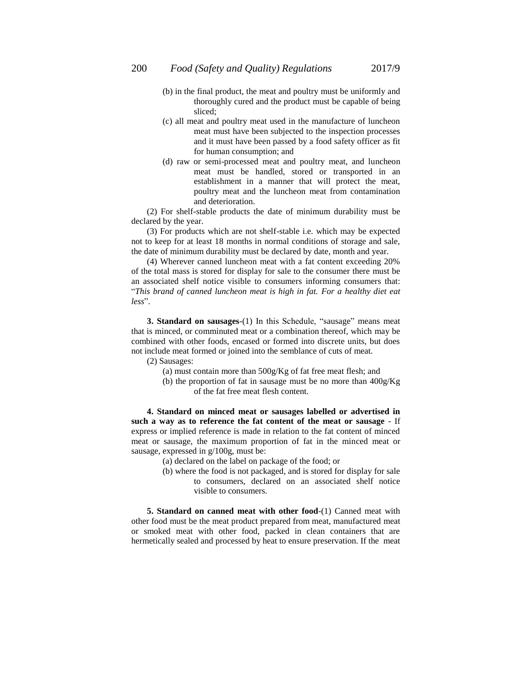- (b) in the final product, the meat and poultry must be uniformly and thoroughly cured and the product must be capable of being sliced;
- (c) all meat and poultry meat used in the manufacture of luncheon meat must have been subjected to the inspection processes and it must have been passed by a food safety officer as fit for human consumption; and
- (d) raw or semi-processed meat and poultry meat, and luncheon meat must be handled, stored or transported in an establishment in a manner that will protect the meat, poultry meat and the luncheon meat from contamination and deterioration.

(2) For shelf-stable products the date of minimum durability must be declared by the year.

(3) For products which are not shelf-stable i.e. which may be expected not to keep for at least 18 months in normal conditions of storage and sale, the date of minimum durability must be declared by date, month and year.

(4) Wherever canned luncheon meat with a fat content exceeding 20% of the total mass is stored for display for sale to the consumer there must be an associated shelf notice visible to consumers informing consumers that: "*This brand of canned luncheon meat is high in fat. For a healthy diet eat less*".

**3. Standard on sausages**-(1) In this Schedule, "sausage" means meat that is minced, or comminuted meat or a combination thereof, which may be combined with other foods, encased or formed into discrete units, but does not include meat formed or joined into the semblance of cuts of meat.

(2) Sausages:

- (a) must contain more than 500g/Kg of fat free meat flesh; and
- (b) the proportion of fat in sausage must be no more than 400g/Kg of the fat free meat flesh content.

**4. Standard on minced meat or sausages labelled or advertised in such a way as to reference the fat content of the meat or sausage** - If express or implied reference is made in relation to the fat content of minced meat or sausage, the maximum proportion of fat in the minced meat or sausage, expressed in g/100g, must be:

(a) declared on the label on package of the food; or

(b) where the food is not packaged, and is stored for display for sale to consumers, declared on an associated shelf notice visible to consumers.

**5. Standard on canned meat with other food**-(1) Canned meat with other food must be the meat product prepared from meat, manufactured meat or smoked meat with other food, packed in clean containers that are hermetically sealed and processed by heat to ensure preservation. If the meat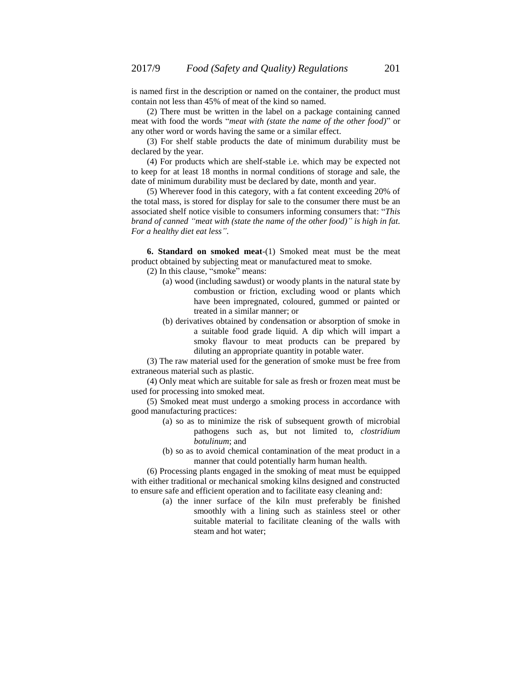is named first in the description or named on the container, the product must contain not less than 45% of meat of the kind so named.

(2) There must be written in the label on a package containing canned meat with food the words "*meat with (state the name of the other food)*" or any other word or words having the same or a similar effect.

(3) For shelf stable products the date of minimum durability must be declared by the year.

(4) For products which are shelf-stable i.e. which may be expected not to keep for at least 18 months in normal conditions of storage and sale, the date of minimum durability must be declared by date, month and year.

(5) Wherever food in this category, with a fat content exceeding 20% of the total mass, is stored for display for sale to the consumer there must be an associated shelf notice visible to consumers informing consumers that: "*This brand of canned "meat with (state the name of the other food)" is high in fat. For a healthy diet eat less"*.

**6. Standard on smoked meat**-(1) Smoked meat must be the meat product obtained by subjecting meat or manufactured meat to smoke.

(2) In this clause, "smoke" means:

- (a) wood (including sawdust) or woody plants in the natural state by combustion or friction, excluding wood or plants which have been impregnated, coloured, gummed or painted or treated in a similar manner; or
- (b) derivatives obtained by condensation or absorption of smoke in a suitable food grade liquid. A dip which will impart a smoky flavour to meat products can be prepared by diluting an appropriate quantity in potable water.

(3) The raw material used for the generation of smoke must be free from extraneous material such as plastic.

(4) Only meat which are suitable for sale as fresh or frozen meat must be used for processing into smoked meat.

(5) Smoked meat must undergo a smoking process in accordance with good manufacturing practices:

- (a) so as to minimize the risk of subsequent growth of microbial pathogens such as, but not limited to, *clostridium botulinum*; and
- (b) so as to avoid chemical contamination of the meat product in a manner that could potentially harm human health.

(6) Processing plants engaged in the smoking of meat must be equipped with either traditional or mechanical smoking kilns designed and constructed to ensure safe and efficient operation and to facilitate easy cleaning and:

> (a) the inner surface of the kiln must preferably be finished smoothly with a lining such as stainless steel or other suitable material to facilitate cleaning of the walls with steam and hot water;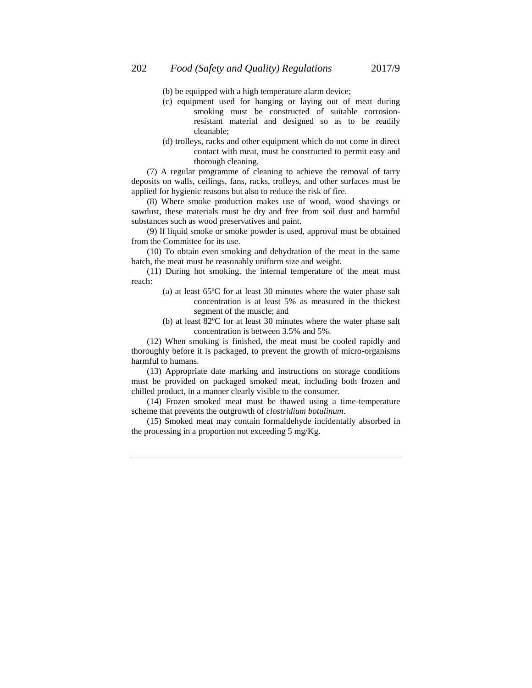- (b) be equipped with a high temperature alarm device;
- (c) equipment used for hanging or laying out of meat during smoking must be constructed of suitable corrosionresistant material and designed so as to be readily cleanable;
- (d) trolleys, racks and other equipment which do not come in direct contact with meat, must be constructed to permit easy and thorough cleaning.

(7) A regular programme of cleaning to achieve the removal of tarry deposits on walls, ceilings, fans, racks, trolleys, and other surfaces must be applied for hygienic reasons but also to reduce the risk of fire.

(8) Where smoke production makes use of wood, wood shavings or sawdust, these materials must be dry and free from soil dust and harmful substances such as wood preservatives and paint.

(9) If liquid smoke or smoke powder is used, approval must be obtained from the Committee for its use.

(10) To obtain even smoking and dehydration of the meat in the same batch, the meat must be reasonably uniform size and weight.

(11) During hot smoking, the internal temperature of the meat must reach:

- (a) at least 65ºC for at least 30 minutes where the water phase salt concentration is at least 5% as measured in the thickest segment of the muscle; and
- (b) at least 82ºC for at least 30 minutes where the water phase salt concentration is between 3.5% and 5%.

(12) When smoking is finished, the meat must be cooled rapidly and thoroughly before it is packaged, to prevent the growth of micro-organisms harmful to humans.

(13) Appropriate date marking and instructions on storage conditions must be provided on packaged smoked meat, including both frozen and chilled product, in a manner clearly visible to the consumer.

(14) Frozen smoked meat must be thawed using a time-temperature scheme that prevents the outgrowth of *clostridium botulinum*.

(15) Smoked meat may contain formaldehyde incidentally absorbed in the processing in a proportion not exceeding 5 mg/Kg.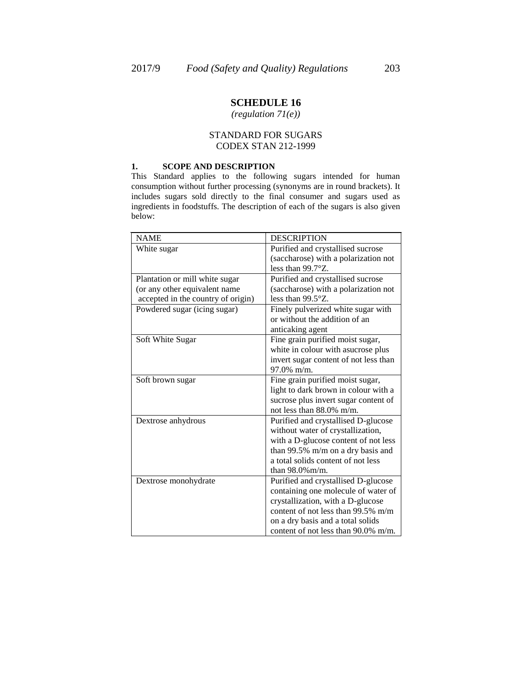*(regulation 71(e))*

## STANDARD FOR SUGARS CODEX STAN 212-1999

### **1. SCOPE AND DESCRIPTION**

This Standard applies to the following sugars intended for human consumption without further processing (synonyms are in round brackets). It includes sugars sold directly to the final consumer and sugars used as ingredients in foodstuffs. The description of each of the sugars is also given below:

| <b>NAME</b>                        | <b>DESCRIPTION</b>                    |
|------------------------------------|---------------------------------------|
| White sugar                        | Purified and crystallised sucrose     |
|                                    | (saccharose) with a polarization not  |
|                                    | less than 99.7°Z.                     |
| Plantation or mill white sugar     | Purified and crystallised sucrose     |
| (or any other equivalent name      | (saccharose) with a polarization not  |
| accepted in the country of origin) | less than 99.5°Z.                     |
| Powdered sugar (icing sugar)       | Finely pulverized white sugar with    |
|                                    | or without the addition of an         |
|                                    | anticaking agent                      |
| Soft White Sugar                   | Fine grain purified moist sugar,      |
|                                    | white in colour with asucrose plus    |
|                                    | invert sugar content of not less than |
|                                    | $97.0\%$ m/m.                         |
| Soft brown sugar                   | Fine grain purified moist sugar,      |
|                                    | light to dark brown in colour with a  |
|                                    | sucrose plus invert sugar content of  |
|                                    | not less than 88.0% m/m.              |
| Dextrose anhydrous                 | Purified and crystallised D-glucose   |
|                                    | without water of crystallization,     |
|                                    | with a D-glucose content of not less  |
|                                    | than 99.5% m/m on a dry basis and     |
|                                    | a total solids content of not less    |
|                                    | than $98.0\%$ m/m.                    |
| Dextrose monohydrate               | Purified and crystallised D-glucose   |
|                                    | containing one molecule of water of   |
|                                    | crystallization, with a D-glucose     |
|                                    | content of not less than 99.5% m/m    |
|                                    | on a dry basis and a total solids     |
|                                    | content of not less than 90.0% m/m.   |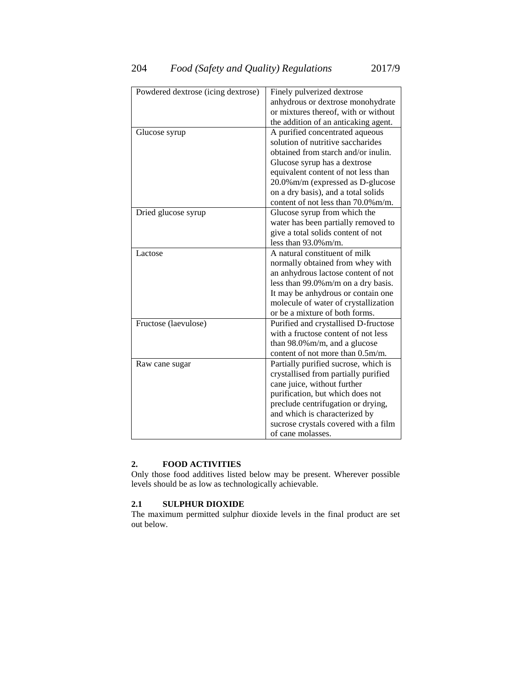| Powdered dextrose (icing dextrose) | Finely pulverized dextrose           |  |  |  |  |
|------------------------------------|--------------------------------------|--|--|--|--|
|                                    | anhydrous or dextrose monohydrate    |  |  |  |  |
|                                    | or mixtures thereof, with or without |  |  |  |  |
|                                    | the addition of an anticaking agent. |  |  |  |  |
| Glucose syrup                      | A purified concentrated aqueous      |  |  |  |  |
|                                    | solution of nutritive saccharides    |  |  |  |  |
|                                    | obtained from starch and/or inulin.  |  |  |  |  |
|                                    | Glucose syrup has a dextrose         |  |  |  |  |
|                                    | equivalent content of not less than  |  |  |  |  |
|                                    | 20.0% m/m (expressed as D-glucose    |  |  |  |  |
|                                    | on a dry basis), and a total solids  |  |  |  |  |
|                                    | content of not less than 70.0% m/m.  |  |  |  |  |
| Dried glucose syrup                | Glucose syrup from which the         |  |  |  |  |
|                                    | water has been partially removed to  |  |  |  |  |
|                                    | give a total solids content of not   |  |  |  |  |
|                                    | less than $93.0\%$ m/m.              |  |  |  |  |
| Lactose                            | A natural constituent of milk        |  |  |  |  |
|                                    | normally obtained from whey with     |  |  |  |  |
|                                    | an anhydrous lactose content of not  |  |  |  |  |
|                                    | less than 99.0% m/m on a dry basis.  |  |  |  |  |
|                                    | It may be anhydrous or contain one   |  |  |  |  |
|                                    | molecule of water of crystallization |  |  |  |  |
|                                    | or be a mixture of both forms.       |  |  |  |  |
| Fructose (laevulose)               | Purified and crystallised D-fructose |  |  |  |  |
|                                    | with a fructose content of not less  |  |  |  |  |
|                                    | than $98.0\%$ m/m, and a glucose     |  |  |  |  |
|                                    | content of not more than 0.5m/m.     |  |  |  |  |
| Raw cane sugar                     | Partially purified sucrose, which is |  |  |  |  |
|                                    | crystallised from partially purified |  |  |  |  |
|                                    | cane juice, without further          |  |  |  |  |
|                                    | purification, but which does not     |  |  |  |  |
|                                    | preclude centrifugation or drying,   |  |  |  |  |
|                                    | and which is characterized by        |  |  |  |  |
|                                    | sucrose crystals covered with a film |  |  |  |  |
|                                    | of cane molasses.                    |  |  |  |  |

## **2. FOOD ACTIVITIES**

Only those food additives listed below may be present. Wherever possible levels should be as low as technologically achievable.

## **2.1 SULPHUR DIOXIDE**

The maximum permitted sulphur dioxide levels in the final product are set out below.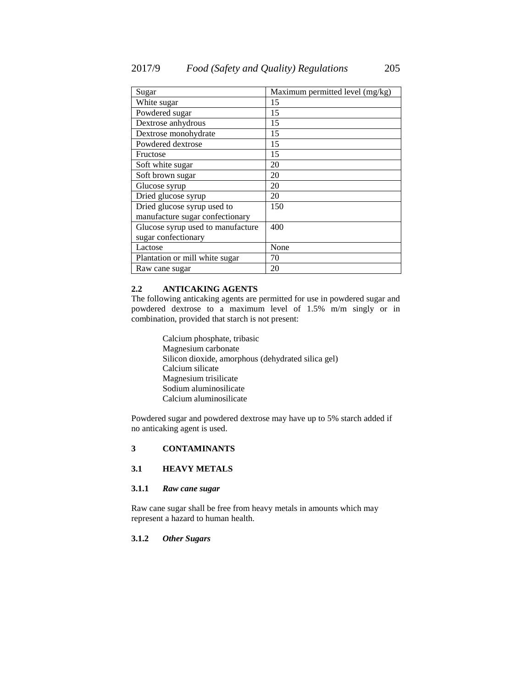| Sugar                             | Maximum permitted level (mg/kg) |
|-----------------------------------|---------------------------------|
| White sugar                       | 15                              |
| Powdered sugar                    | 15                              |
| Dextrose anhydrous                | 15                              |
| Dextrose monohydrate              | 15                              |
| Powdered dextrose                 | 15                              |
| Fructose                          | 15                              |
| Soft white sugar                  | 20                              |
| Soft brown sugar                  | 20                              |
| Glucose syrup                     | 20                              |
| Dried glucose syrup               | 20                              |
| Dried glucose syrup used to       | 150                             |
| manufacture sugar confectionary   |                                 |
| Glucose syrup used to manufacture | 400                             |
| sugar confectionary               |                                 |
| Lactose                           | None                            |
| Plantation or mill white sugar    | 70                              |
| Raw cane sugar                    | 20                              |

### **2.2 ANTICAKING AGENTS**

The following anticaking agents are permitted for use in powdered sugar and powdered dextrose to a maximum level of 1.5% m/m singly or in combination, provided that starch is not present:

> Calcium phosphate, tribasic Magnesium carbonate Silicon dioxide, amorphous (dehydrated silica gel) Calcium silicate Magnesium trisilicate Sodium aluminosilicate Calcium aluminosilicate

Powdered sugar and powdered dextrose may have up to 5% starch added if no anticaking agent is used.

## **3 CONTAMINANTS**

## **3.1 HEAVY METALS**

### **3.1.1** *Raw cane sugar*

Raw cane sugar shall be free from heavy metals in amounts which may represent a hazard to human health.

#### **3.1.2** *Other Sugars*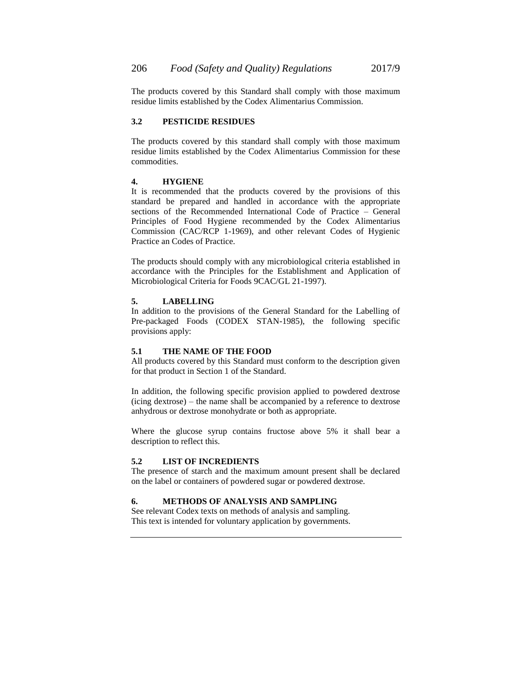The products covered by this Standard shall comply with those maximum residue limits established by the Codex Alimentarius Commission.

### **3.2 PESTICIDE RESIDUES**

The products covered by this standard shall comply with those maximum residue limits established by the Codex Alimentarius Commission for these commodities.

### **4. HYGIENE**

It is recommended that the products covered by the provisions of this standard be prepared and handled in accordance with the appropriate sections of the Recommended International Code of Practice – General Principles of Food Hygiene recommended by the Codex Alimentarius Commission (CAC/RCP 1-1969), and other relevant Codes of Hygienic Practice an Codes of Practice.

The products should comply with any microbiological criteria established in accordance with the Principles for the Establishment and Application of Microbiological Criteria for Foods 9CAC/GL 21-1997).

### **5. LABELLING**

In addition to the provisions of the General Standard for the Labelling of Pre-packaged Foods (CODEX STAN-1985), the following specific provisions apply:

### **5.1 THE NAME OF THE FOOD**

All products covered by this Standard must conform to the description given for that product in Section 1 of the Standard.

In addition, the following specific provision applied to powdered dextrose (icing dextrose) – the name shall be accompanied by a reference to dextrose anhydrous or dextrose monohydrate or both as appropriate.

Where the glucose syrup contains fructose above 5% it shall bear a description to reflect this.

### **5.2 LIST OF INCREDIENTS**

The presence of starch and the maximum amount present shall be declared on the label or containers of powdered sugar or powdered dextrose.

## **6. METHODS OF ANALYSIS AND SAMPLING**

See relevant Codex texts on methods of analysis and sampling. This text is intended for voluntary application by governments.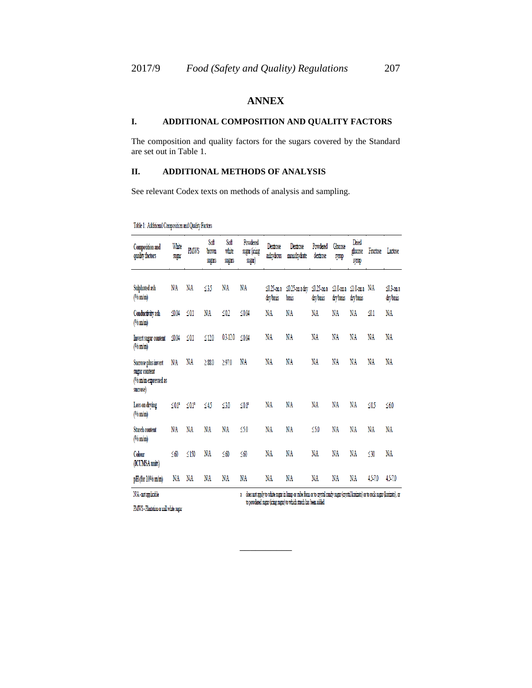# **ANNEX**

## **I. ADDITIONAL COMPOSITION AND QUALITY FACTORS**

The composition and quality factors for the sugars covered by the Standard are set out in Table 1.

## **II. ADDITIONAL METHODS OF ANALYSIS**

See relevant Codex texts on methods of analysis and sampling.

Table 1: Additional Composition and Quality Factors

| Composition and<br>quality factors                                      | White<br>sugar          | <b>PMWS</b>             | Soft<br>brown<br>sugars | Soft<br>white<br>sugars | Powdered<br>sugar (icing<br>sugar) | Dextrose<br>anhydrous   | Dextrose<br>monohydrate            | Powdered<br>dextrose | Glucose<br>symp          | Dried<br>glucose<br>symp           | Fructose    | Lactose                 |
|-------------------------------------------------------------------------|-------------------------|-------------------------|-------------------------|-------------------------|------------------------------------|-------------------------|------------------------------------|----------------------|--------------------------|------------------------------------|-------------|-------------------------|
| Sulphated ash<br>(% <b>m</b> / <b>m</b> )                               | NΛ                      | NΛ                      | 35                      | NΛ                      | NΛ                                 | ≤0.25 on a<br>dry basis | ≤0.25-on a dry ≤0.25-on a<br>basis | dry basis            | drybasis                 | ≤1.0-ona ≤1.0-ona N/A<br>dry basis |             | ≤03 on a<br>dry basis   |
| Conductivity ash<br>$(\%$ m/m)                                          | $\leq 0.04$             | $\leq 0.1$              | NΆ                      | $\leq 0.2$              | ≤ $0.04$                           | NΛ                      | NΛ                                 | ΝA                   | NΆ                       | NΛ                                 | 91          | NΆ                      |
| Invert sugar content<br>$(\%$ m/m)                                      | $\mathcal{L}0.04$       | $\leq 0.1$              | ≤12.0                   | 03-12.0                 | ≤0.04                              | N/A                     | NΆ                                 | NA                   | NΛ                       | NΛ                                 | NΆ          | NΆ                      |
| Sucrose plus invert<br>sugar content<br>(% m/m expressed as<br>sucrose) | ΝA                      | NΆ                      | $\geq$ 88.0             | $\geq$ 97.0             | NΆ                                 | N/A                     | NΆ                                 | NA                   | ΝA                       | NΆ                                 | NΆ          | NΆ                      |
| Loss on drying<br>$(\%$ m/m)                                            | $\leq 0.1$ <sup>2</sup> | $\leq 0.1$ <sup>2</sup> | ≤45                     | ≤3.0                    | $\leq 0.1$                         | NΛ                      | NΆ                                 | NΆ                   | NΆ                       | NΆ                                 | ≤0.5        | ≤6.0                    |
| <b>Starch content</b><br>$(\%$ m/m)                                     | NΛ                      | NA                      | NΆ                      | NΛ                      | ≤50                                | NΛ                      | NΛ                                 | ≤50                  | NΛ                       | NΆ                                 | NΛ          | NA                      |
| Colour<br>(ICUMSA units)                                                | ≤60                     | ≤150                    | NΛ                      | $\leq 60$               | ≤60                                | NΛ                      | NΛ                                 | NΛ                   | NΆ                       | NΛ                                 | ≤30         | NΛ                      |
| pH (for 10% m/m)<br><b>STILL COMPANY</b><br>11.11                       | NΛ                      | NΛ                      | NΆ                      | NΛ                      | NΆ<br>٠                            | N/A<br>40000000         | NΛ<br><b>A</b> 1<br>A              | NΆ<br>$\sim$         | NΆ<br>$\mathbf{z}$<br>л. | NΆ<br><b>CARL ALLANT</b>           | 45-7.0<br>٠ | 45-7.0<br>$A = 1, 1, 3$ |

\_\_\_\_\_\_\_\_\_\_

N/A - not applicable

a does not apply to white sugar in hunp or cube form or to crystal candy sugar (crystal korizato) or to rock sugar (korizato), or to powdered sugar (icing sugar) to which starch has been added

PMWS - Plantation or mill white sugar